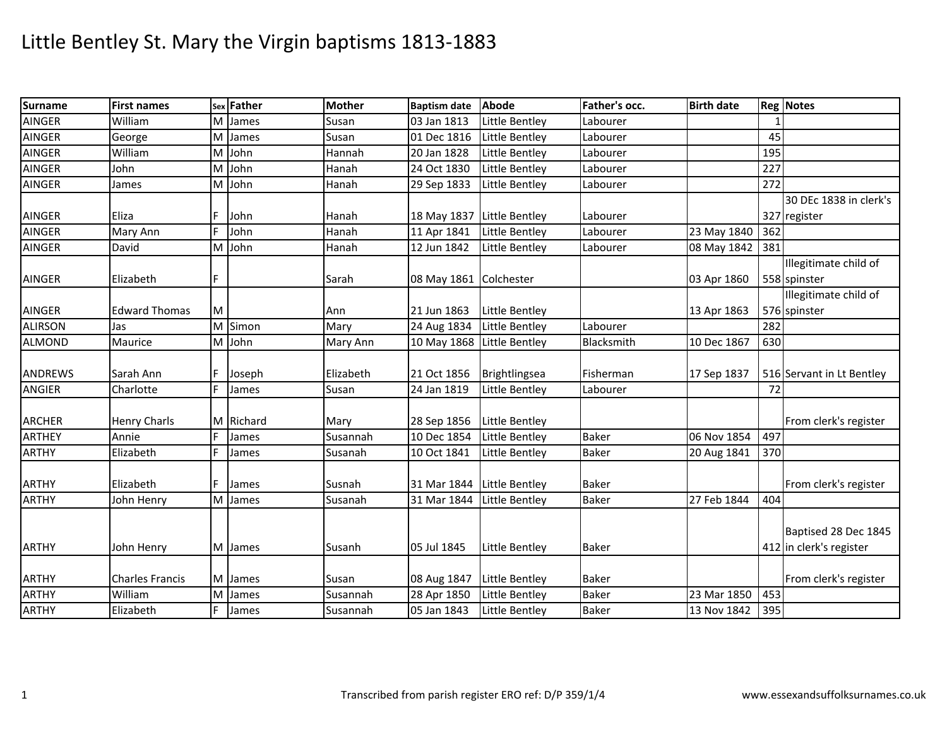| <b>Surname</b> | <b>First names</b>                |   | sex Father | <b>Mother</b> | <b>Baptism date</b>        | <b>Abode</b>          | Father's occ. | <b>Birth date</b> |     | <b>Reg Notes</b>          |
|----------------|-----------------------------------|---|------------|---------------|----------------------------|-----------------------|---------------|-------------------|-----|---------------------------|
| <b>AINGER</b>  | William                           | М | James      | Susan         | 03 Jan 1813                | Little Bentley        | Labourer      |                   |     |                           |
| <b>AINGER</b>  | George                            | M | James      | Susan         | 01 Dec 1816                | Little Bentley        | Labourer      |                   | 45  |                           |
| <b>AINGER</b>  | William                           | М | John       | Hannah        | 20 Jan 1828                | Little Bentley        | Labourer      |                   | 195 |                           |
| <b>AINGER</b>  | John                              | М | John       | Hanah         | 24 Oct 1830                | Little Bentley        | Labourer      |                   | 227 |                           |
| <b>AINGER</b>  | James                             | M | John       | Hanah         | 29 Sep 1833                | Little Bentley        | Labourer      |                   | 272 |                           |
|                |                                   |   |            |               |                            |                       |               |                   |     | 30 DEc 1838 in clerk's    |
| AINGER         | Eliza                             |   | John       | Hanah         | 18 May 1837                | Little Bentley        | Labourer      |                   |     | 327 register              |
| <b>AINGER</b>  | Mary Ann                          |   | John       | Hanah         | 11 Apr 1841                | Little Bentley        | Labourer      | 23 May 1840       | 362 |                           |
| <b>AINGER</b>  | David                             | M | John       | Hanah         | 12 Jun 1842                | Little Bentley        | Labourer      | 08 May 1842       | 381 |                           |
|                |                                   |   |            |               |                            |                       |               |                   |     | Illegitimate child of     |
| <b>AINGER</b>  | Elizabeth                         |   |            | Sarah         | 08 May 1861 Colchester     |                       |               | 03 Apr 1860       |     | 558 spinster              |
|                |                                   |   |            |               |                            |                       |               |                   |     | Illegitimate child of     |
| AINGER         | <b>Edward Thomas</b>              | M |            | Ann           | 21 Jun 1863                | <b>Little Bentley</b> |               | 13 Apr 1863       |     | 576 spinster              |
| <b>ALIRSON</b> | Jas                               |   | M Simon    | Mary          | 24 Aug 1834                | <b>Little Bentley</b> | Labourer      |                   | 282 |                           |
| <b>ALMOND</b>  | Maurice                           |   | M John     | Mary Ann      | 10 May 1868 Little Bentley |                       | Blacksmith    | 10 Dec 1867       | 630 |                           |
|                |                                   |   |            |               |                            |                       |               |                   |     |                           |
| <b>ANDREWS</b> | Sarah Ann                         |   | Joseph     | Elizabeth     | 21 Oct 1856                | Brightlingsea         | Fisherman     | 17 Sep 1837       |     | 516 Servant in Lt Bentley |
| <b>ANGIER</b>  | Charlotte                         | F | James      | Susan         | 24 Jan 1819                | Little Bentley        | Labourer      |                   | 72  |                           |
|                |                                   |   |            |               |                            |                       |               |                   |     |                           |
| <b>ARCHER</b>  | <b>Henry Charls</b>               |   | M Richard  | Mary          | 28 Sep 1856                | Little Bentley        |               |                   |     | From clerk's register     |
| <b>ARTHEY</b>  | Annie                             | F | James      | Susannah      | 10 Dec 1854                | Little Bentley        | <b>Baker</b>  | 06 Nov 1854       | 497 |                           |
| <b>ARTHY</b>   | Elizabeth                         | F | James      | Susanah       | 10 Oct 1841                | Little Bentley        | <b>Baker</b>  | 20 Aug 1841       | 370 |                           |
|                |                                   |   |            |               |                            |                       |               |                   |     |                           |
| <b>ARTHY</b>   | Elizabeth                         |   | James      | Susnah        | 31 Mar 1844                | Little Bentley        | <b>Baker</b>  |                   |     | From clerk's register     |
| <b>ARTHY</b>   | John Henry                        | M | James      | Susanah       | 31 Mar 1844                | Little Bentley        | Baker         | 27 Feb 1844       | 404 |                           |
|                |                                   |   |            |               |                            |                       |               |                   |     |                           |
|                |                                   |   |            |               |                            |                       |               |                   |     | Baptised 28 Dec 1845      |
| <b>ARTHY</b>   | John Henry                        |   | M James    | Susanh        | 05 Jul 1845                | Little Bentley        | <b>Baker</b>  |                   |     | 412 in clerk's register   |
|                |                                   |   |            |               |                            |                       |               |                   |     |                           |
| <b>ARTHY</b>   | <b>Charles Francis</b><br>William |   | M James    | Susan         | 08 Aug 1847                | <b>Little Bentley</b> | <b>Baker</b>  |                   |     | From clerk's register     |
| <b>ARTHY</b>   |                                   | м | James      | Susannah      | 28 Apr 1850                | Little Bentley        | <b>Baker</b>  | 23 Mar 1850       | 453 |                           |
| <b>ARTHY</b>   | Elizabeth                         |   | James      | Susannah      | 05 Jan 1843                | Little Bentley        | <b>Baker</b>  | 13 Nov 1842       | 395 |                           |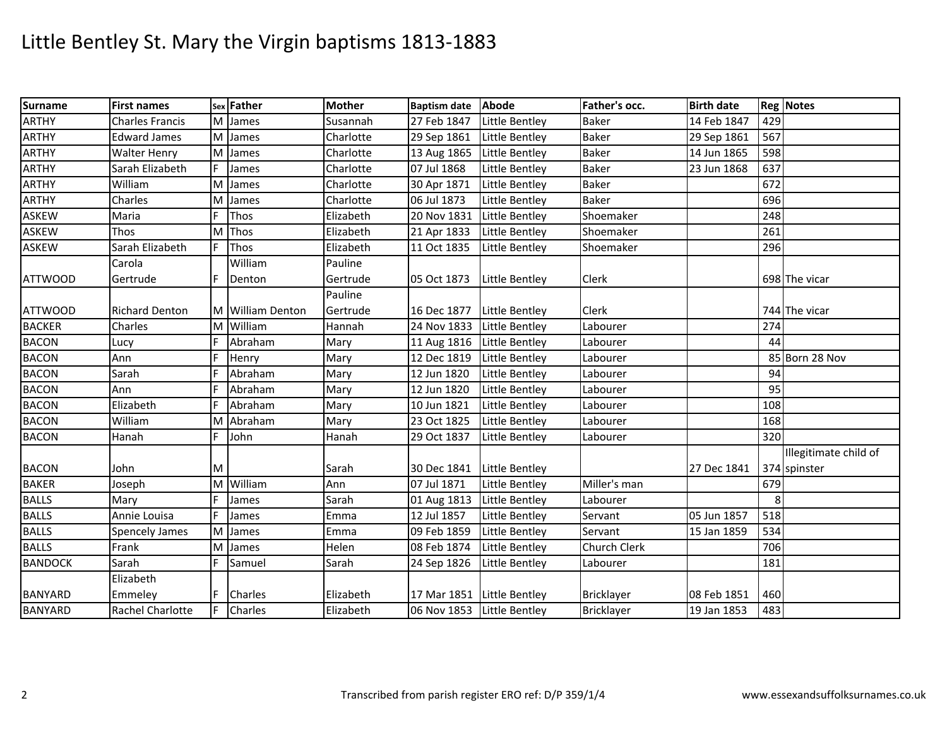| <b>Surname</b> | <b>First names</b>     |   | sex Father       | <b>Mother</b> | Baptism date Abode         |                | Father's occ.       | <b>Birth date</b> |     | <b>Reg Notes</b>      |
|----------------|------------------------|---|------------------|---------------|----------------------------|----------------|---------------------|-------------------|-----|-----------------------|
| <b>ARTHY</b>   | <b>Charles Francis</b> | M | James            | Susannah      | 27 Feb 1847                | Little Bentley | <b>Baker</b>        | 14 Feb 1847       | 429 |                       |
| <b>ARTHY</b>   | <b>Edward James</b>    |   | M James          | Charlotte     | 29 Sep 1861                | Little Bentley | <b>Baker</b>        | 29 Sep 1861       | 567 |                       |
| <b>ARTHY</b>   | <b>Walter Henry</b>    | М | James            | Charlotte     | 13 Aug 1865                | Little Bentley | <b>Baker</b>        | 14 Jun 1865       | 598 |                       |
| <b>ARTHY</b>   | Sarah Elizabeth        |   | James            | Charlotte     | 07 Jul 1868                | Little Bentley | <b>Baker</b>        | 23 Jun 1868       | 637 |                       |
| <b>ARTHY</b>   | William                | M | James            | Charlotte     | 30 Apr 1871                | Little Bentley | <b>Baker</b>        |                   | 672 |                       |
| <b>ARTHY</b>   | Charles                | M | James            | Charlotte     | 06 Jul 1873                | Little Bentley | <b>Baker</b>        |                   | 696 |                       |
| <b>ASKEW</b>   | Maria                  |   | Thos             | Elizabeth     | 20 Nov 1831                | Little Bentley | Shoemaker           |                   | 248 |                       |
| ASKEW          | <b>Thos</b>            | M | Thos             | Elizabeth     | 21 Apr 1833                | Little Bentley | Shoemaker           |                   | 261 |                       |
| <b>ASKEW</b>   | Sarah Elizabeth        | F | Thos             | Elizabeth     | 11 Oct 1835                | Little Bentley | Shoemaker           |                   | 296 |                       |
|                | Carola                 |   | William          | Pauline       |                            |                |                     |                   |     |                       |
| <b>ATTWOOD</b> | Gertrude               |   | Denton           | Gertrude      | 05 Oct 1873                | Little Bentley | <b>Clerk</b>        |                   |     | 698 The vicar         |
|                |                        |   |                  | Pauline       |                            |                |                     |                   |     |                       |
| <b>ATTWOOD</b> | <b>Richard Denton</b>  |   | M William Denton | Gertrude      | 16 Dec 1877                | Little Bentley | <b>Clerk</b>        |                   |     | 744 The vicar         |
| <b>BACKER</b>  | Charles                |   | M William        | Hannah        | 24 Nov 1833                | Little Bentley | Labourer            |                   | 274 |                       |
| <b>BACON</b>   | Lucy                   |   | Abraham          | Mary          | 11 Aug 1816 Little Bentley |                | Labourer            |                   | 44  |                       |
| <b>BACON</b>   | Ann                    |   | Henry            | Mary          | 12 Dec 1819                | Little Bentley | Labourer            |                   |     | 85 Born 28 Nov        |
| <b>BACON</b>   | Sarah                  | F | Abraham          | Mary          | 12 Jun 1820                | Little Bentley | Labourer            |                   | 94  |                       |
| <b>BACON</b>   | Ann                    | E | Abraham          | Mary          | 12 Jun 1820                | Little Bentley | Labourer            |                   | 95  |                       |
| <b>BACON</b>   | Elizabeth              | E | Abraham          | Mary          | 10 Jun 1821                | Little Bentley | Labourer            |                   | 108 |                       |
| <b>BACON</b>   | William                | м | Abraham          | Mary          | 23 Oct 1825                | Little Bentley | Labourer            |                   | 168 |                       |
| <b>BACON</b>   | Hanah                  | F | John             | Hanah         | 29 Oct 1837                | Little Bentley | Labourer            |                   | 320 |                       |
|                |                        |   |                  |               |                            |                |                     |                   |     | Illegitimate child of |
| <b>BACON</b>   | John                   | M |                  | Sarah         | 30 Dec 1841 Little Bentley |                |                     | 27 Dec 1841       |     | 374 spinster          |
| <b>BAKER</b>   | Joseph                 |   | M William        | Ann           | 07 Jul 1871                | Little Bentley | Miller's man        |                   | 679 |                       |
| <b>BALLS</b>   | Mary                   | F | James            | Sarah         | 01 Aug 1813                | Little Bentley | Labourer            |                   | 8   |                       |
| <b>BALLS</b>   | Annie Louisa           |   | James            | Emma          | 12 Jul 1857                | Little Bentley | Servant             | 05 Jun 1857       | 518 |                       |
| <b>BALLS</b>   | <b>Spencely James</b>  | M | James            | Emma          | 09 Feb 1859                | Little Bentley | Servant             | 15 Jan 1859       | 534 |                       |
| <b>BALLS</b>   | Frank                  | M | James            | Helen         | 08 Feb 1874                | Little Bentley | <b>Church Clerk</b> |                   | 706 |                       |
| <b>BANDOCK</b> | Sarah                  | F | Samuel           | Sarah         | 24 Sep 1826                | Little Bentley | Labourer            |                   | 181 |                       |
|                | Elizabeth              |   |                  |               |                            |                |                     |                   |     |                       |
| <b>BANYARD</b> | Emmeley                |   | Charles          | Elizabeth     | 17 Mar 1851 Little Bentley |                | Bricklayer          | 08 Feb 1851       | 460 |                       |
| <b>BANYARD</b> | Rachel Charlotte       |   | Charles          | Elizabeth     | 06 Nov 1853 Little Bentley |                | Bricklayer          | 19 Jan 1853       | 483 |                       |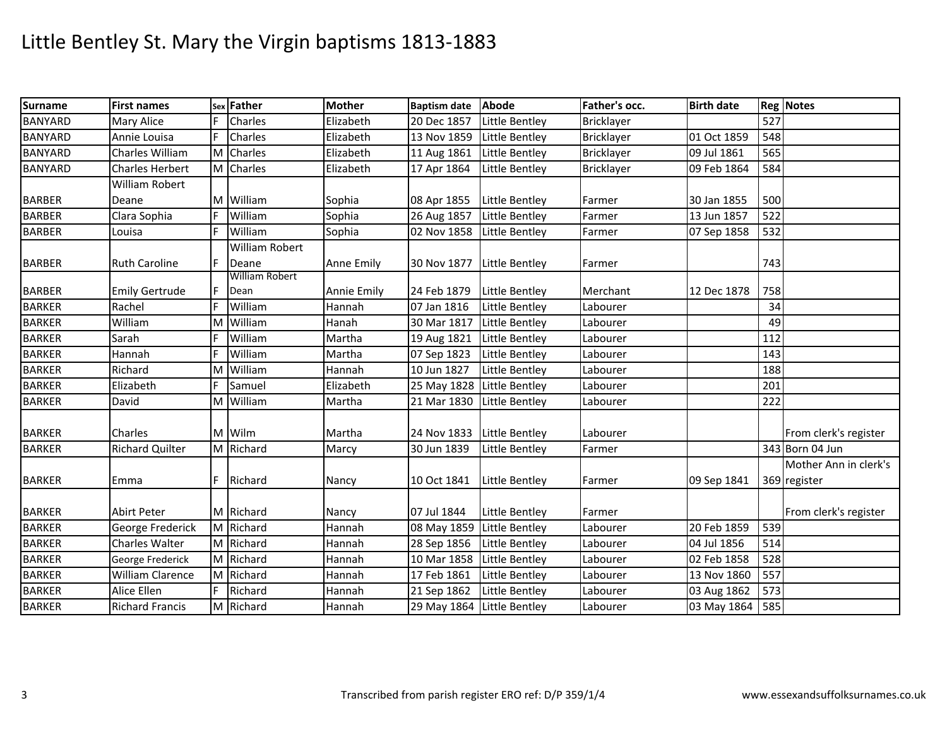| <b>Surname</b> | <b>First names</b>     |   | sex Father            | <b>Mother</b> | Baptism date Abode         |                | Father's occ. | <b>Birth date</b> |     | <b>Reg Notes</b>      |
|----------------|------------------------|---|-----------------------|---------------|----------------------------|----------------|---------------|-------------------|-----|-----------------------|
| <b>BANYARD</b> | Mary Alice             | F | Charles               | Elizabeth     | 20 Dec 1857                | Little Bentley | Bricklayer    |                   | 527 |                       |
| <b>BANYARD</b> | Annie Louisa           |   | Charles               | Elizabeth     | 13 Nov 1859                | Little Bentley | Bricklayer    | 01 Oct 1859       | 548 |                       |
| <b>BANYARD</b> | Charles William        |   | M Charles             | Elizabeth     | 11 Aug 1861                | Little Bentley | Bricklayer    | 09 Jul 1861       | 565 |                       |
| <b>BANYARD</b> | Charles Herbert        |   | M Charles             | Elizabeth     | 17 Apr 1864                | Little Bentley | Bricklayer    | 09 Feb 1864       | 584 |                       |
|                | William Robert         |   |                       |               |                            |                |               |                   |     |                       |
| <b>BARBER</b>  | Deane                  |   | M William             | Sophia        | 08 Apr 1855                | Little Bentley | Farmer        | 30 Jan 1855       | 500 |                       |
| <b>BARBER</b>  | Clara Sophia           |   | William               | Sophia        | 26 Aug 1857                | Little Bentley | Farmer        | 13 Jun 1857       | 522 |                       |
| <b>BARBER</b>  | Louisa                 | F | William               | Sophia        | 02 Nov 1858 Little Bentley |                | Farmer        | 07 Sep 1858       | 532 |                       |
|                |                        |   | <b>William Robert</b> |               |                            |                |               |                   |     |                       |
| <b>BARBER</b>  | <b>Ruth Caroline</b>   | F | Deane                 | Anne Emily    | 30 Nov 1877                | Little Bentley | Farmer        |                   | 743 |                       |
|                |                        |   | William Robert        |               |                            |                |               |                   |     |                       |
| <b>BARBER</b>  | <b>Emily Gertrude</b>  |   | Dean                  | Annie Emily   | 24 Feb 1879                | Little Bentley | Merchant      | 12 Dec 1878       | 758 |                       |
| <b>BARKER</b>  | Rachel                 |   | William               | Hannah        | 07 Jan 1816                | Little Bentley | Labourer      |                   | 34  |                       |
| <b>BARKER</b>  | William                | м | William               | Hanah         | 30 Mar 1817                | Little Bentley | Labourer      |                   | 49  |                       |
| <b>BARKER</b>  | Sarah                  | F | William               | Martha        | 19 Aug 1821                | Little Bentley | Labourer      |                   | 112 |                       |
| <b>BARKER</b>  | Hannah                 | F | William               | Martha        | 07 Sep 1823                | Little Bentley | Labourer      |                   | 143 |                       |
| <b>BARKER</b>  | Richard                | м | William               | Hannah        | 10 Jun 1827                | Little Bentley | Labourer      |                   | 188 |                       |
| <b>BARKER</b>  | Elizabeth              |   | Samuel                | Elizabeth     | 25 May 1828 Little Bentley |                | Labourer      |                   | 201 |                       |
| <b>BARKER</b>  | David                  |   | M William             | Martha        | 21 Mar 1830 Little Bentley |                | Labourer      |                   | 222 |                       |
| <b>BARKER</b>  | Charles                |   | M Wilm                | Martha        | 24 Nov 1833                | Little Bentley | Labourer      |                   |     | From clerk's register |
| <b>BARKER</b>  | <b>Richard Quilter</b> |   | M Richard             | Marcy         | 30 Jun 1839                | Little Bentley | Farmer        |                   |     | 343 Born 04 Jun       |
|                |                        |   |                       |               |                            |                |               |                   |     | Mother Ann in clerk's |
| <b>BARKER</b>  | Emma                   | F | Richard               | Nancy         | 10 Oct 1841                | Little Bentley | Farmer        | 09 Sep 1841       |     | 369 register          |
| <b>BARKER</b>  | <b>Abirt Peter</b>     |   | M Richard             | Nancy         | 07 Jul 1844                | Little Bentley | Farmer        |                   |     | From clerk's register |
| <b>BARKER</b>  | George Frederick       |   | M Richard             | Hannah        | 08 May 1859 Little Bentley |                | Labourer      | 20 Feb 1859       | 539 |                       |
| <b>BARKER</b>  | Charles Walter         |   | M Richard             | Hannah        | 28 Sep 1856                | Little Bentley | Labourer      | 04 Jul 1856       | 514 |                       |
| <b>BARKER</b>  | George Frederick       |   | M Richard             | Hannah        | 10 Mar 1858                | Little Bentley | Labourer      | 02 Feb 1858       | 528 |                       |
| <b>BARKER</b>  | William Clarence       |   | M Richard             | Hannah        | 17 Feb 1861                | Little Bentley | Labourer      | 13 Nov 1860       | 557 |                       |
| <b>BARKER</b>  | Alice Ellen            | F | Richard               | Hannah        | 21 Sep 1862                | Little Bentley | Labourer      | 03 Aug 1862       | 573 |                       |
| <b>BARKER</b>  | <b>Richard Francis</b> |   | M Richard             | Hannah        | 29 May 1864 Little Bentley |                | Labourer      | 03 May 1864       | 585 |                       |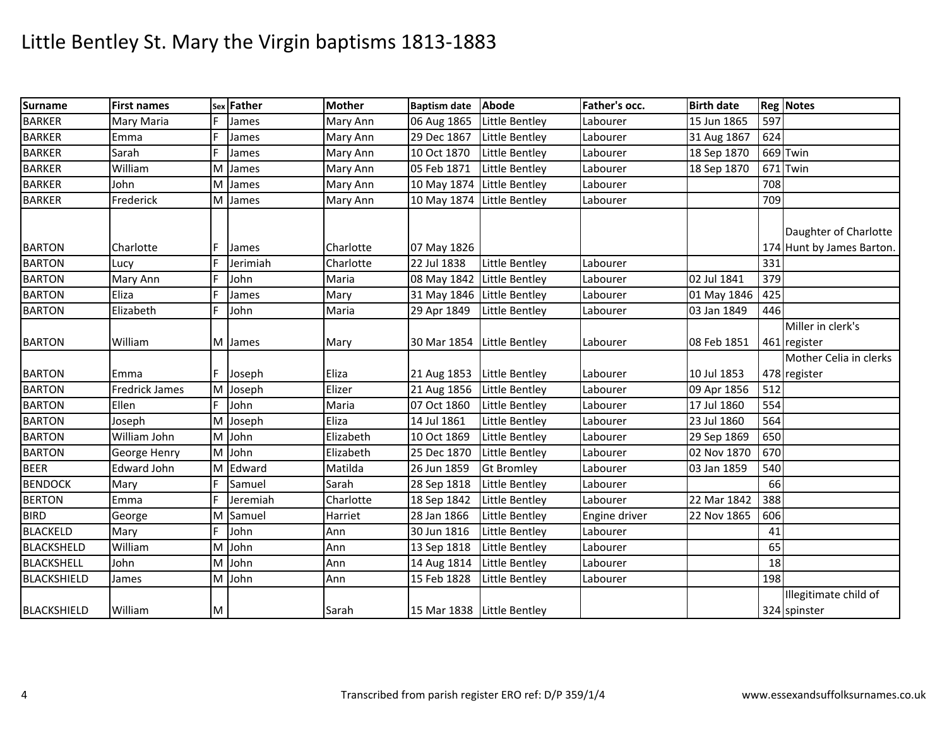| <b>Surname</b>    | <b>First names</b>    |    | sex Father | <b>Mother</b> | <b>Baptism date</b>        | Abode             | Father's occ. | <b>Birth date</b> |     | <b>Reg Notes</b>                                            |
|-------------------|-----------------------|----|------------|---------------|----------------------------|-------------------|---------------|-------------------|-----|-------------------------------------------------------------|
| <b>BARKER</b>     | Mary Maria            |    | James      | Mary Ann      | 06 Aug 1865                | Little Bentley    | Labourer      | 15 Jun 1865       | 597 |                                                             |
| <b>BARKER</b>     | Emma                  | F  | James      | Mary Ann      | 29 Dec 1867                | Little Bentley    | Labourer      | 31 Aug 1867       | 624 |                                                             |
| <b>BARKER</b>     | Sarah                 |    | James      | Mary Ann      | 10 Oct 1870                | Little Bentley    | Labourer      | 18 Sep 1870       |     | $669$ Twin                                                  |
| <b>BARKER</b>     | William               | м  | James      | Mary Ann      | 05 Feb 1871                | Little Bentley    | Labourer      | 18 Sep 1870       | 671 | Twin                                                        |
| <b>BARKER</b>     | John                  | М  | James      | Mary Ann      | 10 May 1874 Little Bentley |                   | Labourer      |                   | 708 |                                                             |
| <b>BARKER</b>     | Frederick             |    | M James    | Mary Ann      | 10 May 1874 Little Bentley |                   | Labourer      |                   | 709 |                                                             |
| <b>BARTON</b>     | Charlotte             |    | James      | Charlotte     | 07 May 1826                |                   |               |                   |     | Daughter of Charlotte<br>174 Hunt by James Barton.          |
| <b>BARTON</b>     | Lucy                  |    | Jerimiah   | Charlotte     | 22 Jul 1838                | Little Bentley    | Labourer      |                   | 331 |                                                             |
| <b>BARTON</b>     | Mary Ann              |    | John       | Maria         | 08 May 1842 Little Bentley |                   | Labourer      | 02 Jul 1841       | 379 |                                                             |
| <b>BARTON</b>     | Eliza                 |    | James      | Mary          | 31 May 1846 Little Bentley |                   | Labourer      | 01 May 1846       | 425 |                                                             |
| <b>BARTON</b>     | Elizabeth             |    | John       | Maria         | 29 Apr 1849                | Little Bentley    | Labourer      | 03 Jan 1849       | 446 |                                                             |
| <b>BARTON</b>     | William               |    | M James    | Mary          | 30 Mar 1854 Little Bentley |                   | Labourer      | 08 Feb 1851       |     | Miller in clerk's<br>461 register<br>Mother Celia in clerks |
| <b>BARTON</b>     | Emma                  | F. | Joseph     | Eliza         | 21 Aug 1853 Little Bentley |                   | Labourer      | 10 Jul 1853       |     | 478 register                                                |
| <b>BARTON</b>     | <b>Fredrick James</b> |    | M Joseph   | Elizer        | 21 Aug 1856                | Little Bentley    | Labourer      | 09 Apr 1856       | 512 |                                                             |
| <b>BARTON</b>     | Ellen                 | F. | John       | Maria         | 07 Oct 1860                | Little Bentley    | Labourer      | 17 Jul 1860       | 554 |                                                             |
| <b>BARTON</b>     | Joseph                |    | M Joseph   | Eliza         | 14 Jul 1861                | Little Bentley    | Labourer      | 23 Jul 1860       | 564 |                                                             |
| <b>BARTON</b>     | William John          |    | M John     | Elizabeth     | 10 Oct 1869                | Little Bentley    | Labourer      | 29 Sep 1869       | 650 |                                                             |
| <b>BARTON</b>     | George Henry          |    | M John     | Elizabeth     | 25 Dec 1870                | Little Bentley    | Labourer      | 02 Nov 1870       | 670 |                                                             |
| <b>BEER</b>       | Edward John           |    | M Edward   | Matilda       | 26 Jun 1859                | <b>Gt Bromley</b> | Labourer      | 03 Jan 1859       | 540 |                                                             |
| <b>BENDOCK</b>    | Mary                  | F  | Samuel     | Sarah         | 28 Sep 1818                | Little Bentley    | Labourer      |                   | 66  |                                                             |
| <b>BERTON</b>     | Emma                  | F  | Jeremiah   | Charlotte     | 18 Sep 1842                | Little Bentley    | Labourer      | 22 Mar 1842       | 388 |                                                             |
| <b>BIRD</b>       | George                |    | M Samuel   | Harriet       | 28 Jan 1866                | Little Bentley    | Engine driver | 22 Nov 1865       | 606 |                                                             |
| <b>BLACKELD</b>   | Mary                  | Е  | John       | Ann           | 30 Jun 1816                | Little Bentley    | Labourer      |                   | 41  |                                                             |
| <b>BLACKSHELD</b> | William               | м  | John       | Ann           | 13 Sep 1818                | Little Bentley    | Labourer      |                   | 65  |                                                             |
| <b>BLACKSHELL</b> | John                  |    | M John     | Ann           | 14 Aug 1814                | Little Bentley    | Labourer      |                   | 18  |                                                             |
| BLACKSHIELD       | James                 |    | M John     | Ann           | 15 Feb 1828                | Little Bentley    | Labourer      |                   | 198 |                                                             |
| BLACKSHIELD       | William               | M  |            | Sarah         | 15 Mar 1838 Little Bentley |                   |               |                   |     | Illegitimate child of<br>324 spinster                       |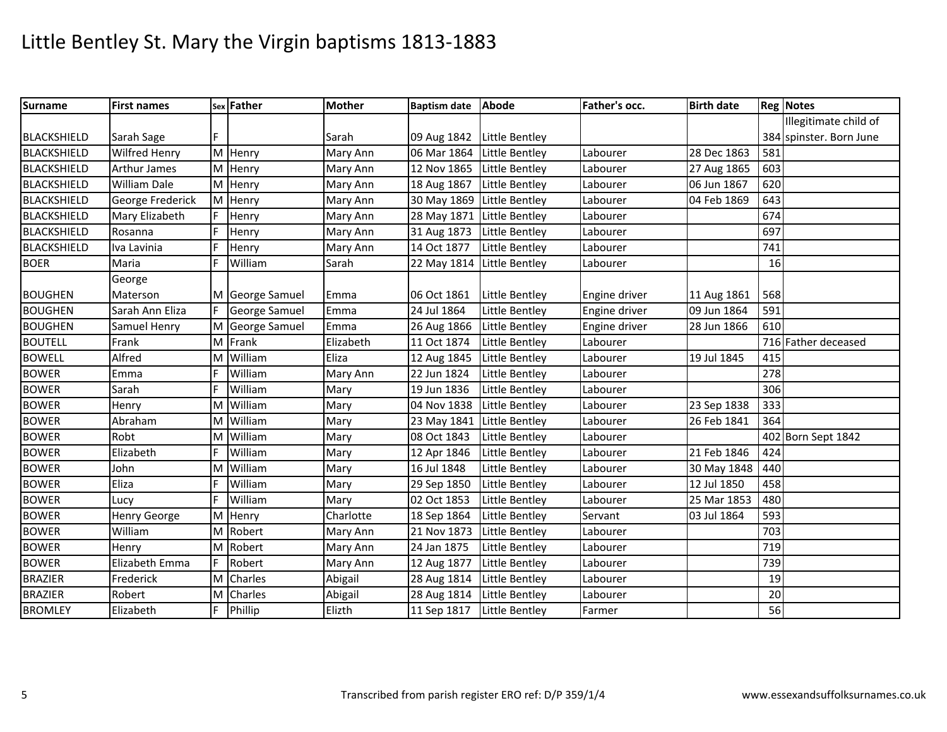| <b>Surname</b>     | <b>First names</b>  |   | sex Father      | <b>Mother</b> | <b>Baptism date</b> | <b>Abode</b>          | Father's occ. | <b>Birth date</b> |        | <b>Reg Notes</b>        |
|--------------------|---------------------|---|-----------------|---------------|---------------------|-----------------------|---------------|-------------------|--------|-------------------------|
|                    |                     |   |                 |               |                     |                       |               |                   |        | Illegitimate child of   |
| <b>BLACKSHIELD</b> | Sarah Sage          |   |                 | Sarah         | 09 Aug 1842         | Little Bentley        |               |                   |        | 384 spinster. Born June |
| <b>BLACKSHIELD</b> | Wilfred Henry       |   | M Henry         | Mary Ann      | 06 Mar 1864         | Little Bentley        | Labourer      | 28 Dec 1863       | 581    |                         |
| <b>BLACKSHIELD</b> | <b>Arthur James</b> |   | M Henry         | Mary Ann      | 12 Nov 1865         | Little Bentley        | Labourer      | 27 Aug 1865       | 603    |                         |
| <b>BLACKSHIELD</b> | William Dale        |   | M Henry         | Mary Ann      | 18 Aug 1867         | Little Bentley        | Labourer      | 06 Jun 1867       | 620    |                         |
| <b>BLACKSHIELD</b> | George Frederick    |   | M Henry         | Mary Ann      | 30 May 1869         | Little Bentley        | Labourer      | 04 Feb 1869       | 643    |                         |
| BLACKSHIELD        | Mary Elizabeth      |   | Henry           | Mary Ann      | 28 May 1871         | Little Bentley        | Labourer      |                   | 674    |                         |
| <b>BLACKSHIELD</b> | Rosanna             |   | Henry           | Mary Ann      | 31 Aug 1873         | Little Bentley        | Labourer      |                   | 697    |                         |
| <b>BLACKSHIELD</b> | Iva Lavinia         |   | Henry           | Mary Ann      | 14 Oct 1877         | <b>Little Bentley</b> | Labourer      |                   | 741    |                         |
| <b>BOER</b>        | Maria               | F | William         | Sarah         | 22 May 1814         | Little Bentley        | Labourer      |                   | 16     |                         |
|                    | George              |   |                 |               |                     |                       |               |                   |        |                         |
| <b>BOUGHEN</b>     | Materson            |   | M George Samuel | Emma          | 06 Oct 1861         | Little Bentley        | Engine driver | 11 Aug 1861       | 568    |                         |
| <b>BOUGHEN</b>     | Sarah Ann Eliza     | F | George Samuel   | Emma          | 24 Jul 1864         | Little Bentley        | Engine driver | 09 Jun 1864       | 591    |                         |
| <b>BOUGHEN</b>     | Samuel Henry        |   | M George Samuel | Emma          | 26 Aug 1866         | Little Bentley        | Engine driver | 28 Jun 1866       | 610    |                         |
| <b>BOUTELL</b>     | Frank               |   | M Frank         | Elizabeth     | 11 Oct 1874         | Little Bentley        | Labourer      |                   |        | 716 Father deceased     |
| <b>BOWELL</b>      | Alfred              |   | M William       | Eliza         | 12 Aug 1845         | Little Bentley        | Labourer      | 19 Jul 1845       | 415    |                         |
| <b>BOWER</b>       | Emma                |   | William         | Mary Ann      | 22 Jun 1824         | Little Bentley        | Labourer      |                   | 278    |                         |
| <b>BOWER</b>       | Sarah               | E | William         | Mary          | 19 Jun 1836         | Little Bentley        | Labourer      |                   | 306    |                         |
| <b>BOWER</b>       | Henry               | м | William         | Mary          | 04 Nov 1838         | Little Bentley        | Labourer      | 23 Sep 1838       | 333    |                         |
| <b>BOWER</b>       | Abraham             | м | William         | Mary          | 23 May 1841         | Little Bentley        | Labourer      | 26 Feb 1841       | 364    |                         |
| <b>BOWER</b>       | Robt                | M | William         | Mary          | 08 Oct 1843         | Little Bentley        | Labourer      |                   |        | 402 Born Sept 1842      |
| <b>BOWER</b>       | Elizabeth           | F | William         | Mary          | 12 Apr 1846         | Little Bentley        | Labourer      | 21 Feb 1846       | 424    |                         |
| <b>BOWER</b>       | John                | M | William         | Mary          | 16 Jul 1848         | Little Bentley        | Labourer      | 30 May 1848       | 440    |                         |
| <b>BOWER</b>       | Eliza               | F | William         | Mary          | 29 Sep 1850         | Little Bentley        | Labourer      | 12 Jul 1850       | 458    |                         |
| <b>BOWER</b>       | Lucy                | F | William         | Mary          | 02 Oct 1853         | Little Bentley        | Labourer      | 25 Mar 1853       | 480    |                         |
| <b>BOWER</b>       | Henry George        |   | M Henry         | Charlotte     | 18 Sep 1864         | Little Bentley        | Servant       | 03 Jul 1864       | 593    |                         |
| <b>BOWER</b>       | William             |   | M Robert        | Mary Ann      | 21 Nov 1873         | Little Bentley        | Labourer      |                   | 703    |                         |
| <b>BOWER</b>       | Henry               |   | M Robert        | Mary Ann      | 24 Jan 1875         | <b>Little Bentley</b> | Labourer      |                   | 719    |                         |
| <b>BOWER</b>       | Elizabeth Emma      | F | Robert          | Mary Ann      | 12 Aug 1877         | Little Bentley        | Labourer      |                   | 739    |                         |
| <b>BRAZIER</b>     | Frederick           |   | M Charles       | Abigail       | 28 Aug 1814         | Little Bentley        | Labourer      |                   | 19     |                         |
| <b>BRAZIER</b>     | Robert              | М | Charles         | Abigail       | 28 Aug 1814         | Little Bentley        | Labourer      |                   | $20\,$ |                         |
| <b>BROMLEY</b>     | Elizabeth           |   | Phillip         | Elizth        | 11 Sep 1817         | Little Bentley        | Farmer        |                   | 56     |                         |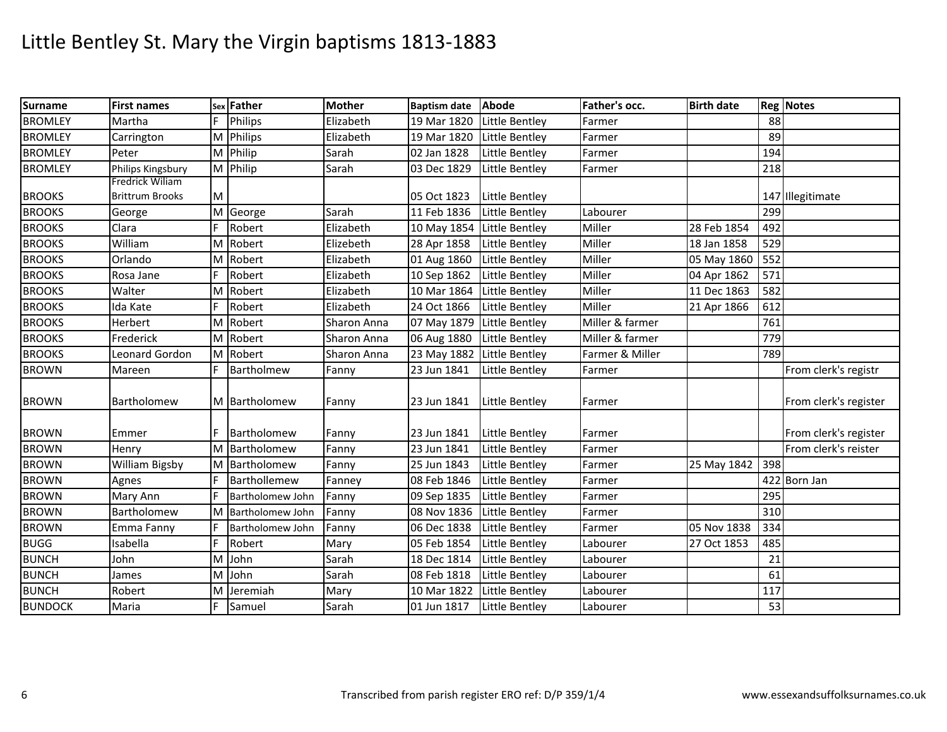| <b>Surname</b> | <b>First names</b>     |   | sex Father         | <b>Mother</b> | <b>Baptism date</b> | Abode                 | Father's occ.   | <b>Birth date</b> |     | <b>Reg Notes</b>      |
|----------------|------------------------|---|--------------------|---------------|---------------------|-----------------------|-----------------|-------------------|-----|-----------------------|
| <b>BROMLEY</b> | Martha                 |   | Philips            | Elizabeth     | 19 Mar 1820         | Little Bentley        | Farmer          |                   | 88  |                       |
| <b>BROMLEY</b> | Carrington             |   | M Philips          | Elizabeth     | 19 Mar 1820         | <b>Little Bentley</b> | Farmer          |                   | 89  |                       |
| <b>BROMLEY</b> | Peter                  |   | M Philip           | Sarah         | 02 Jan 1828         | Little Bentley        | Farmer          |                   | 194 |                       |
| <b>BROMLEY</b> | Philips Kingsbury      |   | M Philip           | Sarah         | 03 Dec 1829         | Little Bentley        | Farmer          |                   | 218 |                       |
|                | Fredrick Wiliam        |   |                    |               |                     |                       |                 |                   |     |                       |
| <b>BROOKS</b>  | <b>Brittrum Brooks</b> | M |                    |               | 05 Oct 1823         | Little Bentley        |                 |                   |     | 147 Illegitimate      |
| <b>BROOKS</b>  | George                 |   | M George           | Sarah         | 11 Feb 1836         | Little Bentley        | Labourer        |                   | 299 |                       |
| <b>BROOKS</b>  | Clara                  | F | Robert             | Elizabeth     | 10 May 1854         | Little Bentley        | Miller          | 28 Feb 1854       | 492 |                       |
| <b>BROOKS</b>  | William                |   | M Robert           | Elizebeth     | 28 Apr 1858         | Little Bentley        | Miller          | 18 Jan 1858       | 529 |                       |
| <b>BROOKS</b>  | Orlando                |   | M Robert           | Elizabeth     | 01 Aug 1860         | Little Bentley        | Miller          | 05 May 1860       | 552 |                       |
| <b>BROOKS</b>  | Rosa Jane              | F | Robert             | Elizabeth     | 10 Sep 1862         | Little Bentley        | Miller          | 04 Apr 1862       | 571 |                       |
| <b>BROOKS</b>  | Walter                 |   | M Robert           | Elizabeth     | 10 Mar 1864         | <b>Little Bentley</b> | Miller          | 11 Dec 1863       | 582 |                       |
| <b>BROOKS</b>  | Ida Kate               |   | Robert             | Elizabeth     | 24 Oct 1866         | Little Bentley        | Miller          | 21 Apr 1866       | 612 |                       |
| <b>BROOKS</b>  | Herbert                |   | M Robert           | Sharon Anna   | 07 May 1879         | Little Bentley        | Miller & farmer |                   | 761 |                       |
| <b>BROOKS</b>  | Frederick              |   | M Robert           | Sharon Anna   | 06 Aug 1880         | <b>Little Bentley</b> | Miller & farmer |                   | 779 |                       |
| <b>BROOKS</b>  | Leonard Gordon         |   | M Robert           | Sharon Anna   | 23 May 1882         | Little Bentley        | Farmer & Miller |                   | 789 |                       |
| <b>BROWN</b>   | Mareen                 |   | Bartholmew         | Fanny         | 23 Jun 1841         | Little Bentley        | Farmer          |                   |     | From clerk's registr  |
| <b>BROWN</b>   | Bartholomew            |   | M Bartholomew      | Fanny         | 23 Jun 1841         | Little Bentley        | Farmer          |                   |     | From clerk's register |
| <b>BROWN</b>   | Emmer                  | F | Bartholomew        | Fanny         | 23 Jun 1841         | <b>Little Bentley</b> | Farmer          |                   |     | From clerk's register |
| <b>BROWN</b>   | Henry                  |   | M Bartholomew      | Fanny         | 23 Jun 1841         | <b>Little Bentley</b> | Farmer          |                   |     | From clerk's reister  |
| <b>BROWN</b>   | <b>William Bigsby</b>  |   | M Bartholomew      | Fanny         | 25 Jun 1843         | Little Bentley        | Farmer          | 25 May 1842       | 398 |                       |
| <b>BROWN</b>   | Agnes                  | F | Barthollemew       | Fanney        | 08 Feb 1846         | Little Bentley        | Farmer          |                   |     | 422 Born Jan          |
| <b>BROWN</b>   | Mary Ann               |   | Bartholomew John   | Fanny         | 09 Sep 1835         | Little Bentley        | Farmer          |                   | 295 |                       |
| <b>BROWN</b>   | Bartholomew            |   | M Bartholomew John | Fanny         | 08 Nov 1836         | Little Bentley        | Farmer          |                   | 310 |                       |
| <b>BROWN</b>   | Emma Fanny             |   | Bartholomew John   | Fanny         | 06 Dec 1838         | Little Bentley        | Farmer          | 05 Nov 1838       | 334 |                       |
| <b>BUGG</b>    | Isabella               | F | Robert             | Mary          | 05 Feb 1854         | Little Bentley        | Labourer        | 27 Oct 1853       | 485 |                       |
| <b>BUNCH</b>   | John                   | M | John               | Sarah         | 18 Dec 1814         | Little Bentley        | Labourer        |                   | 21  |                       |
| <b>BUNCH</b>   | James                  |   | M John             | Sarah         | 08 Feb 1818         | <b>Little Bentley</b> | Labourer        |                   | 61  |                       |
| <b>BUNCH</b>   | Robert                 | м | Jeremiah           | Mary          | 10 Mar 1822         | Little Bentley        | Labourer        |                   | 117 |                       |
| <b>BUNDOCK</b> | Maria                  |   | Samuel             | Sarah         | 01 Jun 1817         | Little Bentley        | Labourer        |                   | 53  |                       |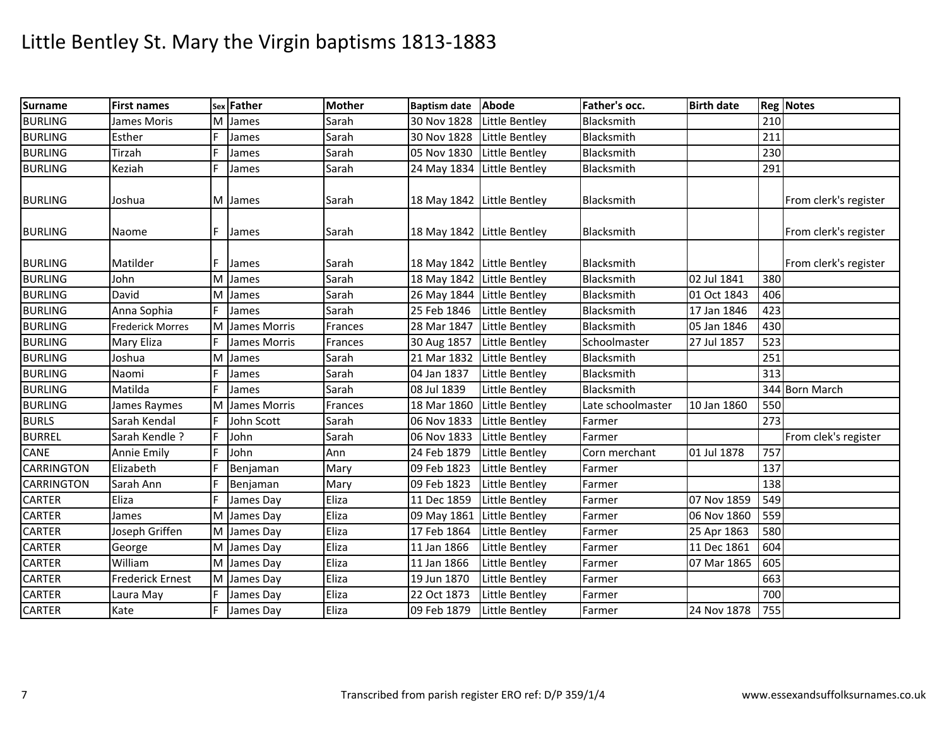| <b>Surname</b>    | <b>First names</b>      |   | sex Father   | <b>Mother</b> | <b>Baptism date</b>        | Abode                 | Father's occ.     | <b>Birth date</b> |     | <b>Reg Notes</b>      |
|-------------------|-------------------------|---|--------------|---------------|----------------------------|-----------------------|-------------------|-------------------|-----|-----------------------|
| <b>BURLING</b>    | James Moris             | M | James        | Sarah         | 30 Nov 1828                | Little Bentley        | Blacksmith        |                   | 210 |                       |
| <b>BURLING</b>    | Esther                  | F | James        | Sarah         | 30 Nov 1828                | <b>Little Bentley</b> | Blacksmith        |                   | 211 |                       |
| <b>BURLING</b>    | Tirzah                  |   | James        | Sarah         | 05 Nov 1830                | Little Bentley        | Blacksmith        |                   | 230 |                       |
| <b>BURLING</b>    | Keziah                  |   | James        | Sarah         | 24 May 1834 Little Bentley |                       | Blacksmith        |                   | 291 |                       |
| <b>BURLING</b>    | Joshua                  |   | M James      | Sarah         | 18 May 1842 Little Bentley |                       | Blacksmith        |                   |     | From clerk's register |
| <b>BURLING</b>    | Naome                   | F | James        | Sarah         | 18 May 1842 Little Bentley |                       | Blacksmith        |                   |     | From clerk's register |
| <b>BURLING</b>    | Matilder                |   | James        | Sarah         | 18 May 1842 Little Bentley |                       | Blacksmith        |                   |     | From clerk's register |
| <b>BURLING</b>    | John                    | м | James        | Sarah         | 18 May 1842 Little Bentley |                       | Blacksmith        | 02 Jul 1841       | 380 |                       |
| <b>BURLING</b>    | David                   |   | M James      | Sarah         | 26 May 1844 Little Bentley |                       | Blacksmith        | 01 Oct 1843       | 406 |                       |
| <b>BURLING</b>    | Anna Sophia             |   | James        | Sarah         | 25 Feb 1846                | Little Bentley        | Blacksmith        | 17 Jan 1846       | 423 |                       |
| <b>BURLING</b>    | <b>Frederick Morres</b> | M | James Morris | Frances       | 28 Mar 1847                | Little Bentley        | Blacksmith        | 05 Jan 1846       | 430 |                       |
| <b>BURLING</b>    | Mary Eliza              |   | James Morris | Frances       | 30 Aug 1857                | <b>Little Bentley</b> | Schoolmaster      | 27 Jul 1857       | 523 |                       |
| <b>BURLING</b>    | Joshua                  | M | James        | Sarah         | 21 Mar 1832                | Little Bentley        | Blacksmith        |                   | 251 |                       |
| <b>BURLING</b>    | Naomi                   |   | James        | Sarah         | 04 Jan 1837                | Little Bentley        | Blacksmith        |                   | 313 |                       |
| <b>BURLING</b>    | Matilda                 | F | James        | Sarah         | 08 Jul 1839                | Little Bentley        | Blacksmith        |                   |     | 344 Born March        |
| <b>BURLING</b>    | James Raymes            | м | James Morris | Frances       | 18 Mar 1860                | Little Bentley        | Late schoolmaster | 10 Jan 1860       | 550 |                       |
| <b>BURLS</b>      | Sarah Kendal            |   | John Scott   | Sarah         | 06 Nov 1833                | <b>Little Bentley</b> | Farmer            |                   | 273 |                       |
| <b>BURREL</b>     | Sarah Kendle?           | F | John         | Sarah         | 06 Nov 1833                | Little Bentley        | Farmer            |                   |     | From clek's register  |
| <b>CANE</b>       | Annie Emily             | F | John         | Ann           | 24 Feb 1879                | <b>Little Bentley</b> | Corn merchant     | 01 Jul 1878       | 757 |                       |
| <b>CARRINGTON</b> | Elizabeth               |   | Benjaman     | Mary          | 09 Feb 1823                | Little Bentley        | Farmer            |                   | 137 |                       |
| <b>CARRINGTON</b> | Sarah Ann               |   | Benjaman     | Mary          | 09 Feb 1823                | Little Bentley        | Farmer            |                   | 138 |                       |
| <b>CARTER</b>     | Eliza                   | F | James Day    | Eliza         | 11 Dec 1859                | Little Bentley        | Farmer            | 07 Nov 1859       | 549 |                       |
| <b>CARTER</b>     | James                   | M | James Day    | Eliza         | 09 May 1861                | Little Bentley        | Farmer            | 06 Nov 1860       | 559 |                       |
| <b>CARTER</b>     | Joseph Griffen          | M | James Day    | Eliza         | 17 Feb 1864                | Little Bentley        | Farmer            | 25 Apr 1863       | 580 |                       |
| <b>CARTER</b>     | George                  |   | M James Day  | Eliza         | 11 Jan 1866                | Little Bentley        | Farmer            | 11 Dec 1861       | 604 |                       |
| <b>CARTER</b>     | William                 |   | M James Day  | Eliza         | 11 Jan 1866                | <b>Little Bentley</b> | Farmer            | 07 Mar 1865       | 605 |                       |
| <b>CARTER</b>     | <b>Frederick Ernest</b> |   | M James Day  | Eliza         | 19 Jun 1870                | Little Bentley        | Farmer            |                   | 663 |                       |
| <b>CARTER</b>     | Laura May               |   | James Day    | Eliza         | 22 Oct 1873                | Little Bentley        | Farmer            |                   | 700 |                       |
| <b>CARTER</b>     | Kate                    |   | James Day    | Eliza         | 09 Feb 1879                | <b>Little Bentley</b> | Farmer            | 24 Nov 1878       | 755 |                       |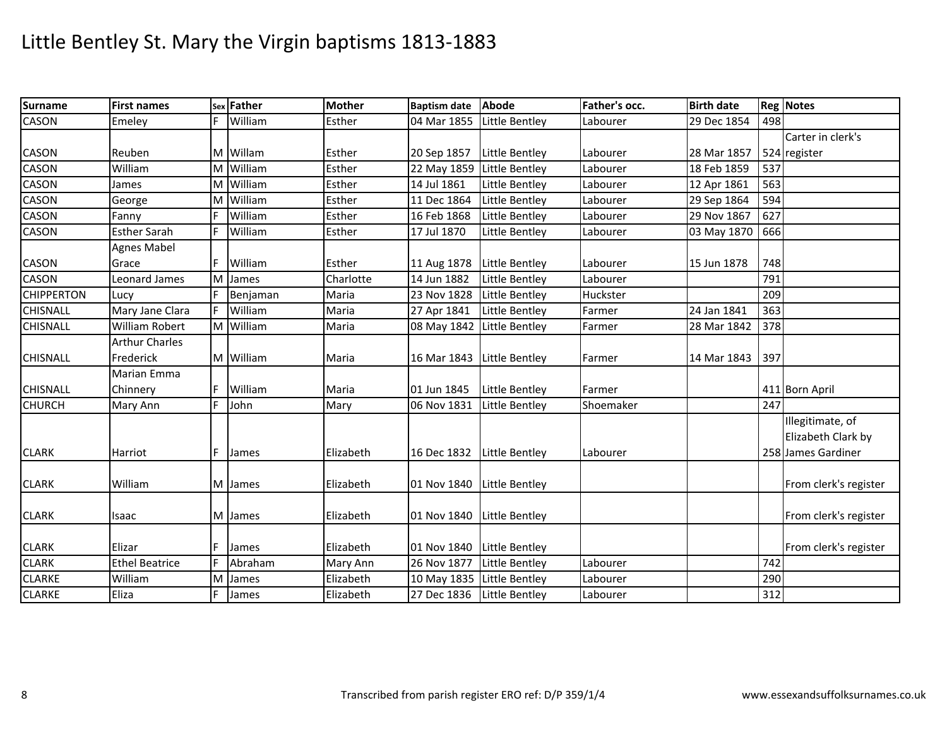| <b>Surname</b>    | <b>First names</b>    |    | sex Father | <b>Mother</b> | Baptism date Abode         |                | Father's occ. | <b>Birth date</b> |     | <b>Reg Notes</b>      |
|-------------------|-----------------------|----|------------|---------------|----------------------------|----------------|---------------|-------------------|-----|-----------------------|
| <b>CASON</b>      | Emeley                | E  | William    | Esther        | 04 Mar 1855                | Little Bentley | Labourer      | 29 Dec 1854       | 498 |                       |
|                   |                       |    |            |               |                            |                |               |                   |     | Carter in clerk's     |
| CASON             | Reuben                |    | M Willam   | Esther        | 20 Sep 1857                | Little Bentley | Labourer      | 28 Mar 1857       |     | 524 register          |
| <b>CASON</b>      | William               |    | M William  | Esther        | 22 May 1859 Little Bentley |                | Labourer      | 18 Feb 1859       | 537 |                       |
| CASON             | James                 | M  | William    | Esther        | 14 Jul 1861                | Little Bentley | Labourer      | 12 Apr 1861       | 563 |                       |
| CASON             | George                | M  | William    | Esther        | 11 Dec 1864                | Little Bentley | Labourer      | 29 Sep 1864       | 594 |                       |
| <b>CASON</b>      | Fanny                 | F  | William    | Esther        | 16 Feb 1868                | Little Bentley | Labourer      | 29 Nov 1867       | 627 |                       |
| CASON             | <b>Esther Sarah</b>   | IF | William    | Esther        | 17 Jul 1870                | Little Bentley | Labourer      | 03 May 1870       | 666 |                       |
|                   | <b>Agnes Mabel</b>    |    |            |               |                            |                |               |                   |     |                       |
| <b>CASON</b>      | Grace                 |    | William    | Esther        | 11 Aug 1878                | Little Bentley | Labourer      | 15 Jun 1878       | 748 |                       |
| <b>CASON</b>      | Leonard James         | M  | James      | Charlotte     | 14 Jun 1882                | Little Bentley | Labourer      |                   | 791 |                       |
| <b>CHIPPERTON</b> | Lucy                  |    | Benjaman   | Maria         | 23 Nov 1828                | Little Bentley | Huckster      |                   | 209 |                       |
| <b>CHISNALL</b>   | Mary Jane Clara       |    | William    | Maria         | 27 Apr 1841                | Little Bentley | Farmer        | 24 Jan 1841       | 363 |                       |
| <b>CHISNALL</b>   | William Robert        |    | M William  | Maria         | 08 May 1842 Little Bentley |                | Farmer        | 28 Mar 1842       | 378 |                       |
|                   | <b>Arthur Charles</b> |    |            |               |                            |                |               |                   |     |                       |
| <b>CHISNALL</b>   | Frederick             |    | M William  | Maria         | 16 Mar 1843 Little Bentley |                | Farmer        | 14 Mar 1843       | 397 |                       |
|                   | Marian Emma           |    |            |               |                            |                |               |                   |     |                       |
| <b>CHISNALL</b>   | Chinnery              |    | William    | Maria         | 01 Jun 1845                | Little Bentley | Farmer        |                   |     | 411 Born April        |
| <b>CHURCH</b>     | Mary Ann              | F  | John       | Mary          | 06 Nov 1831                | Little Bentley | Shoemaker     |                   | 247 |                       |
|                   |                       |    |            |               |                            |                |               |                   |     | Illegitimate, of      |
|                   |                       |    |            |               |                            |                |               |                   |     | Elizabeth Clark by    |
| <b>CLARK</b>      | Harriot               |    | James      | Elizabeth     | 16 Dec 1832 Little Bentley |                | Labourer      |                   |     | 258 James Gardiner    |
|                   |                       |    |            |               |                            |                |               |                   |     |                       |
| <b>CLARK</b>      | William               |    | M James    | Elizabeth     | 01 Nov 1840                | Little Bentley |               |                   |     | From clerk's register |
|                   |                       |    |            |               |                            |                |               |                   |     |                       |
| <b>CLARK</b>      | Isaac                 |    | M James    | Elizabeth     | 01 Nov 1840                | Little Bentley |               |                   |     | From clerk's register |
|                   |                       |    |            |               |                            |                |               |                   |     |                       |
| <b>CLARK</b>      | Elizar                |    | James      | Elizabeth     | 01 Nov 1840                | Little Bentley |               |                   |     | From clerk's register |
| <b>CLARK</b>      | <b>Ethel Beatrice</b> | E  | Abraham    | Mary Ann      | 26 Nov 1877                | Little Bentley | Labourer      |                   | 742 |                       |
| <b>CLARKE</b>     | William               | M  | James      | Elizabeth     | 10 May 1835 Little Bentley |                | Labourer      |                   | 290 |                       |
| <b>CLARKE</b>     | Eliza                 | F  | James      | Elizabeth     | 27 Dec 1836 Little Bentley |                | Labourer      |                   | 312 |                       |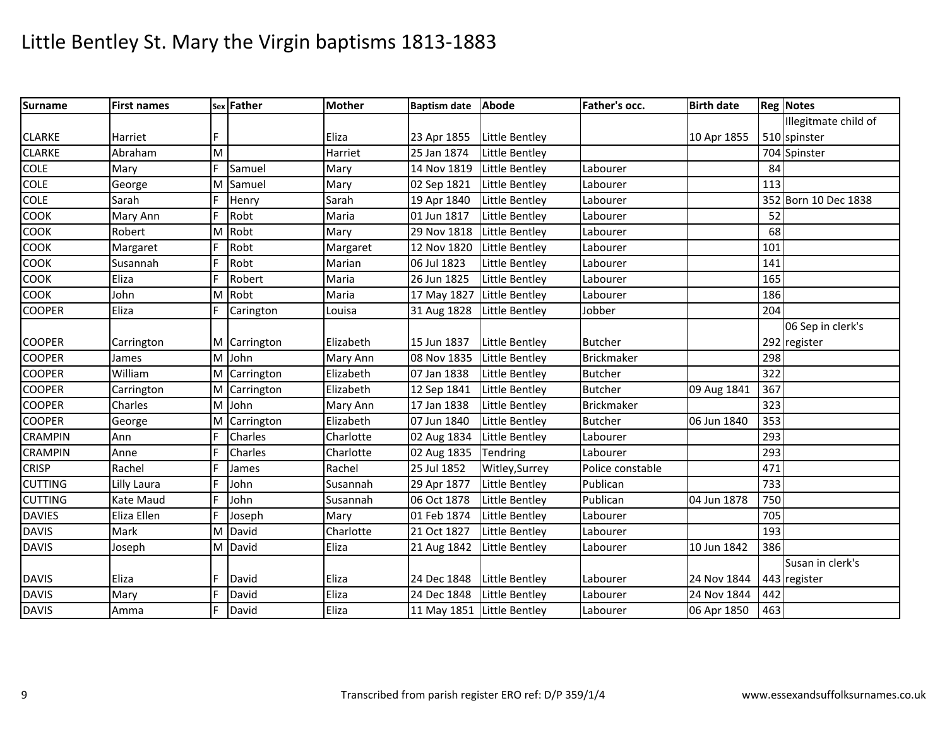| <b>Surname</b> | <b>First names</b> |   | sex Father   | <b>Mother</b> | Baptism date Abode         |                | Father's occ.    | <b>Birth date</b> |     | <b>Reg Notes</b>     |
|----------------|--------------------|---|--------------|---------------|----------------------------|----------------|------------------|-------------------|-----|----------------------|
|                |                    |   |              |               |                            |                |                  |                   |     | Illegitmate child of |
| <b>CLARKE</b>  | Harriet            |   |              | Eliza         | 23 Apr 1855                | Little Bentley |                  | 10 Apr 1855       |     | 510 spinster         |
| <b>CLARKE</b>  | Abraham            | M |              | Harriet       | 25 Jan 1874                | Little Bentley |                  |                   |     | 704 Spinster         |
| <b>COLE</b>    | Mary               | E | Samuel       | Mary          | 14 Nov 1819                | Little Bentley | Labourer         |                   | 84  |                      |
| <b>COLE</b>    | George             | M | Samuel       | Mary          | 02 Sep 1821                | Little Bentley | Labourer         |                   | 113 |                      |
| <b>COLE</b>    | Sarah              | F | Henry        | Sarah         | 19 Apr 1840                | Little Bentley | Labourer         |                   |     | 352 Born 10 Dec 1838 |
| COOK           | Mary Ann           | F | Robt         | Maria         | 01 Jun 1817                | Little Bentley | Labourer         |                   | 52  |                      |
| COOK           | Robert             | м | Robt         | Mary          | 29 Nov 1818                | Little Bentley | Labourer         |                   | 68  |                      |
| COOK           | Margaret           |   | Robt         | Margaret      | 12 Nov 1820                | Little Bentley | Labourer         |                   | 101 |                      |
| COOK           | Susannah           |   | Robt         | Marian        | 06 Jul 1823                | Little Bentley | Labourer         |                   | 141 |                      |
| COOK           | Eliza              |   | Robert       | Maria         | 26 Jun 1825                | Little Bentley | Labourer         |                   | 165 |                      |
| COOK           | John               | M | Robt         | Maria         | 17 May 1827                | Little Bentley | Labourer         |                   | 186 |                      |
| <b>COOPER</b>  | Eliza              | F | Carington    | Louisa        | 31 Aug 1828                | Little Bentley | Jobber           |                   | 204 |                      |
|                |                    |   |              |               |                            |                |                  |                   |     | 06 Sep in clerk's    |
| <b>COOPER</b>  | Carrington         |   | M Carrington | Elizabeth     | 15 Jun 1837                | Little Bentley | <b>Butcher</b>   |                   |     | 292 register         |
| <b>COOPER</b>  | James              | M | John         | Mary Ann      | 08 Nov 1835                | Little Bentley | Brickmaker       |                   | 298 |                      |
| <b>COOPER</b>  | William            |   | M Carrington | Elizabeth     | 07 Jan 1838                | Little Bentley | <b>Butcher</b>   |                   | 322 |                      |
| <b>COOPER</b>  | Carrington         |   | M Carrington | Elizabeth     | 12 Sep 1841                | Little Bentley | <b>Butcher</b>   | 09 Aug 1841       | 367 |                      |
| <b>COOPER</b>  | Charles            | М | John         | Mary Ann      | 17 Jan 1838                | Little Bentley | Brickmaker       |                   | 323 |                      |
| <b>COOPER</b>  | George             | M | Carrington   | Elizabeth     | 07 Jun 1840                | Little Bentley | <b>Butcher</b>   | 06 Jun 1840       | 353 |                      |
| <b>CRAMPIN</b> | Ann                | F | Charles      | Charlotte     | 02 Aug 1834                | Little Bentley | Labourer         |                   | 293 |                      |
| <b>CRAMPIN</b> | Anne               | E | Charles      | Charlotte     | 02 Aug 1835                | Tendring       | Labourer         |                   | 293 |                      |
| <b>CRISP</b>   | Rachel             |   | James        | Rachel        | 25 Jul 1852                | Witley, Surrey | Police constable |                   | 471 |                      |
| <b>CUTTING</b> | Lilly Laura        | E | John         | Susannah      | 29 Apr 1877                | Little Bentley | Publican         |                   | 733 |                      |
| <b>CUTTING</b> | Kate Maud          | E | John         | Susannah      | 06 Oct 1878                | Little Bentley | Publican         | 04 Jun 1878       | 750 |                      |
| <b>DAVIES</b>  | Eliza Ellen        | E | Joseph       | Mary          | 01 Feb 1874                | Little Bentley | Labourer         |                   | 705 |                      |
| <b>DAVIS</b>   | Mark               | м | David        | Charlotte     | 21 Oct 1827                | Little Bentley | Labourer         |                   | 193 |                      |
| <b>DAVIS</b>   | Joseph             | M | David        | Eliza         | 21 Aug 1842                | Little Bentley | Labourer         | 10 Jun 1842       | 386 |                      |
|                |                    |   |              |               |                            |                |                  |                   |     | Susan in clerk's     |
| <b>DAVIS</b>   | Eliza              | F | David        | Eliza         | 24 Dec 1848 Little Bentley |                | Labourer         | 24 Nov 1844       |     | 443 register         |
| <b>DAVIS</b>   | Mary               | E | David        | Eliza         | 24 Dec 1848                | Little Bentley | Labourer         | 24 Nov 1844       | 442 |                      |
| <b>DAVIS</b>   | Amma               | F | David        | Eliza         | 11 May 1851 Little Bentley |                | Labourer         | 06 Apr 1850       | 463 |                      |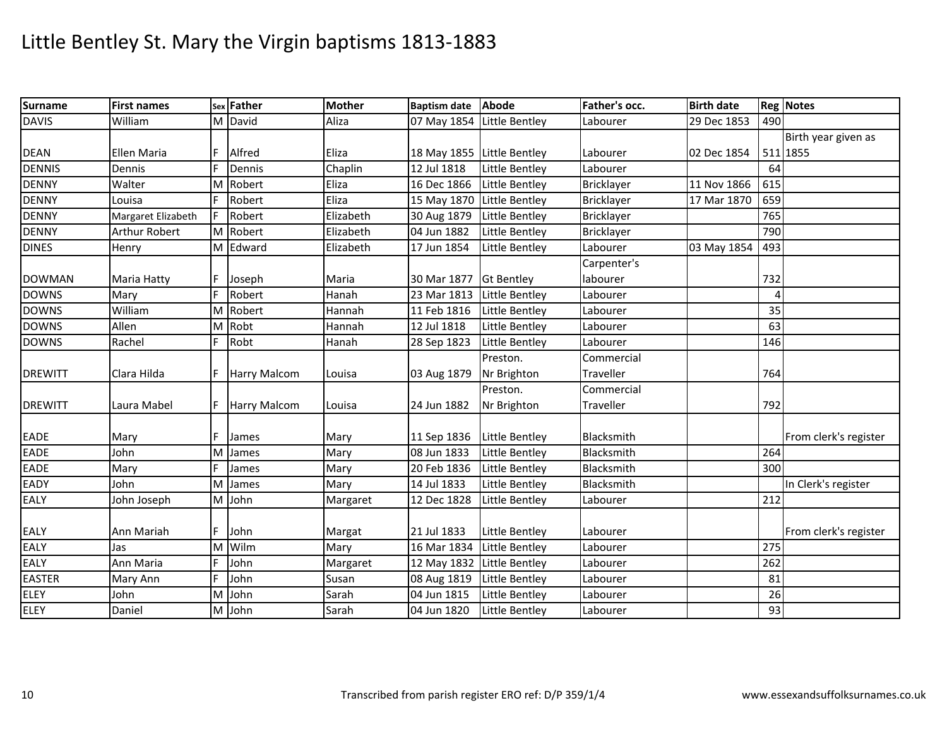| <b>Surname</b> | <b>First names</b> |    | sex Father          | <b>Mother</b> | <b>Baptism date</b>        | Abode             | Father's occ.     | <b>Birth date</b> |     | <b>Reg Notes</b>      |
|----------------|--------------------|----|---------------------|---------------|----------------------------|-------------------|-------------------|-------------------|-----|-----------------------|
| <b>DAVIS</b>   | William            |    | M David             | Aliza         | 07 May 1854                | Little Bentley    | Labourer          | 29 Dec 1853       | 490 |                       |
|                |                    |    |                     |               |                            |                   |                   |                   |     | Birth year given as   |
| <b>DEAN</b>    | Ellen Maria        | F  | Alfred              | <b>IEliza</b> | 18 May 1855 Little Bentley |                   | Labourer          | 02 Dec 1854       |     | 511 1855              |
| <b>DENNIS</b>  | Dennis             |    | Dennis              | Chaplin       | 12 Jul 1818                | Little Bentley    | Labourer          |                   | 64  |                       |
| <b>DENNY</b>   | Walter             |    | M Robert            | Eliza         | 16 Dec 1866 Little Bentley |                   | Bricklayer        | 11 Nov 1866       | 615 |                       |
| <b>DENNY</b>   | Louisa             | F  | Robert              | Eliza         | 15 May 1870                | Little Bentley    | <b>Bricklayer</b> | 17 Mar 1870       | 659 |                       |
| <b>DENNY</b>   | Margaret Elizabeth | F  | Robert              | Elizabeth     | 30 Aug 1879                | Little Bentley    | Bricklayer        |                   | 765 |                       |
| <b>DENNY</b>   | Arthur Robert      |    | M Robert            | Elizabeth     | 04 Jun 1882                | Little Bentley    | Bricklayer        |                   | 790 |                       |
| <b>DINES</b>   | Henry              |    | M Edward            | Elizabeth     | 17 Jun 1854                | Little Bentley    | Labourer          | 03 May 1854       | 493 |                       |
|                |                    |    |                     |               |                            |                   | Carpenter's       |                   |     |                       |
| <b>DOWMAN</b>  | Maria Hatty        | F  | Joseph              | Maria         | 30 Mar 1877                | <b>Gt Bentley</b> | labourer          |                   | 732 |                       |
| <b>DOWNS</b>   | Mary               |    | Robert              | Hanah         | 23 Mar 1813                | Little Bentley    | Labourer          |                   | Δ   |                       |
| <b>DOWNS</b>   | William            |    | M Robert            | Hannah        | 11 Feb 1816                | Little Bentley    | Labourer          |                   | 35  |                       |
| <b>DOWNS</b>   | Allen              |    | M Robt              | Hannah        | 12 Jul 1818                | Little Bentley    | Labourer          |                   | 63  |                       |
| <b>DOWNS</b>   | Rachel             | F. | Robt                | Hanah         | 28 Sep 1823                | Little Bentley    | Labourer          |                   | 146 |                       |
|                |                    |    |                     |               |                            | Preston.          | Commercial        |                   |     |                       |
| <b>DREWITT</b> | Clara Hilda        |    | Harry Malcom        | Louisa        | 03 Aug 1879                | Nr Brighton       | Traveller         |                   | 764 |                       |
|                |                    |    |                     |               |                            | Preston.          | Commercial        |                   |     |                       |
| <b>DREWITT</b> | Laura Mabel        | F  | <b>Harry Malcom</b> | Louisa        | 24 Jun 1882                | Nr Brighton       | Traveller         |                   | 792 |                       |
|                |                    |    |                     |               |                            |                   |                   |                   |     |                       |
| <b>EADE</b>    | Mary               |    | James               | Mary          | 11 Sep 1836                | Little Bentley    | Blacksmith        |                   |     | From clerk's register |
| <b>EADE</b>    | John               | M  | James               | Mary          | 08 Jun 1833                | Little Bentley    | Blacksmith        |                   | 264 |                       |
| <b>EADE</b>    | Mary               | F  | James               | Mary          | 20 Feb 1836                | Little Bentley    | Blacksmith        |                   | 300 |                       |
| EADY           | John               | M  | James               | Mary          | 14 Jul 1833                | Little Bentley    | Blacksmith        |                   |     | In Clerk's register   |
| EALY           | John Joseph        |    | M John              | Margaret      | 12 Dec 1828                | Little Bentley    | Labourer          |                   | 212 |                       |
|                |                    |    |                     |               |                            |                   |                   |                   |     |                       |
| <b>EALY</b>    | Ann Mariah         | F  | John                | Margat        | 21 Jul 1833                | Little Bentley    | Labourer          |                   |     | From clerk's register |
| <b>EALY</b>    | Jas                | M  | Wilm                | Mary          | 16 Mar 1834                | Little Bentley    | Labourer          |                   | 275 |                       |
| <b>EALY</b>    | Ann Maria          | E  | John                | Margaret      | 12 May 1832 Little Bentley |                   | Labourer          |                   | 262 |                       |
| <b>EASTER</b>  | Mary Ann           | E  | John                | Susan         | 08 Aug 1819                | Little Bentley    | Labourer          |                   | 81  |                       |
| <b>ELEY</b>    | John               | M  | John                | Sarah         | 04 Jun 1815                | Little Bentley    | Labourer          |                   | 26  |                       |
| <b>ELEY</b>    | Daniel             |    | M John              | Sarah         | 04 Jun 1820                | Little Bentley    | Labourer          |                   | 93  |                       |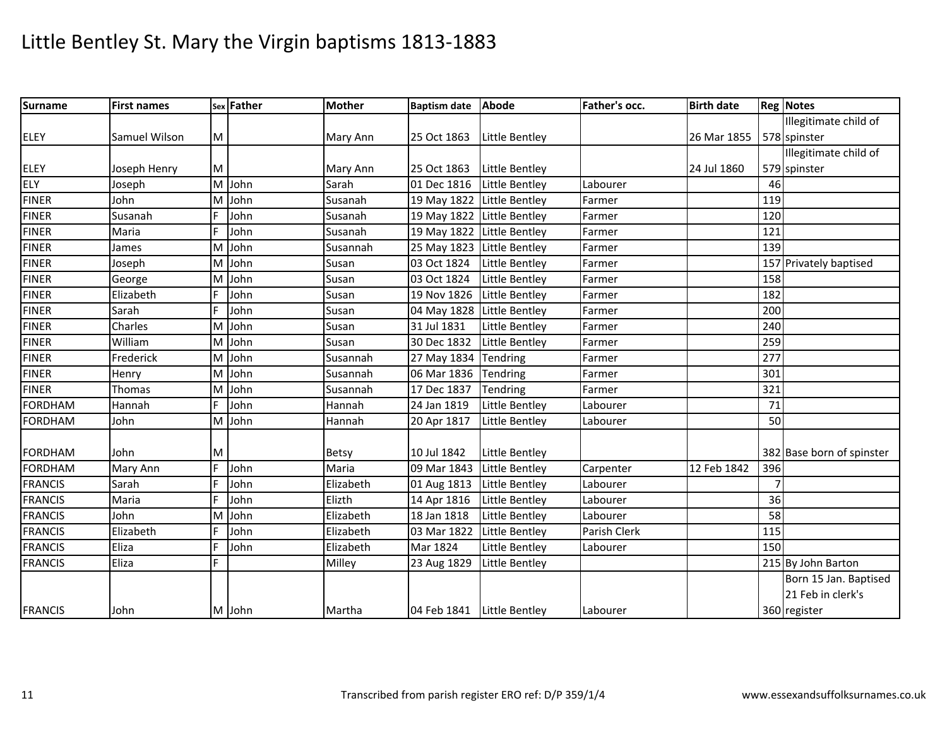| <b>Surname</b> | <b>First names</b> |   | sex Father | <b>Mother</b> | Baptism date Abode   |                            | Father's occ. | <b>Birth date</b> |     | <b>Reg Notes</b>          |
|----------------|--------------------|---|------------|---------------|----------------------|----------------------------|---------------|-------------------|-----|---------------------------|
|                |                    |   |            |               |                      |                            |               |                   |     | Illegitimate child of     |
| <b>ELEY</b>    | Samuel Wilson      | M |            | Mary Ann      | 25 Oct 1863          | Little Bentley             |               | 26 Mar 1855       |     | 578 spinster              |
|                |                    |   |            |               |                      |                            |               |                   |     | Illegitimate child of     |
| <b>ELEY</b>    | Joseph Henry       | M |            | Mary Ann      | 25 Oct 1863          | Little Bentley             |               | 24 Jul 1860       |     | 579 spinster              |
| ELY            | Joseph             |   | M John     | Sarah         | 01 Dec 1816          | Little Bentley             | Labourer      |                   | 46  |                           |
| <b>FINER</b>   | John               |   | M John     | Susanah       |                      | 19 May 1822 Little Bentley | Farmer        |                   | 119 |                           |
| <b>FINER</b>   | Susanah            |   | John       | Susanah       |                      | 19 May 1822 Little Bentley | Farmer        |                   | 120 |                           |
| <b>FINER</b>   | Maria              |   | John       | Susanah       |                      | 19 May 1822 Little Bentley | Farmer        |                   | 121 |                           |
| <b>FINER</b>   | James              | M | John       | Susannah      |                      | 25 May 1823 Little Bentley | Farmer        |                   | 139 |                           |
| <b>FINER</b>   | Joseph             |   | M John     | Susan         | 03 Oct 1824          | Little Bentley             | Farmer        |                   |     | 157 Privately baptised    |
| <b>FINER</b>   | George             | M | John       | Susan         | 03 Oct 1824          | <b>Little Bentley</b>      | Farmer        |                   | 158 |                           |
| <b>FINER</b>   | Elizabeth          | F | John       | Susan         | 19 Nov 1826          | Little Bentley             | Farmer        |                   | 182 |                           |
| <b>FINER</b>   | Sarah              | E | John       | Susan         |                      | 04 May 1828 Little Bentley | Farmer        |                   | 200 |                           |
| <b>FINER</b>   | Charles            | M | John       | Susan         | 31 Jul 1831          | Little Bentley             | Farmer        |                   | 240 |                           |
| <b>FINER</b>   | William            | M | John       | Susan         | 30 Dec 1832          | Little Bentley             | Farmer        |                   | 259 |                           |
| <b>FINER</b>   | Frederick          | M | John       | Susannah      | 27 May 1834 Tendring |                            | Farmer        |                   | 277 |                           |
| <b>FINER</b>   | Henry              | M | John       | Susannah      | 06 Mar 1836          | Tendring                   | Farmer        |                   | 301 |                           |
| <b>FINER</b>   | Thomas             |   | M John     | Susannah      | 17 Dec 1837          | Tendring                   | Farmer        |                   | 321 |                           |
| <b>FORDHAM</b> | Hannah             | E | John       | Hannah        | 24 Jan 1819          | Little Bentley             | Labourer      |                   | 71  |                           |
| <b>FORDHAM</b> | John               |   | M John     | Hannah        | 20 Apr 1817          | Little Bentley             | Labourer      |                   | 50  |                           |
|                |                    |   |            |               |                      |                            |               |                   |     |                           |
| <b>FORDHAM</b> | John               | M |            | <b>Betsy</b>  | 10 Jul 1842          | Little Bentley             |               |                   |     | 382 Base born of spinster |
| <b>FORDHAM</b> | Mary Ann           | F | John       | Maria         | 09 Mar 1843          | Little Bentley             | Carpenter     | 12 Feb 1842       | 396 |                           |
| <b>FRANCIS</b> | Sarah              | F | John       | Elizabeth     | 01 Aug 1813          | Little Bentley             | Labourer      |                   |     |                           |
| <b>FRANCIS</b> | Maria              | E | John       | Elizth        | 14 Apr 1816          | Little Bentley             | Labourer      |                   | 36  |                           |
| <b>FRANCIS</b> | John               | M | John       | Elizabeth     | 18 Jan 1818          | Little Bentley             | Labourer      |                   | 58  |                           |
| <b>FRANCIS</b> | Elizabeth          | F | John       | Elizabeth     | 03 Mar 1822          | <b>Little Bentley</b>      | Parish Clerk  |                   | 115 |                           |
| <b>FRANCIS</b> | Eliza              | F | John       | Elizabeth     | Mar 1824             | Little Bentley             | Labourer      |                   | 150 |                           |
| <b>FRANCIS</b> | Eliza              | E |            | Milley        | 23 Aug 1829          | Little Bentley             |               |                   |     | 215 By John Barton        |
|                |                    |   |            |               |                      |                            |               |                   |     | Born 15 Jan. Baptised     |
|                |                    |   |            |               |                      |                            |               |                   |     | 21 Feb in clerk's         |
| <b>FRANCIS</b> | John               |   | M John     | Martha        |                      | 04 Feb 1841 Little Bentley | Labourer      |                   |     | 360 register              |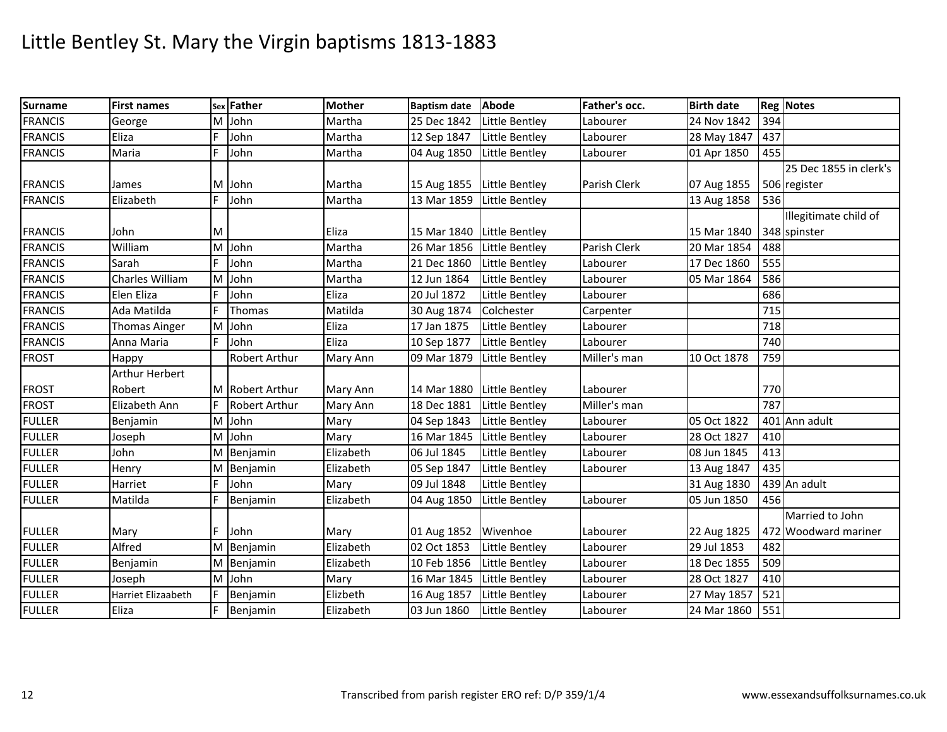| <b>Surname</b> | <b>First names</b>    |   | sex Father      | <b>Mother</b> | Baptism date Abode   |                            | Father's occ. | <b>Birth date</b> |     | <b>Reg Notes</b>       |
|----------------|-----------------------|---|-----------------|---------------|----------------------|----------------------------|---------------|-------------------|-----|------------------------|
| <b>FRANCIS</b> | George                | M | John            | Martha        | 25 Dec 1842          | Little Bentley             | Labourer      | 24 Nov 1842       | 394 |                        |
| <b>FRANCIS</b> | Eliza                 | F | John            | Martha        | 12 Sep 1847          | Little Bentley             | Labourer      | 28 May 1847       | 437 |                        |
| <b>FRANCIS</b> | Maria                 | F | John            | Martha        | 04 Aug 1850          | Little Bentley             | Labourer      | 01 Apr 1850       | 455 |                        |
|                |                       |   |                 |               |                      |                            |               |                   |     | 25 Dec 1855 in clerk's |
| <b>FRANCIS</b> | James                 |   | M John          | Martha        |                      | 15 Aug 1855 Little Bentley | Parish Clerk  | 07 Aug 1855       |     | 506 register           |
| <b>FRANCIS</b> | Elizabeth             | F | John            | Martha        |                      | 13 Mar 1859 Little Bentley |               | 13 Aug 1858       | 536 |                        |
|                |                       |   |                 |               |                      |                            |               |                   |     | Illegitimate child of  |
| <b>FRANCIS</b> | John                  | M |                 | Eliza         |                      | 15 Mar 1840 Little Bentley |               | 15 Mar 1840       |     | 348 spinster           |
| <b>FRANCIS</b> | William               | M | John            | Martha        | 26 Mar 1856          | Little Bentley             | Parish Clerk  | 20 Mar 1854       | 488 |                        |
| <b>FRANCIS</b> | Sarah                 | F | John            | Martha        | 21 Dec 1860          | Little Bentley             | Labourer      | 17 Dec 1860       | 555 |                        |
| <b>FRANCIS</b> | Charles William       | M | John            | Martha        | 12 Jun 1864          | <b>Little Bentley</b>      | Labourer      | 05 Mar 1864       | 586 |                        |
| <b>FRANCIS</b> | Elen Eliza            |   | John            | Eliza         | 20 Jul 1872          | Little Bentley             | Labourer      |                   | 686 |                        |
| <b>FRANCIS</b> | Ada Matilda           | F | Thomas          | Matilda       | 30 Aug 1874          | Colchester                 | Carpenter     |                   | 715 |                        |
| <b>FRANCIS</b> | <b>Thomas Ainger</b>  |   | M John          | Eliza         | 17 Jan 1875          | Little Bentley             | Labourer      |                   | 718 |                        |
| <b>FRANCIS</b> | Anna Maria            |   | John            | Eliza         | 10 Sep 1877          | Little Bentley             | Labourer      |                   | 740 |                        |
| <b>FROST</b>   | Happy                 |   | Robert Arthur   | Mary Ann      | 09 Mar 1879          | Little Bentley             | Miller's man  | 10 Oct 1878       | 759 |                        |
|                | <b>Arthur Herbert</b> |   |                 |               |                      |                            |               |                   |     |                        |
| <b>FROST</b>   | Robert                |   | M Robert Arthur | Mary Ann      |                      | 14 Mar 1880 Little Bentley | Labourer      |                   | 770 |                        |
| <b>FROST</b>   | Elizabeth Ann         | F | Robert Arthur   | Mary Ann      | 18 Dec 1881          | Little Bentley             | Miller's man  |                   | 787 |                        |
| <b>FULLER</b>  | Benjamin              |   | M John          | Mary          | 04 Sep 1843          | Little Bentley             | Labourer      | 05 Oct 1822       |     | 401 Ann adult          |
| <b>FULLER</b>  | Joseph                | M | John            | Mary          | 16 Mar 1845          | Little Bentley             | Labourer      | 28 Oct 1827       | 410 |                        |
| <b>FULLER</b>  | John                  |   | M Benjamin      | Elizabeth     | 06 Jul 1845          | Little Bentley             | Labourer      | 08 Jun 1845       | 413 |                        |
| <b>FULLER</b>  | Henry                 |   | M Benjamin      | Elizabeth     | 05 Sep 1847          | Little Bentley             | Labourer      | 13 Aug 1847       | 435 |                        |
| <b>FULLER</b>  | Harriet               | E | John            | Mary          | 09 Jul 1848          | <b>Little Bentley</b>      |               | 31 Aug 1830       |     | 439 An adult           |
| <b>FULLER</b>  | Matilda               | F | Benjamin        | Elizabeth     | 04 Aug 1850          | Little Bentley             | Labourer      | 05 Jun 1850       | 456 |                        |
|                |                       |   |                 |               |                      |                            |               |                   |     | Married to John        |
| <b>FULLER</b>  | Mary                  | E | John            | Mary          | 01 Aug 1852 Wivenhoe |                            | Labourer      | 22 Aug 1825       |     | 472 Woodward mariner   |
| <b>FULLER</b>  | Alfred                |   | M Benjamin      | Elizabeth     | 02 Oct 1853          | Little Bentley             | Labourer      | 29 Jul 1853       | 482 |                        |
| <b>FULLER</b>  | Benjamin              |   | M Benjamin      | Elizabeth     | 10 Feb 1856          | Little Bentley             | Labourer      | 18 Dec 1855       | 509 |                        |
| <b>FULLER</b>  | Joseph                |   | M John          | Mary          | 16 Mar 1845          | Little Bentley             | Labourer      | 28 Oct 1827       | 410 |                        |
| <b>FULLER</b>  | Harriet Elizaabeth    | F | Benjamin        | Elizbeth      | 16 Aug 1857          | Little Bentley             | Labourer      | 27 May 1857       | 521 |                        |
| <b>FULLER</b>  | Eliza                 |   | Benjamin        | Elizabeth     | 03 Jun 1860          | Little Bentley             | Labourer      | 24 Mar 1860       | 551 |                        |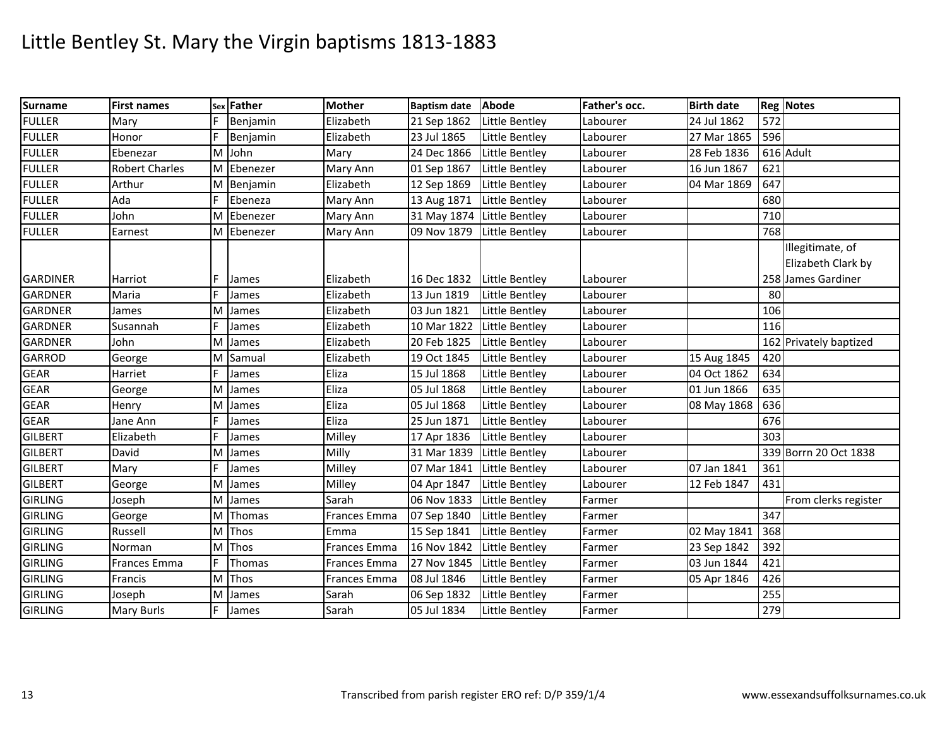| <b>Surname</b>  | <b>First names</b>    | Sex | Father   | <b>Mother</b>       | Baptism date Abode         |                       | Father's occ. | <b>Birth date</b> |     | <b>Reg Notes</b>       |
|-----------------|-----------------------|-----|----------|---------------------|----------------------------|-----------------------|---------------|-------------------|-----|------------------------|
| <b>FULLER</b>   | Mary                  | F   | Benjamin | Elizabeth           | 21 Sep 1862                | Little Bentley        | Labourer      | 24 Jul 1862       | 572 |                        |
| <b>FULLER</b>   | Honor                 | F   | Benjamin | Elizabeth           | 23 Jul 1865                | Little Bentley        | Labourer      | 27 Mar 1865       | 596 |                        |
| <b>FULLER</b>   | Ebenezar              | M   | John     | Mary                | 24 Dec 1866                | Little Bentley        | Labourer      | 28 Feb 1836       |     | 616 Adult              |
| <b>FULLER</b>   | <b>Robert Charles</b> | M   | Ebenezer | Mary Ann            | 01 Sep 1867                | Little Bentley        | Labourer      | 16 Jun 1867       | 621 |                        |
| <b>FULLER</b>   | Arthur                | M   | Benjamin | Elizabeth           | 12 Sep 1869                | Little Bentley        | Labourer      | 04 Mar 1869       | 647 |                        |
| <b>FULLER</b>   | Ada                   | F   | Ebeneza  | Mary Ann            | 13 Aug 1871                | Little Bentley        | Labourer      |                   | 680 |                        |
| <b>FULLER</b>   | John                  | M   | Ebenezer | Mary Ann            | 31 May 1874 Little Bentley |                       | Labourer      |                   | 710 |                        |
| <b>FULLER</b>   | Earnest               | M   | Ebenezer | Mary Ann            | 09 Nov 1879                | Little Bentley        | Labourer      |                   | 768 |                        |
|                 |                       |     |          |                     |                            |                       |               |                   |     | Illegitimate, of       |
|                 |                       |     |          |                     |                            |                       |               |                   |     | Elizabeth Clark by     |
| <b>GARDINER</b> | Harriot               |     | James    | Elizabeth           | 16 Dec 1832 Little Bentley |                       | Labourer      |                   |     | 258 James Gardiner     |
| <b>GARDNER</b>  | Maria                 |     | James    | Elizabeth           | 13 Jun 1819                | Little Bentley        | Labourer      |                   | 80  |                        |
| <b>GARDNER</b>  | James                 | M   | James    | Elizabeth           | 03 Jun 1821                | Little Bentley        | Labourer      |                   | 106 |                        |
| <b>GARDNER</b>  | Susannah              | F   | James    | Elizabeth           | 10 Mar 1822                | Little Bentley        | Labourer      |                   | 116 |                        |
| <b>GARDNER</b>  | John                  | M   | James    | Elizabeth           | 20 Feb 1825                | Little Bentley        | Labourer      |                   |     | 162 Privately baptized |
| <b>GARROD</b>   | George                | M   | Samual   | Elizabeth           | 19 Oct 1845                | Little Bentley        | Labourer      | 15 Aug 1845       | 420 |                        |
| <b>GEAR</b>     | Harriet               | F   | James    | Eliza               | 15 Jul 1868                | Little Bentley        | Labourer      | 04 Oct 1862       | 634 |                        |
| <b>GEAR</b>     | George                | M   | James    | Eliza               | 05 Jul 1868                | Little Bentley        | Labourer      | 01 Jun 1866       | 635 |                        |
| GEAR            | Henry                 | M   | James    | Eliza               | 05 Jul 1868                | Little Bentley        | Labourer      | 08 May 1868       | 636 |                        |
| <b>GEAR</b>     | Jane Ann              | F   | James    | <b>Eliza</b>        | 25 Jun 1871                | Little Bentley        | Labourer      |                   | 676 |                        |
| <b>GILBERT</b>  | Elizabeth             | F   | James    | Milley              | 17 Apr 1836                | <b>Little Bentley</b> | Labourer      |                   | 303 |                        |
| <b>GILBERT</b>  | David                 | M   | James    | Milly               | 31 Mar 1839                | Little Bentley        | Labourer      |                   |     | 339 Borrn 20 Oct 1838  |
| <b>GILBERT</b>  | Mary                  | E   | James    | Milley              | 07 Mar 1841                | Little Bentley        | Labourer      | 07 Jan 1841       | 361 |                        |
| <b>GILBERT</b>  | George                | M   | James    | Milley              | 04 Apr 1847                | Little Bentley        | Labourer      | 12 Feb 1847       | 431 |                        |
| <b>GIRLING</b>  | Joseph                | M   | James    | Sarah               | 06 Nov 1833                | Little Bentley        | Farmer        |                   |     | From clerks register   |
| <b>GIRLING</b>  | George                | M   | Thomas   | Frances Emma        | 07 Sep 1840                | Little Bentley        | Farmer        |                   | 347 |                        |
| <b>GIRLING</b>  | Russell               | M   | Thos     | Emma                | 15 Sep 1841                | Little Bentley        | Farmer        | 02 May 1841       | 368 |                        |
| <b>GIRLING</b>  | Norman                | M   | Thos     | <b>Frances Emma</b> | 16 Nov 1842                | Little Bentley        | Farmer        | 23 Sep 1842       | 392 |                        |
| <b>GIRLING</b>  | Frances Emma          | F   | Thomas   | Frances Emma        | 27 Nov 1845                | Little Bentley        | Farmer        | 03 Jun 1844       | 421 |                        |
| <b>GIRLING</b>  | Francis               | M   | Thos     | <b>Frances Emma</b> | 08 Jul 1846                | Little Bentley        | Farmer        | 05 Apr 1846       | 426 |                        |
| <b>GIRLING</b>  | Joseph                | M   | James    | Sarah               | 06 Sep 1832                | Little Bentley        | Farmer        |                   | 255 |                        |
| <b>GIRLING</b>  | Mary Burls            |     | James    | Sarah               | 05 Jul 1834                | Little Bentley        | Farmer        |                   | 279 |                        |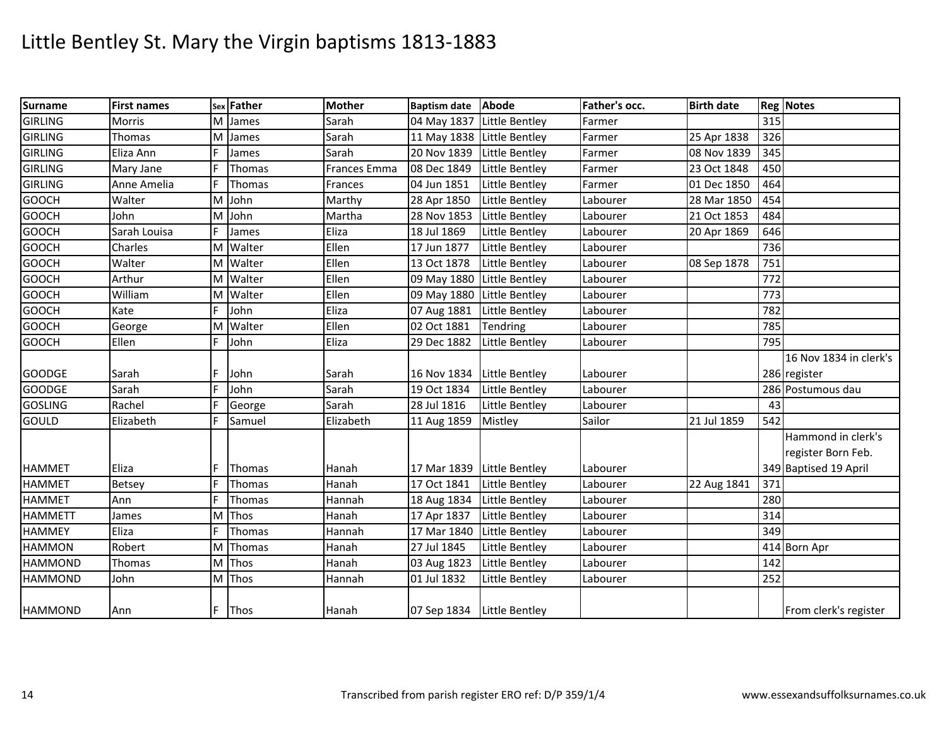| <b>Surname</b> | <b>First names</b> |   | sex Father  | <b>Mother</b>       | Baptism date Abode         |                       | Father's occ. | <b>Birth date</b> |     | <b>Reg Notes</b>       |
|----------------|--------------------|---|-------------|---------------------|----------------------------|-----------------------|---------------|-------------------|-----|------------------------|
| <b>GIRLING</b> | Morris             | м | James       | Sarah               | 04 May 1837 Little Bentley |                       | Farmer        |                   | 315 |                        |
| <b>GIRLING</b> | Thomas             | M | James       | Sarah               | 11 May 1838 Little Bentley |                       | Farmer        | 25 Apr 1838       | 326 |                        |
| <b>GIRLING</b> | Eliza Ann          |   | James       | Sarah               | 20 Nov 1839                | Little Bentley        | Farmer        | 08 Nov 1839       | 345 |                        |
| <b>GIRLING</b> | Mary Jane          |   | Thomas      | <b>Frances Emma</b> | 08 Dec 1849                | Little Bentley        | Farmer        | 23 Oct 1848       | 450 |                        |
| <b>GIRLING</b> | Anne Amelia        |   | Thomas      | Frances             | 04 Jun 1851                | <b>Little Bentley</b> | Farmer        | 01 Dec 1850       | 464 |                        |
| <b>GOOCH</b>   | Walter             | M | John        | Marthy              | 28 Apr 1850                | Little Bentley        | Labourer      | 28 Mar 1850       | 454 |                        |
| <b>GOOCH</b>   | John               | м | John        | Martha              | 28 Nov 1853                | Little Bentley        | Labourer      | 21 Oct 1853       | 484 |                        |
| <b>GOOCH</b>   | Sarah Louisa       |   | James       | Eliza               | 18 Jul 1869                | Little Bentley        | Labourer      | 20 Apr 1869       | 646 |                        |
| <b>GOOCH</b>   | Charles            | м | Walter      | Ellen               | 17 Jun 1877                | Little Bentley        | Labourer      |                   | 736 |                        |
| <b>GOOCH</b>   | Walter             |   | M Walter    | Ellen               | 13 Oct 1878                | Little Bentley        | Labourer      | 08 Sep 1878       | 751 |                        |
| <b>GOOCH</b>   | Arthur             | м | Walter      | Ellen               | 09 May 1880                | Little Bentley        | Labourer      |                   | 772 |                        |
| <b>GOOCH</b>   | William            |   | M Walter    | Ellen               | 09 May 1880 Little Bentley |                       | Labourer      |                   | 773 |                        |
| <b>GOOCH</b>   | Kate               |   | John        | Eliza               | 07 Aug 1881                | Little Bentley        | Labourer      |                   | 782 |                        |
| <b>GOOCH</b>   | George             |   | M Walter    | Ellen               | 02 Oct 1881                | Tendring              | Labourer      |                   | 785 |                        |
| <b>GOOCH</b>   | Ellen              |   | John        | Eliza               | 29 Dec 1882                | Little Bentley        | Labourer      |                   | 795 |                        |
|                |                    |   |             |                     |                            |                       |               |                   |     | 16 Nov 1834 in clerk's |
| <b>GOODGE</b>  | Sarah              |   | John        | Sarah               | 16 Nov 1834 Little Bentley |                       | Labourer      |                   |     | 286 register           |
| <b>GOODGE</b>  | Sarah              |   | John        | Sarah               | 19 Oct 1834                | Little Bentley        | Labourer      |                   |     | 286 Postumous dau      |
| <b>GOSLING</b> | Rachel             |   | George      | Sarah               | 28 Jul 1816                | Little Bentley        | Labourer      |                   | 43  |                        |
| <b>GOULD</b>   | Elizabeth          | F | Samuel      | Elizabeth           | 11 Aug 1859                | Mistley               | Sailor        | 21 Jul 1859       | 542 |                        |
|                |                    |   |             |                     |                            |                       |               |                   |     | Hammond in clerk's     |
|                |                    |   |             |                     |                            |                       |               |                   |     | register Born Feb.     |
| <b>HAMMET</b>  | Eliza              |   | Thomas      | Hanah               | 17 Mar 1839 Little Bentley |                       | Labourer      |                   |     | 349 Baptised 19 April  |
| <b>HAMMET</b>  | Betsey             | F | Thomas      | Hanah               | 17 Oct 1841                | Little Bentley        | Labourer      | 22 Aug 1841       | 371 |                        |
| <b>HAMMET</b>  | Ann                | F | Thomas      | Hannah              | 18 Aug 1834                | Little Bentley        | Labourer      |                   | 280 |                        |
| <b>HAMMETT</b> | James              | M | Thos        | Hanah               | 17 Apr 1837                | Little Bentley        | Labourer      |                   | 314 |                        |
| <b>HAMMEY</b>  | Eliza              | E | Thomas      | Hannah              | 17 Mar 1840                | Little Bentley        | Labourer      |                   | 349 |                        |
| <b>HAMMON</b>  | Robert             | м | Thomas      | Hanah               | 27 Jul 1845                | Little Bentley        | Labourer      |                   |     | 414 Born Apr           |
| <b>HAMMOND</b> | Thomas             |   | M Thos      | Hanah               | 03 Aug 1823                | <b>Little Bentley</b> | Labourer      |                   | 142 |                        |
| <b>HAMMOND</b> | John               |   | M Thos      | Hannah              | 01 Jul 1832                | Little Bentley        | Labourer      |                   | 252 |                        |
| <b>HAMMOND</b> | Ann                | F | <b>Thos</b> | Hanah               | 07 Sep 1834 Little Bentley |                       |               |                   |     | From clerk's register  |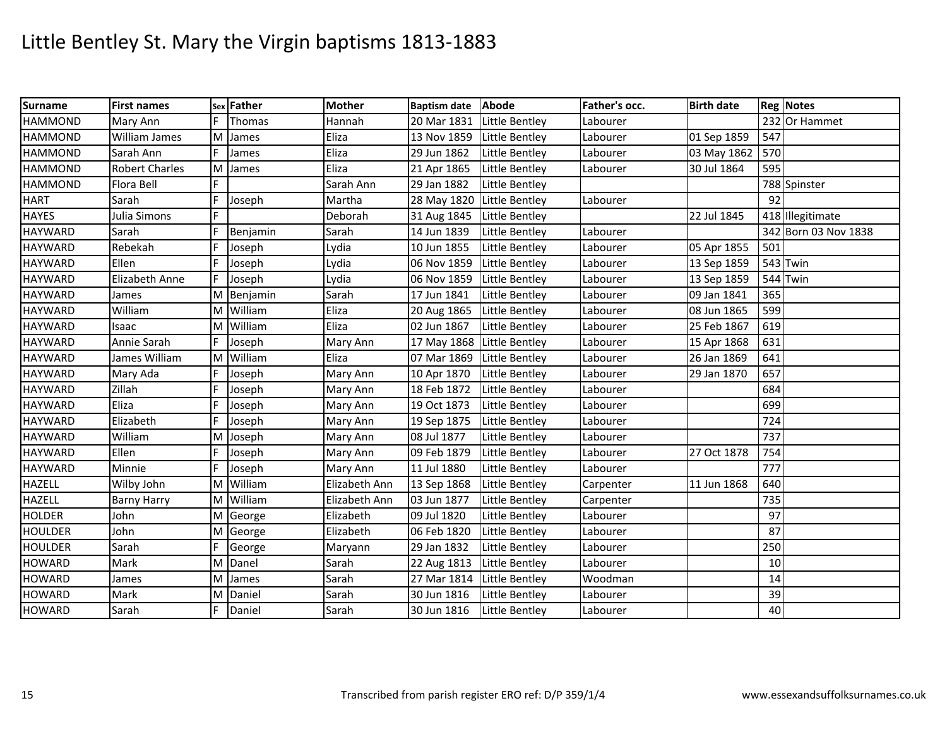| <b>Surname</b> | <b>First names</b>    |   | sex Father | <b>Mother</b> | Baptism date Abode         |                | Father's occ. | <b>Birth date</b> |     | <b>Reg Notes</b>     |
|----------------|-----------------------|---|------------|---------------|----------------------------|----------------|---------------|-------------------|-----|----------------------|
| <b>HAMMOND</b> | Mary Ann              |   | Thomas     | Hannah        | 20 Mar 1831                | Little Bentley | Labourer      |                   |     | 232 Or Hammet        |
| <b>HAMMOND</b> | William James         | M | James      | Eliza         | 13 Nov 1859                | Little Bentley | Labourer      | 01 Sep 1859       | 547 |                      |
| <b>HAMMOND</b> | Sarah Ann             |   | James      | Eliza         | 29 Jun 1862                | Little Bentley | Labourer      | 03 May 1862       | 570 |                      |
| <b>HAMMOND</b> | <b>Robert Charles</b> | M | James      | Eliza         | 21 Apr 1865                | Little Bentley | Labourer      | 30 Jul 1864       | 595 |                      |
| <b>HAMMOND</b> | Flora Bell            | F |            | Sarah Ann     | 29 Jan 1882                | Little Bentley |               |                   |     | 788 Spinster         |
| <b>HART</b>    | Sarah                 | F | Joseph     | Martha        | 28 May 1820                | Little Bentley | Labourer      |                   | 92  |                      |
| <b>HAYES</b>   | Julia Simons          |   |            | Deborah       | 31 Aug 1845 Little Bentley |                |               | 22 Jul 1845       |     | 418 Illegitimate     |
| <b>HAYWARD</b> | Sarah                 |   | Benjamin   | Sarah         | 14 Jun 1839                | Little Bentley | Labourer      |                   |     | 342 Born 03 Nov 1838 |
| <b>HAYWARD</b> | Rebekah               | E | Joseph     | Lydia         | 10 Jun 1855                | Little Bentley | Labourer      | 05 Apr 1855       | 501 |                      |
| <b>HAYWARD</b> | Ellen                 | F | Joseph     | Lydia         | 06 Nov 1859                | Little Bentley | Labourer      | 13 Sep 1859       |     | 543 Twin             |
| <b>HAYWARD</b> | Elizabeth Anne        |   | Joseph     | Lydia         | 06 Nov 1859                | Little Bentley | Labourer      | 13 Sep 1859       |     | 544 Twin             |
| <b>HAYWARD</b> | James                 |   | M Benjamin | Sarah         | 17 Jun 1841                | Little Bentley | Labourer      | 09 Jan 1841       | 365 |                      |
| <b>HAYWARD</b> | William               |   | M William  | Eliza         | 20 Aug 1865                | Little Bentley | Labourer      | 08 Jun 1865       | 599 |                      |
| <b>HAYWARD</b> | Isaac                 |   | M William  | Eliza         | 02 Jun 1867                | Little Bentley | Labourer      | 25 Feb 1867       | 619 |                      |
| <b>HAYWARD</b> | Annie Sarah           |   | Joseph     | Mary Ann      | 17 May 1868 Little Bentley |                | Labourer      | 15 Apr 1868       | 631 |                      |
| <b>HAYWARD</b> | James William         |   | M William  | Eliza         | 07 Mar 1869                | Little Bentley | Labourer      | 26 Jan 1869       | 641 |                      |
| <b>HAYWARD</b> | Mary Ada              | F | Joseph     | Mary Ann      | 10 Apr 1870                | Little Bentley | Labourer      | 29 Jan 1870       | 657 |                      |
| <b>HAYWARD</b> | Zillah                | F | Joseph     | Mary Ann      | 18 Feb 1872                | Little Bentley | Labourer      |                   | 684 |                      |
| <b>HAYWARD</b> | Eliza                 |   | Joseph     | Mary Ann      | 19 Oct 1873                | Little Bentley | Labourer      |                   | 699 |                      |
| <b>HAYWARD</b> | Elizabeth             |   | Joseph     | Mary Ann      | 19 Sep 1875                | Little Bentley | Labourer      |                   | 724 |                      |
| <b>HAYWARD</b> | William               | М | Joseph     | Mary Ann      | 08 Jul 1877                | Little Bentley | Labourer      |                   | 737 |                      |
| <b>HAYWARD</b> | Ellen                 | F | Joseph     | Mary Ann      | 09 Feb 1879                | Little Bentley | Labourer      | 27 Oct 1878       | 754 |                      |
| <b>HAYWARD</b> | Minnie                |   | Joseph     | Mary Ann      | 11 Jul 1880                | Little Bentley | Labourer      |                   | 777 |                      |
| <b>HAZELL</b>  | Wilby John            |   | M William  | Elizabeth Ann | 13 Sep 1868                | Little Bentley | Carpenter     | 11 Jun 1868       | 640 |                      |
| <b>HAZELL</b>  | <b>Barny Harry</b>    | M | William    | Elizabeth Ann | 03 Jun 1877                | Little Bentley | Carpenter     |                   | 735 |                      |
| <b>HOLDER</b>  | John                  |   | M George   | Elizabeth     | 09 Jul 1820                | Little Bentley | Labourer      |                   | 97  |                      |
| <b>HOULDER</b> | John                  |   | M George   | Elizabeth     | 06 Feb 1820                | Little Bentley | Labourer      |                   | 87  |                      |
| HOULDER        | Sarah                 |   | George     | Maryann       | 29 Jan 1832                | Little Bentley | Labourer      |                   | 250 |                      |
| <b>HOWARD</b>  | Mark                  | M | Danel      | Sarah         | 22 Aug 1813                | Little Bentley | Labourer      |                   | 10  |                      |
| <b>HOWARD</b>  | James                 | M | James      | Sarah         | 27 Mar 1814                | Little Bentley | Woodman       |                   | 14  |                      |
| <b>HOWARD</b>  | Mark                  | М | Daniel     | Sarah         | 30 Jun 1816                | Little Bentley | Labourer      |                   | 39  |                      |
| <b>HOWARD</b>  | Sarah                 |   | Daniel     | Sarah         | 30 Jun 1816                | Little Bentley | Labourer      |                   | 40  |                      |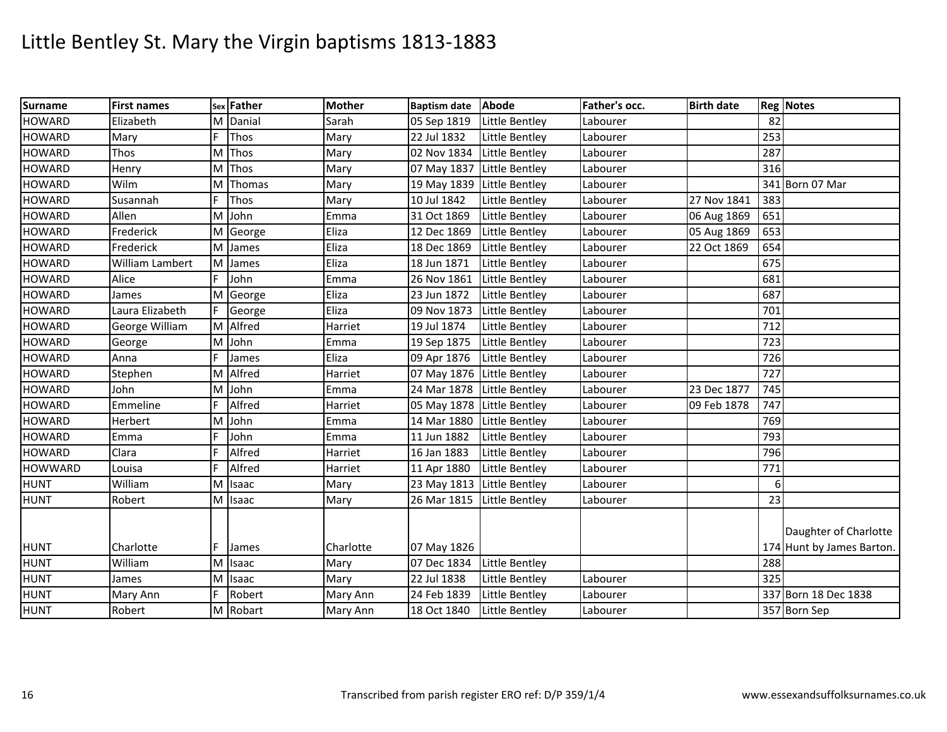| <b>HOWARD</b><br>Elizabeth<br>M Danial<br>05 Sep 1819<br>Little Bentley<br>82<br>Sarah<br>Labourer<br>F<br>253<br>Thos<br>22 Jul 1832<br><b>HOWARD</b><br>Mary<br>Little Bentley<br>Mary<br>Labourer<br>287<br><b>HOWARD</b><br>M<br>Thos<br>02 Nov 1834<br>Little Bentley<br><b>Thos</b><br>Mary<br>Labourer<br>316<br>HOWARD<br>M Thos<br>Mary<br>07 May 1837 Little Bentley<br>Labourer<br>Henry<br><b>HOWARD</b><br>Wilm<br>19 May 1839 Little Bentley<br>341 Born 07 Mar<br>ΙM<br>Thomas<br>Mary<br>Labourer<br>F<br>27 Nov 1841<br><b>HOWARD</b><br><b>Thos</b><br>10 Jul 1842<br><b>Little Bentley</b><br>383<br>Susannah<br>Mary<br>Labourer<br>Allen<br>M John<br>31 Oct 1869<br>651<br><b>HOWARD</b><br>Little Bentley<br>06 Aug 1869<br>Emma<br>Labourer<br><b>HOWARD</b><br>653<br>Frederick<br>12 Dec 1869<br>M George<br>Eliza<br>Little Bentley<br>05 Aug 1869<br>Labourer<br>Eliza<br>654<br><b>HOWARD</b><br>Frederick<br>M James<br>18 Dec 1869<br>Little Bentley<br>Labourer<br>22 Oct 1869<br><b>HOWARD</b><br>William Lambert<br>Eliza<br>Little Bentley<br>675<br>M James<br>18 Jun 1871<br>Labourer<br>F<br><b>HOWARD</b><br>John<br>Little Bentley<br>681<br>Alice<br>26 Nov 1861<br>Labourer<br>Emma<br><b>HOWARD</b><br>687<br>Eliza<br>23 Jun 1872<br>Little Bentley<br>M<br>Labourer<br>George<br>James<br>Laura Elizabeth<br>Eliza<br>701<br>HOWARD<br>George<br>09 Nov 1873<br>Little Bentley<br>Labourer<br>M Alfred<br><b>HOWARD</b><br>Harriet<br>19 Jul 1874<br>Little Bentley<br>712<br>George William<br>Labourer<br>723<br><b>HOWARD</b><br>M John<br>Emma<br>19 Sep 1875<br>Little Bentley<br>Labourer<br>George<br>726<br><b>HOWARD</b><br>Little Bentley<br>James<br>Eliza<br>09 Apr 1876<br>Anna<br>Labourer<br>M Alfred<br>727<br>HOWARD<br>Stephen<br>Harriet<br>07 May 1876 Little Bentley<br>Labourer<br><b>HOWARD</b><br>745<br>Iм<br>John<br>24 Mar 1878 Little Bentley<br>23 Dec 1877<br>John<br>Labourer<br>Emma<br>Alfred<br>Emmeline<br>F<br><b>HOWARD</b><br>05 May 1878 Little Bentley<br>09 Feb 1878<br>747<br>Harriet<br>Labourer<br>769<br><b>HOWARD</b><br>John<br>Herbert<br>Iм<br>14 Mar 1880<br>Little Bentley<br>Labourer<br>Emma<br>793<br><b>HOWARD</b><br>John<br>11 Jun 1882<br>Little Bentley<br>Labourer<br>Emma<br>Emma<br>Alfred<br>Clara<br>16 Jan 1883<br>796<br>Harriet<br>Little Bentley<br>Labourer<br>F<br>Alfred<br>Little Bentley<br>771<br>Louisa<br>Harriet<br>11 Apr 1880<br>Labourer<br>William<br>23 May 1813 Little Bentley<br>6<br>M<br>Isaac<br>Mary<br>Labourer<br>23<br>M Isaac<br>26 Mar 1815 Little Bentley<br>Robert<br>Mary<br>Labourer<br>Daughter of Charlotte<br>Charlotte<br>Charlotte<br><b>HUNT</b><br>F<br>07 May 1826<br>174 Hunt by James Barton.<br>James<br><b>HUNT</b><br>William<br>Little Bentley<br>288<br>M<br><b>Isaac</b><br>Mary<br>07 Dec 1834<br><b>HUNT</b><br>325<br>Iм<br><b>Isaac</b><br>Mary<br>22 Jul 1838<br>Little Bentley<br>Labourer<br>James<br>F<br><b>HUNT</b><br>Robert<br>24 Feb 1839<br>337 Born 18 Dec 1838<br><b>Little Bentley</b><br>Mary Ann<br>Mary Ann<br>Labourer<br>M Robart<br>357 Born Sep | <b>Surname</b> | <b>First names</b> | sex Father | <b>Mother</b> | Baptism date Abode |                | Father's occ. | <b>Birth date</b> | <b>Reg Notes</b> |
|---------------------------------------------------------------------------------------------------------------------------------------------------------------------------------------------------------------------------------------------------------------------------------------------------------------------------------------------------------------------------------------------------------------------------------------------------------------------------------------------------------------------------------------------------------------------------------------------------------------------------------------------------------------------------------------------------------------------------------------------------------------------------------------------------------------------------------------------------------------------------------------------------------------------------------------------------------------------------------------------------------------------------------------------------------------------------------------------------------------------------------------------------------------------------------------------------------------------------------------------------------------------------------------------------------------------------------------------------------------------------------------------------------------------------------------------------------------------------------------------------------------------------------------------------------------------------------------------------------------------------------------------------------------------------------------------------------------------------------------------------------------------------------------------------------------------------------------------------------------------------------------------------------------------------------------------------------------------------------------------------------------------------------------------------------------------------------------------------------------------------------------------------------------------------------------------------------------------------------------------------------------------------------------------------------------------------------------------------------------------------------------------------------------------------------------------------------------------------------------------------------------------------------------------------------------------------------------------------------------------------------------------------------------------------------------------------------------------------------------------------------------------------------------------------------------------------------------------------------------------------------------------------------------------------------------------------------------------------------------------------------------------------------------------------------------------------------------------------------------------------------------|----------------|--------------------|------------|---------------|--------------------|----------------|---------------|-------------------|------------------|
|                                                                                                                                                                                                                                                                                                                                                                                                                                                                                                                                                                                                                                                                                                                                                                                                                                                                                                                                                                                                                                                                                                                                                                                                                                                                                                                                                                                                                                                                                                                                                                                                                                                                                                                                                                                                                                                                                                                                                                                                                                                                                                                                                                                                                                                                                                                                                                                                                                                                                                                                                                                                                                                                                                                                                                                                                                                                                                                                                                                                                                                                                                                                       |                |                    |            |               |                    |                |               |                   |                  |
|                                                                                                                                                                                                                                                                                                                                                                                                                                                                                                                                                                                                                                                                                                                                                                                                                                                                                                                                                                                                                                                                                                                                                                                                                                                                                                                                                                                                                                                                                                                                                                                                                                                                                                                                                                                                                                                                                                                                                                                                                                                                                                                                                                                                                                                                                                                                                                                                                                                                                                                                                                                                                                                                                                                                                                                                                                                                                                                                                                                                                                                                                                                                       |                |                    |            |               |                    |                |               |                   |                  |
|                                                                                                                                                                                                                                                                                                                                                                                                                                                                                                                                                                                                                                                                                                                                                                                                                                                                                                                                                                                                                                                                                                                                                                                                                                                                                                                                                                                                                                                                                                                                                                                                                                                                                                                                                                                                                                                                                                                                                                                                                                                                                                                                                                                                                                                                                                                                                                                                                                                                                                                                                                                                                                                                                                                                                                                                                                                                                                                                                                                                                                                                                                                                       |                |                    |            |               |                    |                |               |                   |                  |
|                                                                                                                                                                                                                                                                                                                                                                                                                                                                                                                                                                                                                                                                                                                                                                                                                                                                                                                                                                                                                                                                                                                                                                                                                                                                                                                                                                                                                                                                                                                                                                                                                                                                                                                                                                                                                                                                                                                                                                                                                                                                                                                                                                                                                                                                                                                                                                                                                                                                                                                                                                                                                                                                                                                                                                                                                                                                                                                                                                                                                                                                                                                                       |                |                    |            |               |                    |                |               |                   |                  |
|                                                                                                                                                                                                                                                                                                                                                                                                                                                                                                                                                                                                                                                                                                                                                                                                                                                                                                                                                                                                                                                                                                                                                                                                                                                                                                                                                                                                                                                                                                                                                                                                                                                                                                                                                                                                                                                                                                                                                                                                                                                                                                                                                                                                                                                                                                                                                                                                                                                                                                                                                                                                                                                                                                                                                                                                                                                                                                                                                                                                                                                                                                                                       |                |                    |            |               |                    |                |               |                   |                  |
|                                                                                                                                                                                                                                                                                                                                                                                                                                                                                                                                                                                                                                                                                                                                                                                                                                                                                                                                                                                                                                                                                                                                                                                                                                                                                                                                                                                                                                                                                                                                                                                                                                                                                                                                                                                                                                                                                                                                                                                                                                                                                                                                                                                                                                                                                                                                                                                                                                                                                                                                                                                                                                                                                                                                                                                                                                                                                                                                                                                                                                                                                                                                       |                |                    |            |               |                    |                |               |                   |                  |
|                                                                                                                                                                                                                                                                                                                                                                                                                                                                                                                                                                                                                                                                                                                                                                                                                                                                                                                                                                                                                                                                                                                                                                                                                                                                                                                                                                                                                                                                                                                                                                                                                                                                                                                                                                                                                                                                                                                                                                                                                                                                                                                                                                                                                                                                                                                                                                                                                                                                                                                                                                                                                                                                                                                                                                                                                                                                                                                                                                                                                                                                                                                                       |                |                    |            |               |                    |                |               |                   |                  |
|                                                                                                                                                                                                                                                                                                                                                                                                                                                                                                                                                                                                                                                                                                                                                                                                                                                                                                                                                                                                                                                                                                                                                                                                                                                                                                                                                                                                                                                                                                                                                                                                                                                                                                                                                                                                                                                                                                                                                                                                                                                                                                                                                                                                                                                                                                                                                                                                                                                                                                                                                                                                                                                                                                                                                                                                                                                                                                                                                                                                                                                                                                                                       |                |                    |            |               |                    |                |               |                   |                  |
|                                                                                                                                                                                                                                                                                                                                                                                                                                                                                                                                                                                                                                                                                                                                                                                                                                                                                                                                                                                                                                                                                                                                                                                                                                                                                                                                                                                                                                                                                                                                                                                                                                                                                                                                                                                                                                                                                                                                                                                                                                                                                                                                                                                                                                                                                                                                                                                                                                                                                                                                                                                                                                                                                                                                                                                                                                                                                                                                                                                                                                                                                                                                       |                |                    |            |               |                    |                |               |                   |                  |
|                                                                                                                                                                                                                                                                                                                                                                                                                                                                                                                                                                                                                                                                                                                                                                                                                                                                                                                                                                                                                                                                                                                                                                                                                                                                                                                                                                                                                                                                                                                                                                                                                                                                                                                                                                                                                                                                                                                                                                                                                                                                                                                                                                                                                                                                                                                                                                                                                                                                                                                                                                                                                                                                                                                                                                                                                                                                                                                                                                                                                                                                                                                                       |                |                    |            |               |                    |                |               |                   |                  |
|                                                                                                                                                                                                                                                                                                                                                                                                                                                                                                                                                                                                                                                                                                                                                                                                                                                                                                                                                                                                                                                                                                                                                                                                                                                                                                                                                                                                                                                                                                                                                                                                                                                                                                                                                                                                                                                                                                                                                                                                                                                                                                                                                                                                                                                                                                                                                                                                                                                                                                                                                                                                                                                                                                                                                                                                                                                                                                                                                                                                                                                                                                                                       |                |                    |            |               |                    |                |               |                   |                  |
|                                                                                                                                                                                                                                                                                                                                                                                                                                                                                                                                                                                                                                                                                                                                                                                                                                                                                                                                                                                                                                                                                                                                                                                                                                                                                                                                                                                                                                                                                                                                                                                                                                                                                                                                                                                                                                                                                                                                                                                                                                                                                                                                                                                                                                                                                                                                                                                                                                                                                                                                                                                                                                                                                                                                                                                                                                                                                                                                                                                                                                                                                                                                       |                |                    |            |               |                    |                |               |                   |                  |
|                                                                                                                                                                                                                                                                                                                                                                                                                                                                                                                                                                                                                                                                                                                                                                                                                                                                                                                                                                                                                                                                                                                                                                                                                                                                                                                                                                                                                                                                                                                                                                                                                                                                                                                                                                                                                                                                                                                                                                                                                                                                                                                                                                                                                                                                                                                                                                                                                                                                                                                                                                                                                                                                                                                                                                                                                                                                                                                                                                                                                                                                                                                                       |                |                    |            |               |                    |                |               |                   |                  |
|                                                                                                                                                                                                                                                                                                                                                                                                                                                                                                                                                                                                                                                                                                                                                                                                                                                                                                                                                                                                                                                                                                                                                                                                                                                                                                                                                                                                                                                                                                                                                                                                                                                                                                                                                                                                                                                                                                                                                                                                                                                                                                                                                                                                                                                                                                                                                                                                                                                                                                                                                                                                                                                                                                                                                                                                                                                                                                                                                                                                                                                                                                                                       |                |                    |            |               |                    |                |               |                   |                  |
|                                                                                                                                                                                                                                                                                                                                                                                                                                                                                                                                                                                                                                                                                                                                                                                                                                                                                                                                                                                                                                                                                                                                                                                                                                                                                                                                                                                                                                                                                                                                                                                                                                                                                                                                                                                                                                                                                                                                                                                                                                                                                                                                                                                                                                                                                                                                                                                                                                                                                                                                                                                                                                                                                                                                                                                                                                                                                                                                                                                                                                                                                                                                       |                |                    |            |               |                    |                |               |                   |                  |
|                                                                                                                                                                                                                                                                                                                                                                                                                                                                                                                                                                                                                                                                                                                                                                                                                                                                                                                                                                                                                                                                                                                                                                                                                                                                                                                                                                                                                                                                                                                                                                                                                                                                                                                                                                                                                                                                                                                                                                                                                                                                                                                                                                                                                                                                                                                                                                                                                                                                                                                                                                                                                                                                                                                                                                                                                                                                                                                                                                                                                                                                                                                                       |                |                    |            |               |                    |                |               |                   |                  |
|                                                                                                                                                                                                                                                                                                                                                                                                                                                                                                                                                                                                                                                                                                                                                                                                                                                                                                                                                                                                                                                                                                                                                                                                                                                                                                                                                                                                                                                                                                                                                                                                                                                                                                                                                                                                                                                                                                                                                                                                                                                                                                                                                                                                                                                                                                                                                                                                                                                                                                                                                                                                                                                                                                                                                                                                                                                                                                                                                                                                                                                                                                                                       |                |                    |            |               |                    |                |               |                   |                  |
|                                                                                                                                                                                                                                                                                                                                                                                                                                                                                                                                                                                                                                                                                                                                                                                                                                                                                                                                                                                                                                                                                                                                                                                                                                                                                                                                                                                                                                                                                                                                                                                                                                                                                                                                                                                                                                                                                                                                                                                                                                                                                                                                                                                                                                                                                                                                                                                                                                                                                                                                                                                                                                                                                                                                                                                                                                                                                                                                                                                                                                                                                                                                       |                |                    |            |               |                    |                |               |                   |                  |
|                                                                                                                                                                                                                                                                                                                                                                                                                                                                                                                                                                                                                                                                                                                                                                                                                                                                                                                                                                                                                                                                                                                                                                                                                                                                                                                                                                                                                                                                                                                                                                                                                                                                                                                                                                                                                                                                                                                                                                                                                                                                                                                                                                                                                                                                                                                                                                                                                                                                                                                                                                                                                                                                                                                                                                                                                                                                                                                                                                                                                                                                                                                                       |                |                    |            |               |                    |                |               |                   |                  |
|                                                                                                                                                                                                                                                                                                                                                                                                                                                                                                                                                                                                                                                                                                                                                                                                                                                                                                                                                                                                                                                                                                                                                                                                                                                                                                                                                                                                                                                                                                                                                                                                                                                                                                                                                                                                                                                                                                                                                                                                                                                                                                                                                                                                                                                                                                                                                                                                                                                                                                                                                                                                                                                                                                                                                                                                                                                                                                                                                                                                                                                                                                                                       |                |                    |            |               |                    |                |               |                   |                  |
|                                                                                                                                                                                                                                                                                                                                                                                                                                                                                                                                                                                                                                                                                                                                                                                                                                                                                                                                                                                                                                                                                                                                                                                                                                                                                                                                                                                                                                                                                                                                                                                                                                                                                                                                                                                                                                                                                                                                                                                                                                                                                                                                                                                                                                                                                                                                                                                                                                                                                                                                                                                                                                                                                                                                                                                                                                                                                                                                                                                                                                                                                                                                       |                |                    |            |               |                    |                |               |                   |                  |
|                                                                                                                                                                                                                                                                                                                                                                                                                                                                                                                                                                                                                                                                                                                                                                                                                                                                                                                                                                                                                                                                                                                                                                                                                                                                                                                                                                                                                                                                                                                                                                                                                                                                                                                                                                                                                                                                                                                                                                                                                                                                                                                                                                                                                                                                                                                                                                                                                                                                                                                                                                                                                                                                                                                                                                                                                                                                                                                                                                                                                                                                                                                                       | <b>HOWARD</b>  |                    |            |               |                    |                |               |                   |                  |
|                                                                                                                                                                                                                                                                                                                                                                                                                                                                                                                                                                                                                                                                                                                                                                                                                                                                                                                                                                                                                                                                                                                                                                                                                                                                                                                                                                                                                                                                                                                                                                                                                                                                                                                                                                                                                                                                                                                                                                                                                                                                                                                                                                                                                                                                                                                                                                                                                                                                                                                                                                                                                                                                                                                                                                                                                                                                                                                                                                                                                                                                                                                                       | <b>HOWWARD</b> |                    |            |               |                    |                |               |                   |                  |
|                                                                                                                                                                                                                                                                                                                                                                                                                                                                                                                                                                                                                                                                                                                                                                                                                                                                                                                                                                                                                                                                                                                                                                                                                                                                                                                                                                                                                                                                                                                                                                                                                                                                                                                                                                                                                                                                                                                                                                                                                                                                                                                                                                                                                                                                                                                                                                                                                                                                                                                                                                                                                                                                                                                                                                                                                                                                                                                                                                                                                                                                                                                                       | <b>HUNT</b>    |                    |            |               |                    |                |               |                   |                  |
|                                                                                                                                                                                                                                                                                                                                                                                                                                                                                                                                                                                                                                                                                                                                                                                                                                                                                                                                                                                                                                                                                                                                                                                                                                                                                                                                                                                                                                                                                                                                                                                                                                                                                                                                                                                                                                                                                                                                                                                                                                                                                                                                                                                                                                                                                                                                                                                                                                                                                                                                                                                                                                                                                                                                                                                                                                                                                                                                                                                                                                                                                                                                       | <b>HUNT</b>    |                    |            |               |                    |                |               |                   |                  |
|                                                                                                                                                                                                                                                                                                                                                                                                                                                                                                                                                                                                                                                                                                                                                                                                                                                                                                                                                                                                                                                                                                                                                                                                                                                                                                                                                                                                                                                                                                                                                                                                                                                                                                                                                                                                                                                                                                                                                                                                                                                                                                                                                                                                                                                                                                                                                                                                                                                                                                                                                                                                                                                                                                                                                                                                                                                                                                                                                                                                                                                                                                                                       |                |                    |            |               |                    |                |               |                   |                  |
|                                                                                                                                                                                                                                                                                                                                                                                                                                                                                                                                                                                                                                                                                                                                                                                                                                                                                                                                                                                                                                                                                                                                                                                                                                                                                                                                                                                                                                                                                                                                                                                                                                                                                                                                                                                                                                                                                                                                                                                                                                                                                                                                                                                                                                                                                                                                                                                                                                                                                                                                                                                                                                                                                                                                                                                                                                                                                                                                                                                                                                                                                                                                       |                |                    |            |               |                    |                |               |                   |                  |
|                                                                                                                                                                                                                                                                                                                                                                                                                                                                                                                                                                                                                                                                                                                                                                                                                                                                                                                                                                                                                                                                                                                                                                                                                                                                                                                                                                                                                                                                                                                                                                                                                                                                                                                                                                                                                                                                                                                                                                                                                                                                                                                                                                                                                                                                                                                                                                                                                                                                                                                                                                                                                                                                                                                                                                                                                                                                                                                                                                                                                                                                                                                                       |                |                    |            |               |                    |                |               |                   |                  |
|                                                                                                                                                                                                                                                                                                                                                                                                                                                                                                                                                                                                                                                                                                                                                                                                                                                                                                                                                                                                                                                                                                                                                                                                                                                                                                                                                                                                                                                                                                                                                                                                                                                                                                                                                                                                                                                                                                                                                                                                                                                                                                                                                                                                                                                                                                                                                                                                                                                                                                                                                                                                                                                                                                                                                                                                                                                                                                                                                                                                                                                                                                                                       |                |                    |            |               |                    |                |               |                   |                  |
|                                                                                                                                                                                                                                                                                                                                                                                                                                                                                                                                                                                                                                                                                                                                                                                                                                                                                                                                                                                                                                                                                                                                                                                                                                                                                                                                                                                                                                                                                                                                                                                                                                                                                                                                                                                                                                                                                                                                                                                                                                                                                                                                                                                                                                                                                                                                                                                                                                                                                                                                                                                                                                                                                                                                                                                                                                                                                                                                                                                                                                                                                                                                       | <b>HUNT</b>    | Robert             |            | Mary Ann      | 18 Oct 1840        | Little Bentley | Labourer      |                   |                  |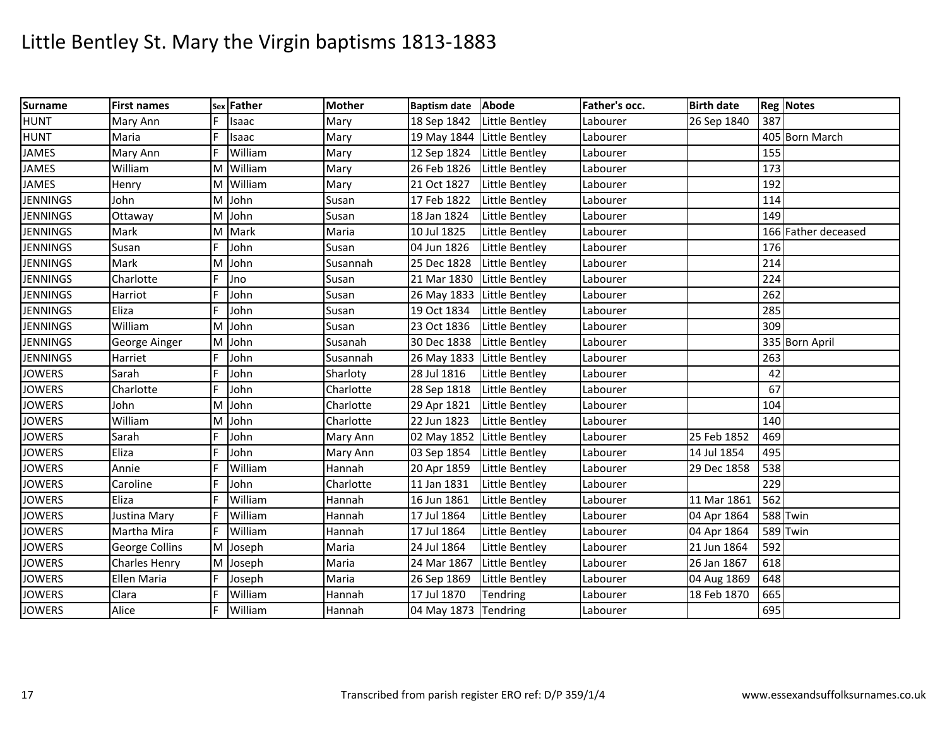| <b>Surname</b>  | <b>First names</b> | Sex | Father  | <b>Mother</b> | Baptism date Abode         |                | Father's occ. | <b>Birth date</b> |          | <b>Reg Notes</b>    |
|-----------------|--------------------|-----|---------|---------------|----------------------------|----------------|---------------|-------------------|----------|---------------------|
| <b>HUNT</b>     | Mary Ann           |     | Isaac   | Mary          | 18 Sep 1842                | Little Bentley | Labourer      | 26 Sep 1840       | 387      |                     |
| <b>HUNT</b>     | Maria              |     | Isaac   | Mary          | 19 May 1844 Little Bentley |                | Labourer      |                   |          | 405 Born March      |
| <b>JAMES</b>    | Mary Ann           | E   | William | Mary          | 12 Sep 1824                | Little Bentley | Labourer      |                   | 155      |                     |
| <b>JAMES</b>    | William            | м   | William | Mary          | 26 Feb 1826                | Little Bentley | Labourer      |                   | 173      |                     |
| <b>JAMES</b>    | Henry              | M   | William | Mary          | 21 Oct 1827                | Little Bentley | Labourer      |                   | 192      |                     |
| <b>JENNINGS</b> | John               | M   | John    | Susan         | 17 Feb 1822                | Little Bentley | Labourer      |                   | 114      |                     |
| <b>JENNINGS</b> | Ottaway            | м   | John    | Susan         | 18 Jan 1824                | Little Bentley | Labourer      |                   | 149      |                     |
| <b>JENNINGS</b> | Mark               | м   | Mark    | Maria         | 10 Jul 1825                | Little Bentley | Labourer      |                   |          | 166 Father deceased |
| <b>JENNINGS</b> | Susan              | E   | John    | Susan         | 04 Jun 1826                | Little Bentley | Labourer      |                   | 176      |                     |
| <b>JENNINGS</b> | Mark               | м   | John    | Susannah      | 25 Dec 1828                | Little Bentley | Labourer      |                   | 214      |                     |
| <b>JENNINGS</b> | Charlotte          | F   | Jno     | Susan         | 21 Mar 1830                | Little Bentley | Labourer      |                   | 224      |                     |
| <b>JENNINGS</b> | Harriot            |     | John    | Susan         | 26 May 1833 Little Bentley |                | Labourer      |                   | 262      |                     |
| <b>JENNINGS</b> | Eliza              |     | John    | Susan         | 19 Oct 1834                | Little Bentley | Labourer      |                   | 285      |                     |
| <b>JENNINGS</b> | William            | M   | John    | Susan         | 23 Oct 1836                | Little Bentley | Labourer      |                   | 309      |                     |
| <b>JENNINGS</b> | George Ainger      | M   | John    | Susanah       | 30 Dec 1838                | Little Bentley | Labourer      |                   |          | 335 Born April      |
| <b>JENNINGS</b> | Harriet            |     | John    | Susannah      | 26 May 1833 Little Bentley |                | Labourer      |                   | 263      |                     |
| <b>JOWERS</b>   | Sarah              |     | John    | Sharloty      | 28 Jul 1816                | Little Bentley | Labourer      |                   | 42       |                     |
| <b>JOWERS</b>   | Charlotte          |     | John    | Charlotte     | 28 Sep 1818                | Little Bentley | Labourer      |                   | 67       |                     |
| <b>JOWERS</b>   | John               | м   | John    | Charlotte     | 29 Apr 1821                | Little Bentley | Labourer      |                   | 104      |                     |
| <b>JOWERS</b>   | William            | м   | John    | Charlotte     | 22 Jun 1823                | Little Bentley | Labourer      |                   | 140      |                     |
| <b>JOWERS</b>   | Sarah              |     | John    | Mary Ann      | 02 May 1852                | Little Bentley | Labourer      | 25 Feb 1852       | 469      |                     |
| <b>JOWERS</b>   | Eliza              |     | John    | Mary Ann      | 03 Sep 1854                | Little Bentley | Labourer      | 14 Jul 1854       | 495      |                     |
| <b>JOWERS</b>   | Annie              |     | William | Hannah        | 20 Apr 1859                | Little Bentley | Labourer      | 29 Dec 1858       | 538      |                     |
| <b>JOWERS</b>   | Caroline           |     | John    | Charlotte     | 11 Jan 1831                | Little Bentley | Labourer      |                   | 229      |                     |
| <b>JOWERS</b>   | Eliza              |     | William | Hannah        | 16 Jun 1861                | Little Bentley | Labourer      | 11 Mar 1861       | 562      |                     |
| <b>JOWERS</b>   | Justina Mary       |     | William | Hannah        | 17 Jul 1864                | Little Bentley | Labourer      | 04 Apr 1864       | 588 Twin |                     |
| <b>JOWERS</b>   | Martha Mira        |     | William | Hannah        | 17 Jul 1864                | Little Bentley | Labourer      | 04 Apr 1864       | 589 Twin |                     |
| <b>JOWERS</b>   | George Collins     | M   | Joseph  | Maria         | 24 Jul 1864                | Little Bentley | Labourer      | 21 Jun 1864       | 592      |                     |
| <b>JOWERS</b>   | Charles Henry      | M   | Joseph  | Maria         | 24 Mar 1867                | Little Bentley | Labourer      | 26 Jan 1867       | 618      |                     |
| <b>JOWERS</b>   | Ellen Maria        | F   | Joseph  | Maria         | 26 Sep 1869                | Little Bentley | Labourer      | 04 Aug 1869       | 648      |                     |
| <b>JOWERS</b>   | Clara              | F   | William | Hannah        | 17 Jul 1870                | Tendring       | Labourer      | 18 Feb 1870       | 665      |                     |
| <b>JOWERS</b>   | Alice              | F   | William | Hannah        | 04 May 1873 Tendring       |                | Labourer      |                   | 695      |                     |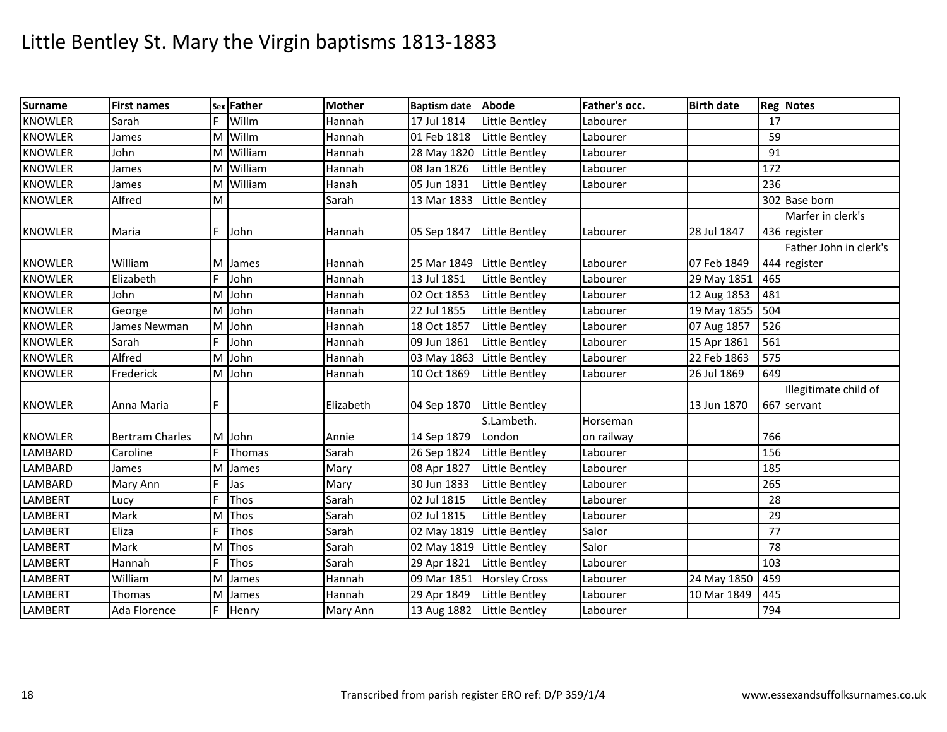| <b>Surname</b> | <b>First names</b>     |   | sex Father | <b>Mother</b> | <b>Baptism date</b>        | Abode                 | Father's occ. | <b>Birth date</b> |     | <b>Reg Notes</b>       |
|----------------|------------------------|---|------------|---------------|----------------------------|-----------------------|---------------|-------------------|-----|------------------------|
| <b>KNOWLER</b> | Sarah                  |   | Willm      | Hannah        | 17 Jul 1814                | Little Bentley        | Labourer      |                   | 17  |                        |
| <b>KNOWLER</b> | James                  |   | M Willm    | Hannah        | 01 Feb 1818                | Little Bentley        | Labourer      |                   | 59  |                        |
| <b>KNOWLER</b> | John                   | M | William    | Hannah        | 28 May 1820                | Little Bentley        | Labourer      |                   | 91  |                        |
| <b>KNOWLER</b> | James                  |   | M William  | Hannah        | 08 Jan 1826                | Little Bentley        | Labourer      |                   | 172 |                        |
| <b>KNOWLER</b> | James                  | M | William    | Hanah         | 05 Jun 1831                | <b>Little Bentley</b> | Labourer      |                   | 236 |                        |
| <b>KNOWLER</b> | Alfred                 | M |            | Sarah         | 13 Mar 1833                | Little Bentley        |               |                   |     | 302 Base born          |
|                |                        |   |            |               |                            |                       |               |                   |     | Marfer in clerk's      |
| <b>KNOWLER</b> | Maria                  | F | John       | Hannah        | 05 Sep 1847                | Little Bentley        | Labourer      | 28 Jul 1847       |     | 436 register           |
|                |                        |   |            |               |                            |                       |               |                   |     | Father John in clerk's |
| <b>KNOWLER</b> | William                |   | M James    | Hannah        | 25 Mar 1849                | Little Bentley        | Labourer      | 07 Feb 1849       |     | 444 register           |
| <b>KNOWLER</b> | Elizabeth              |   | John       | Hannah        | 13 Jul 1851                | Little Bentley        | Labourer      | 29 May 1851       | 465 |                        |
| <b>KNOWLER</b> | John                   |   | M John     | Hannah        | 02 Oct 1853                | Little Bentley        | Labourer      | 12 Aug 1853       | 481 |                        |
| <b>KNOWLER</b> | George                 |   | M John     | Hannah        | 22 Jul 1855                | Little Bentley        | Labourer      | 19 May 1855       | 504 |                        |
| <b>KNOWLER</b> | James Newman           |   | M John     | Hannah        | 18 Oct 1857                | Little Bentley        | Labourer      | 07 Aug 1857       | 526 |                        |
| <b>KNOWLER</b> | Sarah                  |   | John       | Hannah        | 09 Jun 1861                | Little Bentley        | Labourer      | 15 Apr 1861       | 561 |                        |
| <b>KNOWLER</b> | Alfred                 |   | M John     | Hannah        | 03 May 1863 Little Bentley |                       | Labourer      | 22 Feb 1863       | 575 |                        |
| <b>KNOWLER</b> | Frederick              |   | M John     | Hannah        | 10 Oct 1869                | Little Bentley        | Labourer      | 26 Jul 1869       | 649 |                        |
|                |                        |   |            |               |                            |                       |               |                   |     | Illegitimate child of  |
| <b>KNOWLER</b> | Anna Maria             |   |            | Elizabeth     | 04 Sep 1870                | Little Bentley        |               | 13 Jun 1870       |     | 667 servant            |
|                |                        |   |            |               |                            | S.Lambeth.            | Horseman      |                   |     |                        |
| <b>KNOWLER</b> | <b>Bertram Charles</b> |   | M John     | Annie         | 14 Sep 1879                | London                | on railway    |                   | 766 |                        |
| LAMBARD        | Caroline               | E | Thomas     | Sarah         | 26 Sep 1824                | Little Bentley        | Labourer      |                   | 156 |                        |
| LAMBARD        | James                  | M | James      | Mary          | 08 Apr 1827                | Little Bentley        | Labourer      |                   | 185 |                        |
| LAMBARD        | Mary Ann               | F | Jas        | Mary          | 30 Jun 1833                | Little Bentley        | Labourer      |                   | 265 |                        |
| <b>LAMBERT</b> | Lucy                   | E | Thos       | Sarah         | 02 Jul 1815                | Little Bentley        | Labourer      |                   | 28  |                        |
| LAMBERT        | Mark                   |   | M Thos     | Sarah         | 02 Jul 1815                | Little Bentley        | Labourer      |                   | 29  |                        |
| LAMBERT        | Eliza                  | E | Thos       | Sarah         | 02 May 1819                | Little Bentley        | Salor         |                   | 77  |                        |
| LAMBERT        | Mark                   | M | Thos       | Sarah         | 02 May 1819 Little Bentley |                       | Salor         |                   | 78  |                        |
| <b>LAMBERT</b> | Hannah                 | E | Thos       | Sarah         | 29 Apr 1821                | Little Bentley        | Labourer      |                   | 103 |                        |
| LAMBERT        | William                | M | James      | Hannah        | 09 Mar 1851                | <b>Horsley Cross</b>  | Labourer      | 24 May 1850       | 459 |                        |
| <b>LAMBERT</b> | Thomas                 | M | James      | Hannah        | 29 Apr 1849                | Little Bentley        | Labourer      | 10 Mar 1849       | 445 |                        |
| <b>LAMBERT</b> | Ada Florence           | F | Henry      | Mary Ann      | 13 Aug 1882 Little Bentley |                       | Labourer      |                   | 794 |                        |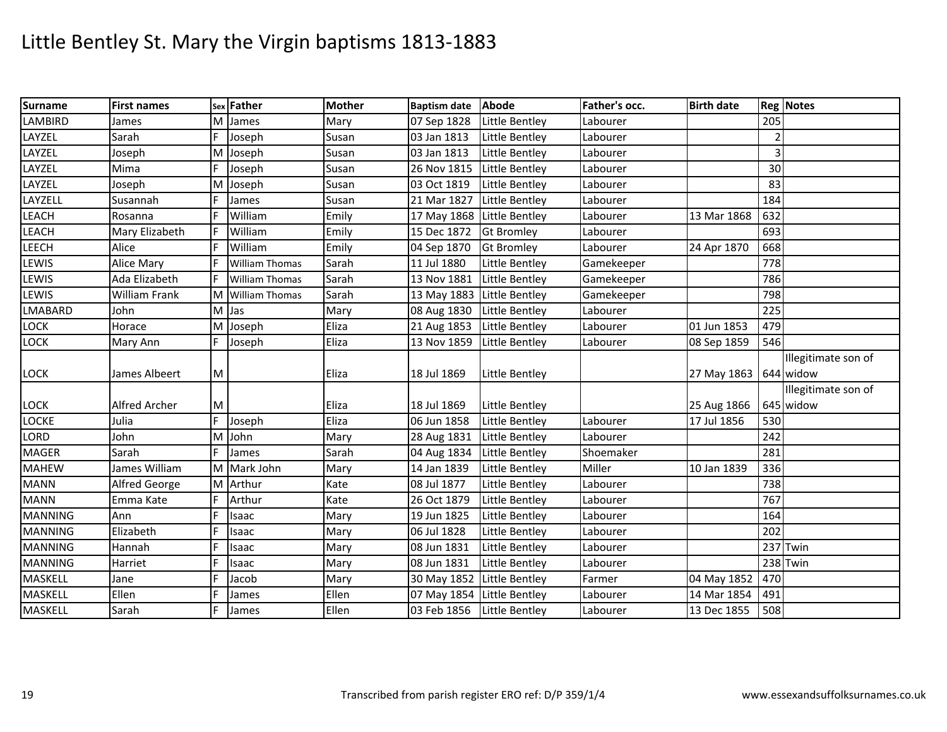| <b>Surname</b> | <b>First names</b> |   | sex Father            | <b>Mother</b> | <b>Baptism date</b> | Abode                 | Father's occ. | <b>Birth date</b> |                | <b>Reg Notes</b>    |
|----------------|--------------------|---|-----------------------|---------------|---------------------|-----------------------|---------------|-------------------|----------------|---------------------|
| <b>LAMBIRD</b> | James              |   | M James               | Mary          | 07 Sep 1828         | Little Bentley        | Labourer      |                   | 205            |                     |
| LAYZEL         | Sarah              | F | Joseph                | Susan         | 03 Jan 1813         | Little Bentley        | Labourer      |                   | $\overline{2}$ |                     |
| LAYZEL         | Joseph             |   | M Joseph              | Susan         | 03 Jan 1813         | Little Bentley        | Labourer      |                   | 3              |                     |
| LAYZEL         | Mima               |   | Joseph                | Susan         | 26 Nov 1815         | Little Bentley        | Labourer      |                   | 30             |                     |
| LAYZEL         | Joseph             | M | Joseph                | Susan         | 03 Oct 1819         | Little Bentley        | Labourer      |                   | 83             |                     |
| LAYZELL        | Susannah           | F | James                 | Susan         | 21 Mar 1827         | Little Bentley        | Labourer      |                   | 184            |                     |
| LEACH          | Rosanna            |   | William               | Emily         | 17 May 1868         | Little Bentley        | Labourer      | 13 Mar 1868       | 632            |                     |
| LEACH          | Mary Elizabeth     |   | William               | Emily         | 15 Dec 1872         | <b>Gt Bromley</b>     | Labourer      |                   | 693            |                     |
| LEECH          | Alice              | F | William               | Emily         | 04 Sep 1870         | <b>Gt Bromley</b>     | Labourer      | 24 Apr 1870       | 668            |                     |
| LEWIS          | Alice Mary         |   | <b>William Thomas</b> | Sarah         | 11 Jul 1880         | Little Bentley        | Gamekeeper    |                   | 778            |                     |
| LEWIS          | Ada Elizabeth      |   | <b>William Thomas</b> | Sarah         | 13 Nov 1881         | Little Bentley        | Gamekeeper    |                   | 786            |                     |
| <b>LEWIS</b>   | William Frank      | м | <b>William Thomas</b> | Sarah         | 13 May 1883         | Little Bentley        | Gamekeeper    |                   | 798            |                     |
| <b>LMABARD</b> | John               |   | M Jas                 | Mary          | 08 Aug 1830         | Little Bentley        | Labourer      |                   | 225            |                     |
| <b>LOCK</b>    | Horace             |   | M Joseph              | Eliza         | 21 Aug 1853         | Little Bentley        | Labourer      | 01 Jun 1853       | 479            |                     |
| LOCK           | Mary Ann           |   | Joseph                | Eliza         | 13 Nov 1859         | Little Bentley        | Labourer      | 08 Sep 1859       | 546            |                     |
|                |                    |   |                       |               |                     |                       |               |                   |                | Illegitimate son of |
| <b>LOCK</b>    | James Albeert      | M |                       | Eliza         | 18 Jul 1869         | Little Bentley        |               | 27 May 1863       |                | 644 widow           |
|                |                    |   |                       |               |                     |                       |               |                   |                | Illegitimate son of |
| <b>LOCK</b>    | Alfred Archer      | M |                       | Eliza         | 18 Jul 1869         | Little Bentley        |               | 25 Aug 1866       |                | 645 widow           |
| LOCKE          | Julia              | E | Joseph                | Eliza         | 06 Jun 1858         | Little Bentley        | Labourer      | 17 Jul 1856       | 530            |                     |
| LORD           | John               |   | M John                | Mary          | 28 Aug 1831         | <b>Little Bentley</b> | Labourer      |                   | 242            |                     |
| <b>MAGER</b>   | Sarah              | F | James                 | Sarah         | 04 Aug 1834         | Little Bentley        | Shoemaker     |                   | 281            |                     |
| <b>MAHEW</b>   | James William      |   | M Mark John           | Mary          | 14 Jan 1839         | Little Bentley        | Miller        | 10 Jan 1839       | 336            |                     |
| <b>MANN</b>    | Alfred George      |   | M Arthur              | Kate          | 08 Jul 1877         | Little Bentley        | Labourer      |                   | 738            |                     |
| <b>MANN</b>    | Emma Kate          | F | Arthur                | Kate          | 26 Oct 1879         | Little Bentley        | Labourer      |                   | 767            |                     |
| <b>MANNING</b> | Ann                | F | Isaac                 | Mary          | 19 Jun 1825         | Little Bentley        | Labourer      |                   | 164            |                     |
| <b>MANNING</b> | Elizabeth          |   | Isaac                 | Mary          | 06 Jul 1828         | Little Bentley        | Labourer      |                   | 202            |                     |
| <b>MANNING</b> | Hannah             |   | Isaac                 | Mary          | 08 Jun 1831         | <b>Little Bentley</b> | Labourer      |                   |                | 237 Twin            |
| <b>MANNING</b> | Harriet            | F | Isaac                 | Mary          | 08 Jun 1831         | <b>Little Bentley</b> | Labourer      |                   |                | 238 Twin            |
| MASKELL        | Jane               | F | Jacob                 | Mary          | 30 May 1852         | Little Bentley        | Farmer        | 04 May 1852       | 470            |                     |
| <b>MASKELL</b> | Ellen              |   | James                 | Ellen         | 07 May 1854         | Little Bentley        | Labourer      | 14 Mar 1854       | 491            |                     |
| <b>MASKELL</b> | Sarah              |   | James                 | Ellen         | 03 Feb 1856         | Little Bentley        | Labourer      | 13 Dec 1855       | 508            |                     |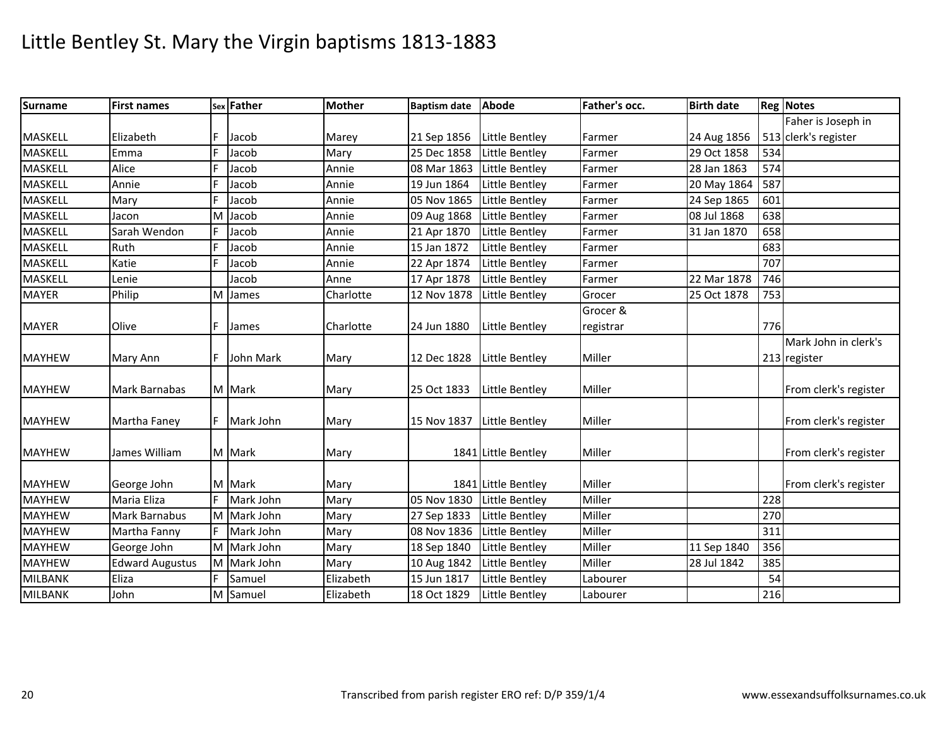| <b>Surname</b> | <b>First names</b>     |    | sex Father  | <b>Mother</b> | <b>Baptism date</b> | <b>Abode</b>          | Father's occ. | <b>Birth date</b> |     | <b>Reg Notes</b>      |
|----------------|------------------------|----|-------------|---------------|---------------------|-----------------------|---------------|-------------------|-----|-----------------------|
|                |                        |    |             |               |                     |                       |               |                   |     | Faher is Joseph in    |
| MASKELL        | Elizabeth              | E  | Jacob       | Marey         | 21 Sep 1856         | Little Bentley        | Farmer        | 24 Aug 1856       |     | 513 clerk's register  |
| MASKELL        | Emma                   |    | Jacob       | Mary          | 25 Dec 1858         | Little Bentley        | Farmer        | 29 Oct 1858       | 534 |                       |
| <b>MASKELL</b> | Alice                  |    | Jacob       | Annie         | 08 Mar 1863         | Little Bentley        | Farmer        | 28 Jan 1863       | 574 |                       |
| <b>MASKELL</b> | Annie                  |    | Jacob       | Annie         | 19 Jun 1864         | Little Bentley        | Farmer        | 20 May 1864       | 587 |                       |
| MASKELL        | Mary                   |    | Jacob       | Annie         | 05 Nov 1865         | Little Bentley        | Farmer        | 24 Sep 1865       | 601 |                       |
| MASKELL        | Jacon                  | M  | Jacob       | Annie         | 09 Aug 1868         | Little Bentley        | Farmer        | 08 Jul 1868       | 638 |                       |
| MASKELL        | Sarah Wendon           |    | Jacob       | Annie         | 21 Apr 1870         | Little Bentley        | Farmer        | 31 Jan 1870       | 658 |                       |
| MASKELL        | Ruth                   |    | Jacob       | Annie         | 15 Jan 1872         | Little Bentley        | Farmer        |                   | 683 |                       |
| <b>MASKELL</b> | Katie                  | F  | Jacob       | Annie         | 22 Apr 1874         | Little Bentley        | Farmer        |                   | 707 |                       |
| <b>MASKELL</b> | Lenie                  |    | Jacob       | Anne          | 17 Apr 1878         | Little Bentley        | Farmer        | 22 Mar 1878       | 746 |                       |
| <b>MAYER</b>   | Philip                 | M  | James       | Charlotte     | 12 Nov 1878         | Little Bentley        | Grocer        | 25 Oct 1878       | 753 |                       |
|                |                        |    |             |               |                     |                       | Grocer &      |                   |     |                       |
| <b>MAYER</b>   | Olive                  | F  | James       | Charlotte     | 24 Jun 1880         | Little Bentley        | registrar     |                   | 776 |                       |
|                |                        |    |             |               |                     |                       |               |                   |     | Mark John in clerk's  |
| <b>MAYHEW</b>  | Mary Ann               |    | John Mark   | Mary          | 12 Dec 1828         | Little Bentley        | Miller        |                   |     | 213 register          |
|                |                        |    |             |               |                     |                       |               |                   |     |                       |
| <b>MAYHEW</b>  | Mark Barnabas          |    | M Mark      | Mary          | 25 Oct 1833         | Little Bentley        | Miller        |                   |     | From clerk's register |
|                |                        |    |             |               |                     |                       |               |                   |     |                       |
| <b>MAYHEW</b>  | Martha Faney           | IF | Mark John   | Mary          | 15 Nov 1837         | Little Bentley        | Miller        |                   |     | From clerk's register |
| <b>MAYHEW</b>  | James William          |    | M Mark      | Mary          |                     | 1841 Little Bentley   | Miller        |                   |     | From clerk's register |
|                |                        |    |             |               |                     |                       |               |                   |     |                       |
| <b>MAYHEW</b>  | George John            |    | M Mark      | Mary          |                     | 1841 Little Bentley   | Miller        |                   |     | From clerk's register |
| <b>MAYHEW</b>  | Maria Eliza            | F  | Mark John   | Mary          | 05 Nov 1830         | Little Bentley        | Miller        |                   | 228 |                       |
| <b>MAYHEW</b>  | Mark Barnabus          |    | M Mark John | Mary          | 27 Sep 1833         | Little Bentley        | Miller        |                   | 270 |                       |
| <b>MAYHEW</b>  | Martha Fanny           | F  | Mark John   | Mary          | 08 Nov 1836         | Little Bentley        | Miller        |                   | 311 |                       |
| <b>MAYHEW</b>  | George John            |    | M Mark John | Mary          | 18 Sep 1840         | Little Bentley        | Miller        | 11 Sep 1840       | 356 |                       |
| <b>MAYHEW</b>  | <b>Edward Augustus</b> |    | M Mark John | Mary          | 10 Aug 1842         | Little Bentley        | Miller        | 28 Jul 1842       | 385 |                       |
| <b>MILBANK</b> | Eliza                  | F  | Samuel      | Elizabeth     | 15 Jun 1817         | Little Bentley        | Labourer      |                   | 54  |                       |
| <b>MILBANK</b> | John                   |    | M Samuel    | Elizabeth     | 18 Oct 1829         | <b>Little Bentley</b> | Labourer      |                   | 216 |                       |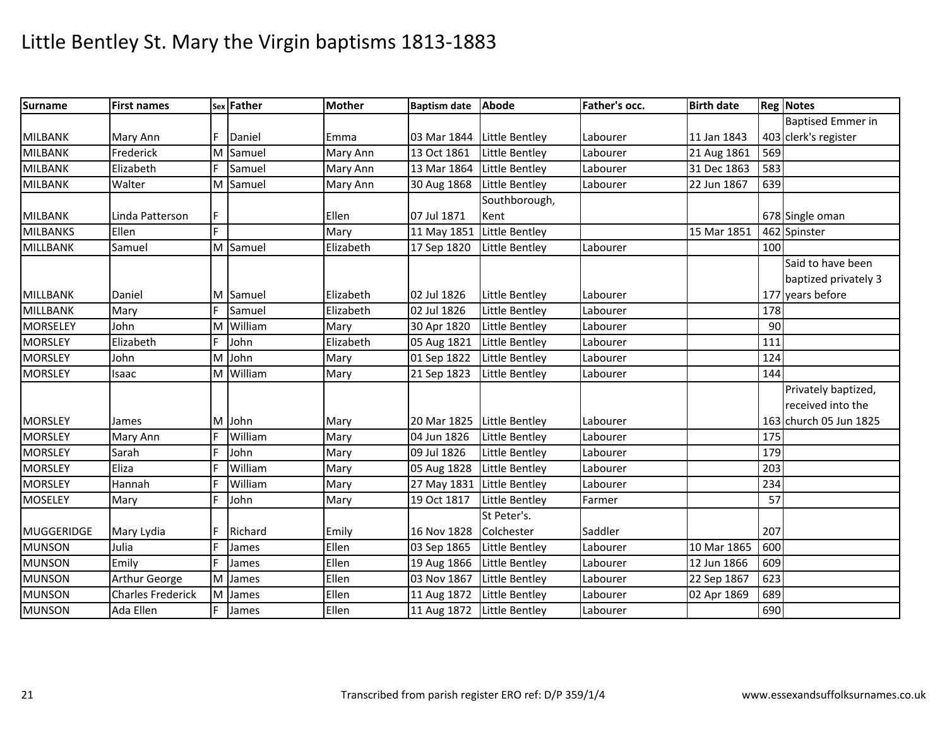| <b>Surname</b>    | <b>First names</b>       |    | sex Father | <b>Mother</b> | Baptism date Abode         |                            | Father's occ. | <b>Birth date</b> |     | <b>Reg Notes</b>         |
|-------------------|--------------------------|----|------------|---------------|----------------------------|----------------------------|---------------|-------------------|-----|--------------------------|
|                   |                          |    |            |               |                            |                            |               |                   |     | <b>Baptised Emmer in</b> |
| <b>MILBANK</b>    | Mary Ann                 | F  | Daniel     | Emma          |                            | 03 Mar 1844 Little Bentley | Labourer      | 11 Jan 1843       |     | 403 clerk's register     |
| <b>MILBANK</b>    | Frederick                | M  | Samuel     | Mary Ann      | 13 Oct 1861                | Little Bentley             | Labourer      | 21 Aug 1861       | 569 |                          |
| <b>MILBANK</b>    | Elizabeth                | F  | Samuel     | Mary Ann      | 13 Mar 1864                | Little Bentley             | Labourer      | 31 Dec 1863       | 583 |                          |
| <b>MILBANK</b>    | Walter                   |    | M Samuel   | Mary Ann      | 30 Aug 1868                | Little Bentley             | Labourer      | 22 Jun 1867       | 639 |                          |
|                   |                          |    |            |               |                            | Southborough,              |               |                   |     |                          |
| <b>MILBANK</b>    | Linda Patterson          | F  |            | Ellen         | 07 Jul 1871                | Kent                       |               |                   |     | 678 Single oman          |
| <b>MILBANKS</b>   | Ellen                    | E. |            | Mary          |                            | 11 May 1851 Little Bentley |               | 15 Mar 1851       |     | 462 Spinster             |
| MILLBANK          | Samuel                   |    | M Samuel   | Elizabeth     | 17 Sep 1820                | Little Bentley             | Labourer      |                   | 100 |                          |
|                   |                          |    |            |               |                            |                            |               |                   |     | Said to have been        |
|                   |                          |    |            |               |                            |                            |               |                   |     | baptized privately 3     |
| MILLBANK          | Daniel                   |    | M Samuel   | Elizabeth     | 02 Jul 1826                | Little Bentley             | Labourer      |                   |     | 177 years before         |
| MILLBANK          | Mary                     | F  | Samuel     | Elizabeth     | 02 Jul 1826                | Little Bentley             | Labourer      |                   | 178 |                          |
| MORSELEY          | John                     |    | M William  | Mary          | 30 Apr 1820                | Little Bentley             | Labourer      |                   | 90  |                          |
| <b>MORSLEY</b>    | Elizabeth                | F  | John       | Elizabeth     | 05 Aug 1821                | Little Bentley             | Labourer      |                   | 111 |                          |
| <b>MORSLEY</b>    | John                     | M  | John       | Mary          | 01 Sep 1822                | Little Bentley             | Labourer      |                   | 124 |                          |
| <b>MORSLEY</b>    | Isaac                    |    | M William  | Mary          | 21 Sep 1823                | Little Bentley             | Labourer      |                   | 144 |                          |
|                   |                          |    |            |               |                            |                            |               |                   |     | Privately baptized,      |
|                   |                          |    |            |               |                            |                            |               |                   |     | received into the        |
| <b>MORSLEY</b>    | James                    |    | M John     | Mary          | 20 Mar 1825 Little Bentley |                            | Labourer      |                   |     | 163 church 05 Jun 1825   |
| <b>MORSLEY</b>    | Mary Ann                 | E  | William    | Mary          | 04 Jun 1826                | Little Bentley             | Labourer      |                   | 175 |                          |
| <b>MORSLEY</b>    | Sarah                    | E  | John       | Mary          | 09 Jul 1826                | Little Bentley             | Labourer      |                   | 179 |                          |
| <b>MORSLEY</b>    | Eliza                    | F  | William    | Mary          | 05 Aug 1828                | Little Bentley             | Labourer      |                   | 203 |                          |
| <b>MORSLEY</b>    | Hannah                   | Ŀ  | William    | Mary          | 27 May 1831 Little Bentley |                            | Labourer      |                   | 234 |                          |
| <b>MOSELEY</b>    | Mary                     | E  | John       | Mary          | 19 Oct 1817                | Little Bentley             | Farmer        |                   | 57  |                          |
|                   |                          |    |            |               |                            | St Peter's.                |               |                   |     |                          |
| <b>MUGGERIDGE</b> | Mary Lydia               | F  | Richard    | Emily         | 16 Nov 1828                | Colchester                 | Saddler       |                   | 207 |                          |
| <b>MUNSON</b>     | Julia                    | E  | James      | Ellen         | 03 Sep 1865                | Little Bentley             | Labourer      | 10 Mar 1865       | 600 |                          |
| <b>MUNSON</b>     | Emily                    | E  | James      | Ellen         | 19 Aug 1866                | Little Bentley             | Labourer      | 12 Jun 1866       | 609 |                          |
| <b>MUNSON</b>     | Arthur George            |    | M James    | Ellen         | 03 Nov 1867                | <b>Little Bentley</b>      | Labourer      | 22 Sep 1867       | 623 |                          |
| <b>MUNSON</b>     | <b>Charles Frederick</b> |    | M James    | Ellen         | 11 Aug 1872                | Little Bentley             | Labourer      | 02 Apr 1869       | 689 |                          |
| <b>MUNSON</b>     | Ada Ellen                |    | James      | Ellen         | 11 Aug 1872                | Little Bentley             | Labourer      |                   | 690 |                          |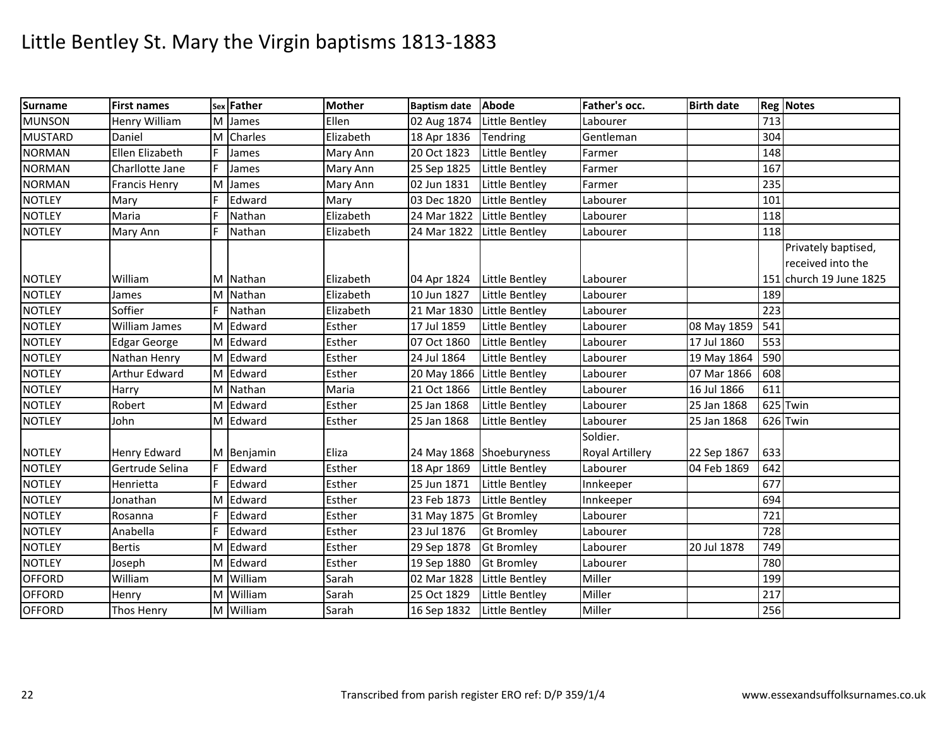| <b>Surname</b> | <b>First names</b>   |    | sex Father | <b>Mother</b> | <b>Baptism date</b>        | Abode                    | Father's occ.          | <b>Birth date</b> |     | <b>Reg Notes</b>        |
|----------------|----------------------|----|------------|---------------|----------------------------|--------------------------|------------------------|-------------------|-----|-------------------------|
| <b>MUNSON</b>  | Henry William        | M  | James      | Ellen         | 02 Aug 1874                | Little Bentley           | Labourer               |                   | 713 |                         |
| <b>MUSTARD</b> | Daniel               | M  | Charles    | Elizabeth     | 18 Apr 1836                | Tendring                 | Gentleman              |                   | 304 |                         |
| <b>NORMAN</b>  | Ellen Elizabeth      |    | James      | Mary Ann      | 20 Oct 1823                | Little Bentley           | Farmer                 |                   | 148 |                         |
| <b>NORMAN</b>  | Charllotte Jane      |    | James      | Mary Ann      | 25 Sep 1825                | Little Bentley           | Farmer                 |                   | 167 |                         |
| <b>NORMAN</b>  | <b>Francis Henry</b> | M  | James      | Mary Ann      | 02 Jun 1831                | Little Bentley           | Farmer                 |                   | 235 |                         |
| <b>NOTLEY</b>  | Mary                 | F  | Edward     | Mary          | 03 Dec 1820                | Little Bentley           | Labourer               |                   | 101 |                         |
| <b>NOTLEY</b>  | Maria                | F  | Nathan     | Elizabeth     | 24 Mar 1822                | Little Bentley           | Labourer               |                   | 118 |                         |
| <b>NOTLEY</b>  | Mary Ann             |    | Nathan     | Elizabeth     | 24 Mar 1822                | Little Bentley           | Labourer               |                   | 118 |                         |
|                |                      |    |            |               |                            |                          |                        |                   |     | Privately baptised,     |
|                |                      |    |            |               |                            |                          |                        |                   |     | received into the       |
| <b>NOTLEY</b>  | William              |    | M Nathan   | Elizabeth     | 04 Apr 1824                | Little Bentley           | Labourer               |                   |     | 151 church 19 June 1825 |
| <b>NOTLEY</b>  | James                | м  | Nathan     | Elizabeth     | 10 Jun 1827                | Little Bentley           | Labourer               |                   | 189 |                         |
| <b>NOTLEY</b>  | Soffier              |    | Nathan     | Elizabeth     | 21 Mar 1830                | Little Bentley           | Labourer               |                   | 223 |                         |
| <b>NOTLEY</b>  | William James        | M  | Edward     | Esther        | 17 Jul 1859                | Little Bentley           | Labourer               | 08 May 1859       | 541 |                         |
| <b>NOTLEY</b>  | <b>Edgar George</b>  |    | M Edward   | Esther        | 07 Oct 1860                | Little Bentley           | Labourer               | 17 Jul 1860       | 553 |                         |
| <b>NOTLEY</b>  | Nathan Henry         | M  | Edward     | Esther        | 24 Jul 1864                | Little Bentley           | Labourer               | 19 May 1864       | 590 |                         |
| <b>NOTLEY</b>  | Arthur Edward        |    | M Edward   | Esther        | 20 May 1866 Little Bentley |                          | Labourer               | 07 Mar 1866       | 608 |                         |
| <b>NOTLEY</b>  | Harry                |    | M Nathan   | Maria         | 21 Oct 1866                | Little Bentley           | Labourer               | 16 Jul 1866       | 611 |                         |
| <b>NOTLEY</b>  | Robert               |    | M Edward   | Esther        | 25 Jan 1868                | Little Bentley           | Labourer               | 25 Jan 1868       |     | 625 Twin                |
| <b>NOTLEY</b>  | John                 | M  | Edward     | Esther        | 25 Jan 1868                | Little Bentley           | Labourer               | 25 Jan 1868       |     | 626 Twin                |
|                |                      |    |            |               |                            |                          | Soldier.               |                   |     |                         |
| <b>NOTLEY</b>  | Henry Edward         |    | M Benjamin | Eliza         |                            | 24 May 1868 Shoeburyness | <b>Royal Artillery</b> | 22 Sep 1867       | 633 |                         |
| <b>NOTLEY</b>  | Gertrude Selina      | IF | Edward     | Esther        | 18 Apr 1869                | Little Bentley           | Labourer               | 04 Feb 1869       | 642 |                         |
| <b>NOTLEY</b>  | Henrietta            |    | Edward     | Esther        | 25 Jun 1871                | Little Bentley           | Innkeeper              |                   | 677 |                         |
| <b>NOTLEY</b>  | Jonathan             | M  | Edward     | Esther        | 23 Feb 1873                | Little Bentley           | Innkeeper              |                   | 694 |                         |
| <b>NOTLEY</b>  | Rosanna              | F  | Edward     | Esther        | 31 May 1875 Gt Bromley     |                          | Labourer               |                   | 721 |                         |
| <b>NOTLEY</b>  | Anabella             | F  | Edward     | Esther        | 23 Jul 1876                | <b>Gt Bromley</b>        | Labourer               |                   | 728 |                         |
| <b>NOTLEY</b>  | <b>Bertis</b>        | м  | Edward     | Esther        | 29 Sep 1878                | <b>Gt Bromley</b>        | Labourer               | 20 Jul 1878       | 749 |                         |
| <b>NOTLEY</b>  | Joseph               | М  | Edward     | Esther        | 19 Sep 1880                | <b>Gt Bromley</b>        | Labourer               |                   | 780 |                         |
| <b>OFFORD</b>  | William              |    | M William  | Sarah         | 02 Mar 1828                | Little Bentley           | Miller                 |                   | 199 |                         |
| <b>OFFORD</b>  | Henry                |    | M William  | Sarah         | 25 Oct 1829                | <b>Little Bentley</b>    | Miller                 |                   | 217 |                         |
| <b>OFFORD</b>  | Thos Henry           |    | M William  | Sarah         | 16 Sep 1832                | Little Bentley           | Miller                 |                   | 256 |                         |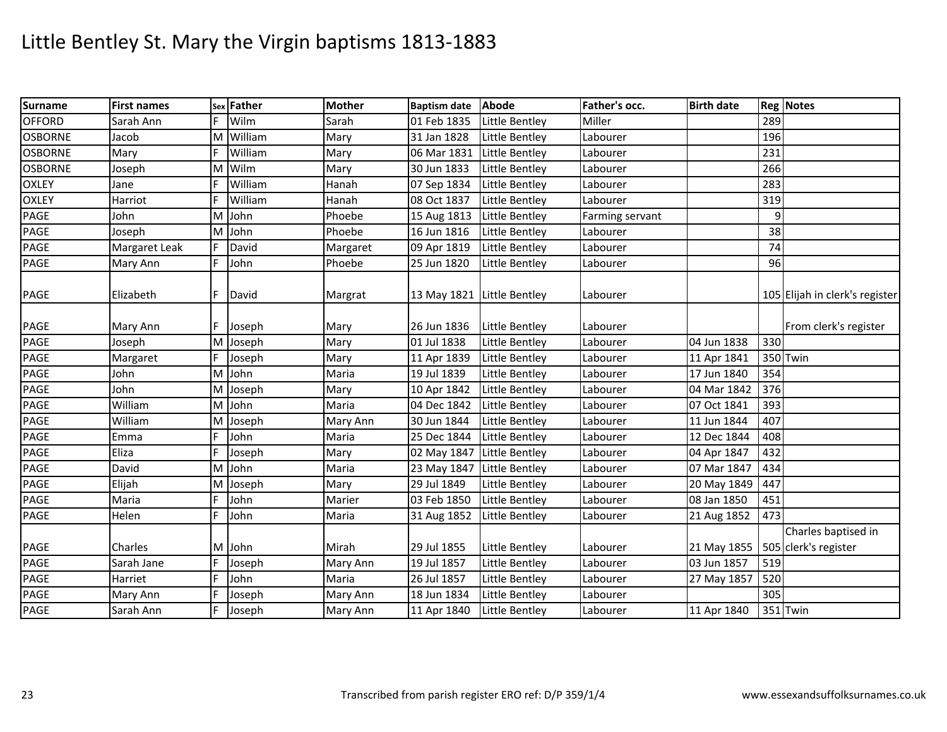| <b>Surname</b> | <b>First names</b> | Sex | Father   | <b>Mother</b> | <b>Baptism date</b>        | <b>Abode</b>          | Father's occ.   | <b>Birth date</b> |     | <b>Reg Notes</b>                            |
|----------------|--------------------|-----|----------|---------------|----------------------------|-----------------------|-----------------|-------------------|-----|---------------------------------------------|
| <b>OFFORD</b>  | Sarah Ann          | E   | Wilm     | Sarah         | 01 Feb 1835                | Little Bentley        | Miller          |                   | 289 |                                             |
| <b>OSBORNE</b> | Jacob              | M   | William  | Mary          | 31 Jan 1828                | Little Bentley        | Labourer        |                   | 196 |                                             |
| <b>OSBORNE</b> | Mary               | E   | William  | Mary          | 06 Mar 1831                | Little Bentley        | Labourer        |                   | 231 |                                             |
| <b>OSBORNE</b> | Joseph             | M   | Wilm     | Mary          | 30 Jun 1833                | Little Bentley        | Labourer        |                   | 266 |                                             |
| <b>OXLEY</b>   | Jane               | E   | William  | Hanah         | 07 Sep 1834                | Little Bentley        | Labourer        |                   | 283 |                                             |
| <b>OXLEY</b>   | Harriot            | E   | William  | Hanah         | 08 Oct 1837                | Little Bentley        | Labourer        |                   | 319 |                                             |
| PAGE           | John               | M   | John     | Phoebe        | 15 Aug 1813                | Little Bentley        | Farming servant |                   | 9   |                                             |
| PAGE           | Joseph             | M   | John     | Phoebe        | 16 Jun 1816                | Little Bentley        | Labourer        |                   | 38  |                                             |
| PAGE           | Margaret Leak      | F   | David    | Margaret      | 09 Apr 1819                | Little Bentley        | Labourer        |                   | 74  |                                             |
| PAGE           | Mary Ann           | E   | John     | Phoebe        | 25 Jun 1820                | Little Bentley        | Labourer        |                   | 96  |                                             |
| <b>PAGE</b>    | Elizabeth          | F   | David    | Margrat       | 13 May 1821 Little Bentley |                       | Labourer        |                   |     | 105 Elijah in clerk's register              |
| PAGE           | Mary Ann           |     | Joseph   | Mary          | 26 Jun 1836                | Little Bentley        | Labourer        |                   |     | From clerk's register                       |
| PAGE           | Joseph             |     | M Joseph | Mary          | 01 Jul 1838                | Little Bentley        | Labourer        | 04 Jun 1838       | 330 |                                             |
| PAGE           | Margaret           |     | Joseph   | Mary          | 11 Apr 1839                | Little Bentley        | Labourer        | 11 Apr 1841       |     | 350 Twin                                    |
| PAGE           | John               | M   | John     | Maria         | 19 Jul 1839                | Little Bentley        | Labourer        | 17 Jun 1840       | 354 |                                             |
| PAGE           | John               |     | M Joseph | Mary          | 10 Apr 1842                | Little Bentley        | Labourer        | 04 Mar 1842       | 376 |                                             |
| PAGE           | William            |     | M John   | Maria         | 04 Dec 1842                | Little Bentley        | Labourer        | 07 Oct 1841       | 393 |                                             |
| PAGE           | William            |     | M Joseph | Mary Ann      | 30 Jun 1844                | Little Bentley        | Labourer        | 11 Jun 1844       | 407 |                                             |
| PAGE           | Emma               | F   | John     | Maria         | 25 Dec 1844                | Little Bentley        | Labourer        | 12 Dec 1844       | 408 |                                             |
| PAGE           | Eliza              | E   | Joseph   | Mary          | 02 May 1847                | Little Bentley        | Labourer        | 04 Apr 1847       | 432 |                                             |
| PAGE           | David              | M   | John     | Maria         | 23 May 1847                | Little Bentley        | Labourer        | 07 Mar 1847       | 434 |                                             |
| PAGE           | Elijah             |     | M Joseph | Mary          | 29 Jul 1849                | Little Bentley        | Labourer        | 20 May 1849       | 447 |                                             |
| PAGE           | Maria              | E   | John     | Marier        | 03 Feb 1850                | Little Bentley        | Labourer        | 08 Jan 1850       | 451 |                                             |
| PAGE           | Helen              | F   | John     | Maria         | 31 Aug 1852                | Little Bentley        | Labourer        | 21 Aug 1852       | 473 |                                             |
| <b>PAGE</b>    | Charles            |     | M John   | Mirah         | 29 Jul 1855                | Little Bentley        | Labourer        | 21 May 1855       |     | Charles baptised in<br>505 clerk's register |
| <b>PAGE</b>    | Sarah Jane         | F   | Joseph   | Mary Ann      | 19 Jul 1857                | <b>Little Bentley</b> | Labourer        | 03 Jun 1857       | 519 |                                             |
| PAGE           | Harriet            | E   | John     | Maria         | 26 Jul 1857                | Little Bentley        | Labourer        | 27 May 1857       | 520 |                                             |
| <b>PAGE</b>    | Mary Ann           | Ŀ   | Joseph   | Mary Ann      | 18 Jun 1834                | Little Bentley        | Labourer        |                   | 305 |                                             |
| <b>PAGE</b>    | Sarah Ann          | E   | Joseph   | Mary Ann      | 11 Apr 1840                | Little Bentley        | Labourer        | 11 Apr 1840       |     | 351 Twin                                    |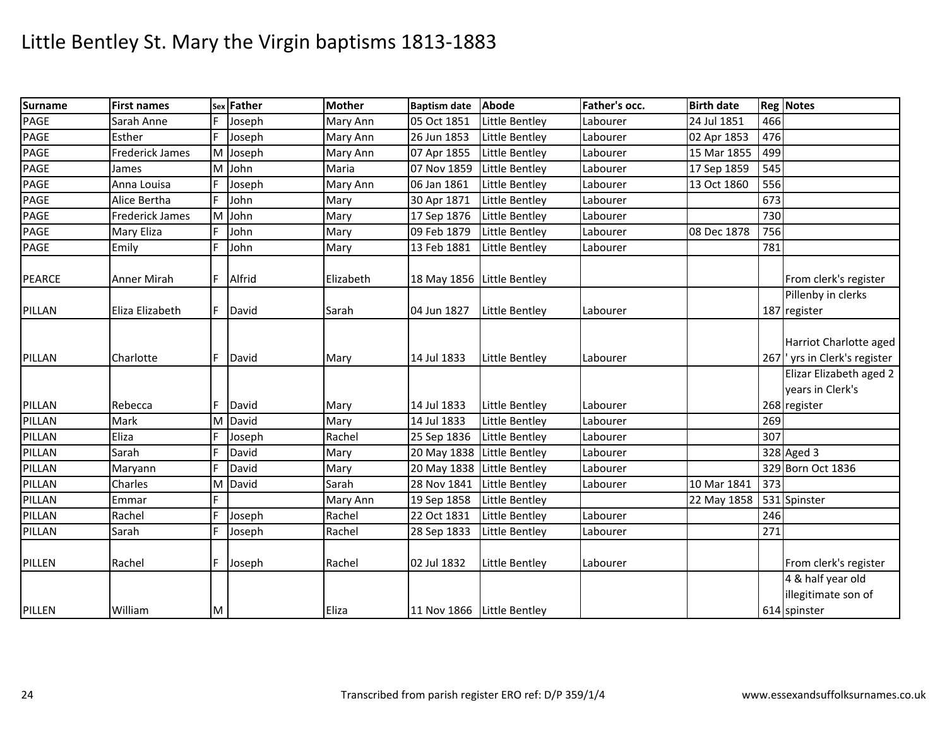| <b>Surname</b> | <b>First names</b>     |   | sex Father | <b>Mother</b> | <b>Baptism date</b>        | <b>Abode</b>   | Father's occ. | <b>Birth date</b> |     | <b>Reg Notes</b>                                            |
|----------------|------------------------|---|------------|---------------|----------------------------|----------------|---------------|-------------------|-----|-------------------------------------------------------------|
| PAGE           | Sarah Anne             |   | Joseph     | Mary Ann      | 05 Oct 1851                | Little Bentley | Labourer      | 24 Jul 1851       | 466 |                                                             |
| PAGE           | Esther                 | F | Joseph     | Mary Ann      | 26 Jun 1853                | Little Bentley | Labourer      | 02 Apr 1853       | 476 |                                                             |
| PAGE           | <b>Frederick James</b> |   | M Joseph   | Mary Ann      | 07 Apr 1855                | Little Bentley | Labourer      | 15 Mar 1855       | 499 |                                                             |
| PAGE           | James                  |   | M John     | Maria         | 07 Nov 1859                | Little Bentley | Labourer      | 17 Sep 1859       | 545 |                                                             |
| PAGE           | Anna Louisa            |   | Joseph     | Mary Ann      | 06 Jan 1861                | Little Bentley | Labourer      | 13 Oct 1860       | 556 |                                                             |
| PAGE           | Alice Bertha           | F | John       | Mary          | 30 Apr 1871                | Little Bentley | Labourer      |                   | 673 |                                                             |
| PAGE           | <b>Frederick James</b> | M | John       | Mary          | 17 Sep 1876                | Little Bentley | Labourer      |                   | 730 |                                                             |
| PAGE           | Mary Eliza             |   | John       | Mary          | 09 Feb 1879                | Little Bentley | Labourer      | 08 Dec 1878       | 756 |                                                             |
| PAGE           | Emily                  | F | John       | Mary          | 13 Feb 1881                | Little Bentley | Labourer      |                   | 781 |                                                             |
| <b>PEARCE</b>  | Anner Mirah            | F | Alfrid     | Elizabeth     | 18 May 1856 Little Bentley |                |               |                   |     | From clerk's register                                       |
| PILLAN         | Eliza Elizabeth        | E | David      | Sarah         | 04 Jun 1827                | Little Bentley | Labourer      |                   |     | Pillenby in clerks<br>187 register                          |
| PILLAN         | Charlotte              | F | David      | Mary          | 14 Jul 1833                | Little Bentley | Labourer      |                   |     | Harriot Charlotte aged<br>267 yrs in Clerk's register       |
| PILLAN         | Rebecca                | Е | David      | Mary          | 14 Jul 1833                | Little Bentley | Labourer      |                   |     | Elizar Elizabeth aged 2<br>years in Clerk's<br>268 register |
| PILLAN         | Mark                   |   | M David    | Mary          | 14 Jul 1833                | Little Bentley | Labourer      |                   | 269 |                                                             |
| PILLAN         | Eliza                  | F | Joseph     | Rachel        | 25 Sep 1836                | Little Bentley | Labourer      |                   | 307 |                                                             |
| PILLAN         | Sarah                  | F | David      | Mary          | 20 May 1838 Little Bentley |                | Labourer      |                   |     | 328 Aged 3                                                  |
| PILLAN         | Maryann                |   | David      | Mary          | 20 May 1838 Little Bentley |                | Labourer      |                   |     | 329 Born Oct 1836                                           |
| PILLAN         | Charles                |   | M David    | Sarah         | 28 Nov 1841                | Little Bentley | Labourer      | 10 Mar 1841       | 373 |                                                             |
| PILLAN         | Emmar                  | F |            | Mary Ann      | 19 Sep 1858                | Little Bentley |               | 22 May 1858       |     | 531 Spinster                                                |
| PILLAN         | Rachel                 | F | Joseph     | Rachel        | 22 Oct 1831                | Little Bentley | Labourer      |                   | 246 |                                                             |
| PILLAN         | Sarah                  | F | Joseph     | Rachel        | 28 Sep 1833                | Little Bentley | Labourer      |                   | 271 |                                                             |
| PILLEN         | Rachel                 | F | Joseph     | Rachel        | 02 Jul 1832                | Little Bentley | Labourer      |                   |     | From clerk's register                                       |
| PILLEN         | William                | M |            | Eliza         | 11 Nov 1866 Little Bentley |                |               |                   |     | 4 & half year old<br>illegitimate son of<br>614 spinster    |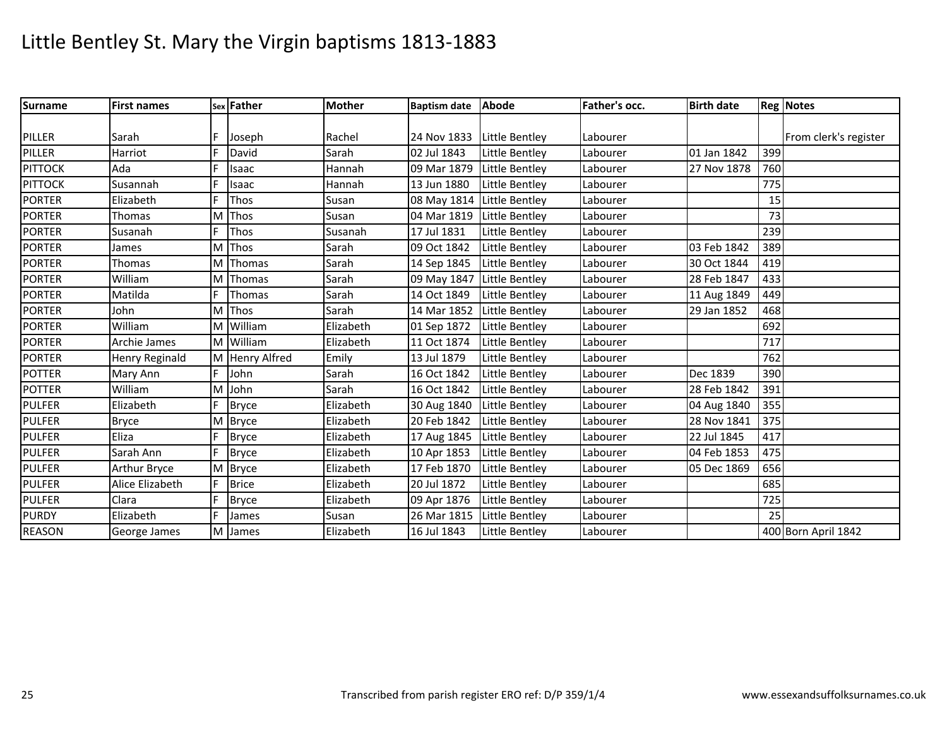| <b>Surname</b> | <b>First names</b> |   | sex Father     | <b>Mother</b> | Baptism date Abode         |                            | Father's occ. | <b>Birth date</b> |     | <b>Reg Notes</b>      |
|----------------|--------------------|---|----------------|---------------|----------------------------|----------------------------|---------------|-------------------|-----|-----------------------|
|                |                    |   |                |               |                            |                            |               |                   |     |                       |
| PILLER         | Sarah              |   | Joseph         | Rachel        | 24 Nov 1833                | Little Bentley             | Labourer      |                   |     | From clerk's register |
| PILLER         | Harriot            |   | David          | Sarah         | 02 Jul 1843                | Little Bentley             | Labourer      | 01 Jan 1842       | 399 |                       |
| <b>PITTOCK</b> | Ada                | E | Isaac          | Hannah        | 09 Mar 1879                | Little Bentley             | Labourer      | 27 Nov 1878       | 760 |                       |
| <b>PITTOCK</b> | Susannah           | E | Isaac          | <b>Hannah</b> | 13 Jun 1880                | Little Bentley             | Labourer      |                   | 775 |                       |
| <b>PORTER</b>  | Elizabeth          |   | Thos           | Susan         | 08 May 1814 Little Bentley |                            | Labourer      |                   | 15  |                       |
| <b>PORTER</b>  | <b>Thomas</b>      |   | M Thos         | Susan         | 04 Mar 1819                | Little Bentley             | Labourer      |                   | 73  |                       |
| <b>PORTER</b>  | Susanah            |   | Thos           | Susanah       | 17 Jul 1831                | Little Bentley             | Labourer      |                   | 239 |                       |
| <b>PORTER</b>  | James              |   | Thos           | Sarah         | 09 Oct 1842                | <b>Little Bentley</b>      | Labourer      | 03 Feb 1842       | 389 |                       |
| <b>PORTER</b>  | Thomas             |   | M Thomas       | Sarah         | 14 Sep 1845                | Little Bentley             | Labourer      | 30 Oct 1844       | 419 |                       |
| <b>PORTER</b>  | William            |   | M Thomas       | Sarah         | 09 May 1847 Little Bentley |                            | Labourer      | 28 Feb 1847       | 433 |                       |
| <b>PORTER</b>  | Matilda            | F | Thomas         | Sarah         | 14 Oct 1849                | Little Bentley             | Labourer      | 11 Aug 1849       | 449 |                       |
| <b>PORTER</b>  | John               | M | Thos           | Sarah         | 14 Mar 1852                | Little Bentley             | Labourer      | 29 Jan 1852       | 468 |                       |
| <b>PORTER</b>  | William            |   | M William      | Elizabeth     | 01 Sep 1872                | Little Bentley             | Labourer      |                   | 692 |                       |
| <b>PORTER</b>  | Archie James       |   | M William      | Elizabeth     | 11 Oct 1874                | Little Bentley             | Labourer      |                   | 717 |                       |
| <b>PORTER</b>  | Henry Reginald     |   | M Henry Alfred | Emily         | 13 Jul 1879                | <b>Little Bentley</b>      | Labourer      |                   | 762 |                       |
| <b>POTTER</b>  | Mary Ann           |   | John           | Sarah         | 16 Oct 1842                | Little Bentley             | Labourer      | Dec 1839          | 390 |                       |
| <b>POTTER</b>  | William            | M | John           | Sarah         | 16 Oct 1842                | Little Bentley             | Labourer      | 28 Feb 1842       | 391 |                       |
| <b>PULFER</b>  | Elizabeth          |   | <b>Bryce</b>   | Elizabeth     | 30 Aug 1840                | Little Bentley             | Labourer      | 04 Aug 1840       | 355 |                       |
| <b>PULFER</b>  | <b>Bryce</b>       |   | M Bryce        | Elizabeth     | 20 Feb 1842                | Little Bentley             | Labourer      | 28 Nov 1841       | 375 |                       |
| <b>PULFER</b>  | Eliza              | F | <b>Bryce</b>   | Elizabeth     |                            | 17 Aug 1845 Little Bentley | Labourer      | 22 Jul 1845       | 417 |                       |
| <b>PULFER</b>  | Sarah Ann          |   | <b>Bryce</b>   | Elizabeth     | 10 Apr 1853                | Little Bentley             | Labourer      | 04 Feb 1853       | 475 |                       |
| <b>PULFER</b>  | Arthur Bryce       |   | M Bryce        | Elizabeth     | 17 Feb 1870                | Little Bentley             | Labourer      | 05 Dec 1869       | 656 |                       |
| <b>PULFER</b>  | Alice Elizabeth    | E | <b>Brice</b>   | Elizabeth     | 20 Jul 1872                | <b>Little Bentley</b>      | Labourer      |                   | 685 |                       |
| <b>PULFER</b>  | Clara              |   | <b>Bryce</b>   | Elizabeth     | 09 Apr 1876                | Little Bentley             | Labourer      |                   | 725 |                       |
| <b>PURDY</b>   | Elizabeth          |   | James          | Susan         | 26 Mar 1815                | Little Bentley             | Labourer      |                   | 25  |                       |
| <b>REASON</b>  | George James       | M | James          | Elizabeth     | 16 Jul 1843                | Little Bentley             | Labourer      |                   |     | 400 Born April 1842   |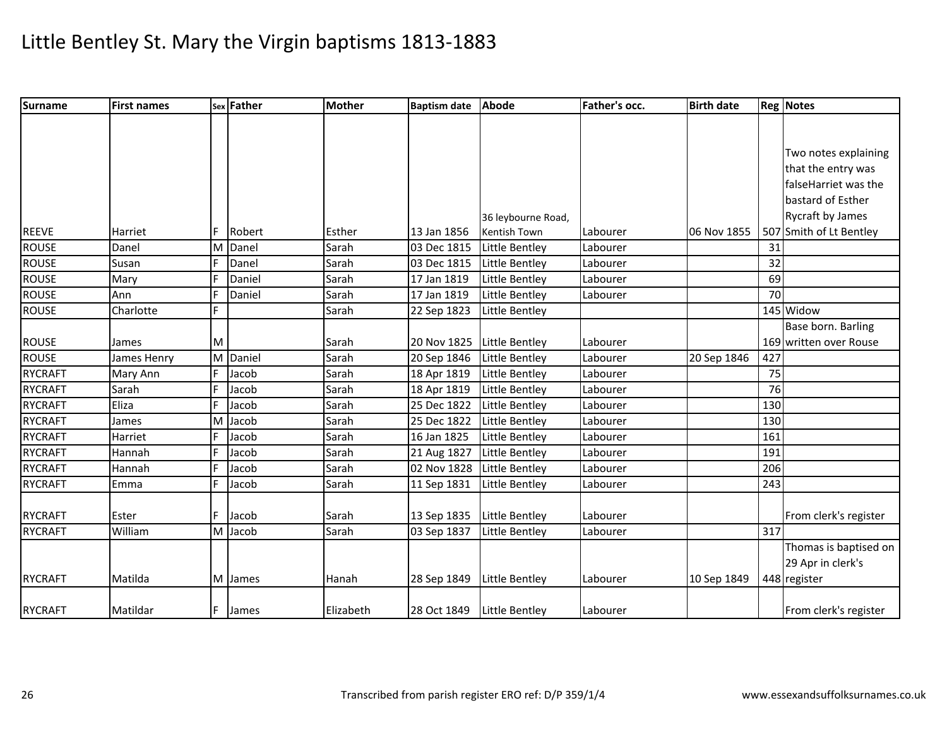| <b>Surname</b> | <b>First names</b> |    | sex Father | <b>Mother</b> | <b>Baptism date</b>          | <b>Abode</b>          | Father's occ. | <b>Birth date</b> |     | <b>Reg Notes</b>        |
|----------------|--------------------|----|------------|---------------|------------------------------|-----------------------|---------------|-------------------|-----|-------------------------|
|                |                    |    |            |               |                              |                       |               |                   |     |                         |
|                |                    |    |            |               |                              |                       |               |                   |     |                         |
|                |                    |    |            |               |                              |                       |               |                   |     | Two notes explaining    |
|                |                    |    |            |               |                              |                       |               |                   |     | that the entry was      |
|                |                    |    |            |               |                              |                       |               |                   |     | falseHarriet was the    |
|                |                    |    |            |               |                              |                       |               |                   |     | bastard of Esther       |
|                |                    |    |            |               |                              | 36 leybourne Road,    |               |                   |     | Rycraft by James        |
| <b>REEVE</b>   | Harriet            | F  | Robert     | Esther        | 13 Jan 1856                  | Kentish Town          | Labourer      | 06 Nov 1855       |     | 507 Smith of Lt Bentley |
| <b>ROUSE</b>   | Danel              | M  | Danel      | Sarah         | 03 Dec 1815                  | Little Bentley        | Labourer      |                   | 31  |                         |
| ROUSE          | Susan              | F  | Danel      | Sarah         | 03 Dec 1815                  | Little Bentley        | Labourer      |                   | 32  |                         |
| <b>ROUSE</b>   | Mary               | F  | Daniel     | Sarah         | 17 Jan 1819                  | Little Bentley        | Labourer      |                   | 69  |                         |
| <b>ROUSE</b>   | Ann                | F  | Daniel     | Sarah         | 17 Jan 1819                  | Little Bentley        | Labourer      |                   | 70  |                         |
| <b>ROUSE</b>   | Charlotte          | F. |            | Sarah         | 22 Sep 1823                  | Little Bentley        |               |                   |     | 145 Widow               |
|                |                    |    |            |               |                              |                       |               |                   |     | Base born. Barling      |
| <b>ROUSE</b>   | James              | M  |            | Sarah         | 20 Nov 1825                  | Little Bentley        | Labourer      |                   |     | 169 written over Rouse  |
| <b>ROUSE</b>   | James Henry        |    | M Daniel   | Sarah         | 20 Sep 1846                  | Little Bentley        | Labourer      | 20 Sep 1846       | 427 |                         |
| <b>RYCRAFT</b> | Mary Ann           | F  | Jacob      | Sarah         | 18 Apr 1819                  | <b>Little Bentley</b> | Labourer      |                   | 75  |                         |
| <b>RYCRAFT</b> | Sarah              | F  | Jacob      | Sarah         | 18 Apr 1819                  | Little Bentley        | Labourer      |                   | 76  |                         |
| <b>RYCRAFT</b> | Eliza              | F  | Jacob      | Sarah         | 25 Dec 1822                  | Little Bentley        | Labourer      |                   | 130 |                         |
| <b>RYCRAFT</b> | James              |    | M Jacob    | Sarah         | 25 Dec 1822                  | Little Bentley        | Labourer      |                   | 130 |                         |
| <b>RYCRAFT</b> | Harriet            | F  | Jacob      | Sarah         | 16 Jan 1825                  | Little Bentley        | Labourer      |                   | 161 |                         |
| <b>RYCRAFT</b> | Hannah             | F  | Jacob      | Sarah         | 21 Aug 1827                  | Little Bentley        | Labourer      |                   | 191 |                         |
| <b>RYCRAFT</b> | Hannah             | F  | Jacob      | Sarah         | 02 Nov 1828                  | Little Bentley        | Labourer      |                   | 206 |                         |
| <b>RYCRAFT</b> | Emma               | F  | Jacob      | Sarah         | 11 Sep 1831                  | Little Bentley        | Labourer      |                   | 243 |                         |
|                |                    |    |            |               |                              |                       |               |                   |     |                         |
| <b>RYCRAFT</b> | Ester              | F. | Jacob      | Sarah         | 13 Sep 1835                  | <b>Little Bentley</b> | Labourer      |                   |     | From clerk's register   |
| <b>RYCRAFT</b> | William            |    | M Jacob    | Sarah         | 03 Sep 1837                  | Little Bentley        | Labourer      |                   | 317 |                         |
|                |                    |    |            |               |                              |                       |               |                   |     | Thomas is baptised on   |
|                |                    |    |            |               |                              |                       |               |                   |     | 29 Apr in clerk's       |
| <b>RYCRAFT</b> | Matilda            |    | M James    | Hanah         | 28 Sep 1849                  | Little Bentley        | Labourer      | 10 Sep 1849       |     | 448 register            |
|                |                    |    |            |               |                              |                       |               |                   |     |                         |
| <b>RYCRAFT</b> | Matildar           | F. | James      | Elizabeth     | 28 Oct 1849   Little Bentley |                       | Labourer      |                   |     | From clerk's register   |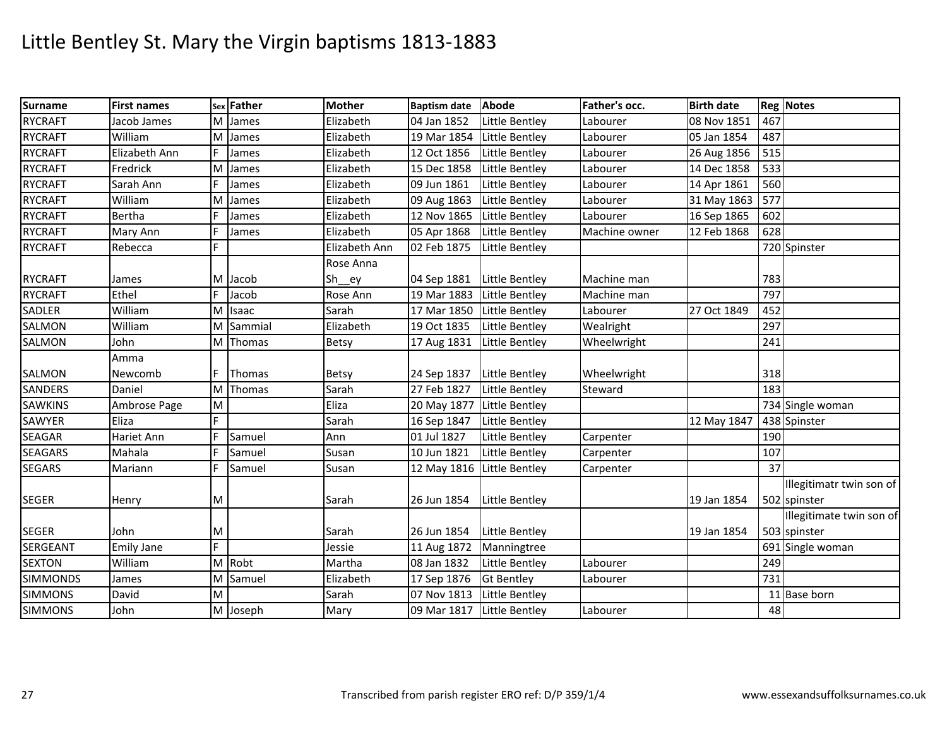| Surname         | <b>First names</b> |   | sex Father | <b>Mother</b> | <b>Baptism date</b>        | Abode                 | Father's occ. | <b>Birth date</b> |     | <b>Reg Notes</b>         |
|-----------------|--------------------|---|------------|---------------|----------------------------|-----------------------|---------------|-------------------|-----|--------------------------|
| <b>RYCRAFT</b>  | Jacob James        |   | M James    | Elizabeth     | 04 Jan 1852                | <b>Little Bentley</b> | Labourer      | 08 Nov 1851       | 467 |                          |
| <b>RYCRAFT</b>  | William            | M | James      | Elizabeth     | 19 Mar 1854                | Little Bentley        | Labourer      | 05 Jan 1854       | 487 |                          |
| <b>RYCRAFT</b>  | Elizabeth Ann      | F | James      | Elizabeth     | 12 Oct 1856                | Little Bentley        | Labourer      | 26 Aug 1856       | 515 |                          |
| <b>RYCRAFT</b>  | Fredrick           | M | James      | Elizabeth     | 15 Dec 1858                | Little Bentley        | Labourer      | 14 Dec 1858       | 533 |                          |
| <b>RYCRAFT</b>  | Sarah Ann          | F | James      | Elizabeth     | 09 Jun 1861                | Little Bentley        | Labourer      | 14 Apr 1861       | 560 |                          |
| <b>RYCRAFT</b>  | William            | M | James      | Elizabeth     | 09 Aug 1863                | Little Bentley        | Labourer      | 31 May 1863       | 577 |                          |
| <b>RYCRAFT</b>  | Bertha             | F | James      | Elizabeth     | 12 Nov 1865                | Little Bentley        | Labourer      | 16 Sep 1865       | 602 |                          |
| <b>RYCRAFT</b>  | Mary Ann           |   | James      | Elizabeth     | 05 Apr 1868                | Little Bentley        | Machine owner | 12 Feb 1868       | 628 |                          |
| <b>RYCRAFT</b>  | Rebecca            | F |            | Elizabeth Ann | 02 Feb 1875                | Little Bentley        |               |                   |     | 720 Spinster             |
|                 |                    |   |            | Rose Anna     |                            |                       |               |                   |     |                          |
| <b>RYCRAFT</b>  | James              |   | M Jacob    | Sh__ey        | 04 Sep 1881                | Little Bentley        | Machine man   |                   | 783 |                          |
| <b>RYCRAFT</b>  | Ethel              |   | Jacob      | Rose Ann      | 19 Mar 1883                | Little Bentley        | Machine man   |                   | 797 |                          |
| <b>SADLER</b>   | William            |   | M Isaac    | Sarah         | 17 Mar 1850                | Little Bentley        | Labourer      | 27 Oct 1849       | 452 |                          |
| SALMON          | William            |   | M Sammial  | Elizabeth     | 19 Oct 1835                | Little Bentley        | Wealright     |                   | 297 |                          |
| SALMON          | John               |   | M Thomas   | Betsy         | 17 Aug 1831                | Little Bentley        | Wheelwright   |                   | 241 |                          |
|                 | Amma               |   |            |               |                            |                       |               |                   |     |                          |
| <b>SALMON</b>   | Newcomb            |   | Thomas     | <b>Betsy</b>  | 24 Sep 1837                | Little Bentley        | Wheelwright   |                   | 318 |                          |
| <b>SANDERS</b>  | Daniel             |   | M Thomas   | Sarah         | 27 Feb 1827                | Little Bentley        | Steward       |                   | 183 |                          |
| <b>SAWKINS</b>  | Ambrose Page       | M |            | Eliza         | 20 May 1877                | <b>Little Bentley</b> |               |                   |     | 734 Single woman         |
| SAWYER          | Eliza              | F |            | Sarah         | 16 Sep 1847                | Little Bentley        |               | 12 May 1847       |     | 438 Spinster             |
| <b>SEAGAR</b>   | Hariet Ann         | F | Samuel     | Ann           | 01 Jul 1827                | Little Bentley        | Carpenter     |                   | 190 |                          |
| <b>SEAGARS</b>  | Mahala             | F | Samuel     | Susan         | 10 Jun 1821                | Little Bentley        | Carpenter     |                   | 107 |                          |
| <b>SEGARS</b>   | Mariann            | F | Samuel     | Susan         | 12 May 1816 Little Bentley |                       | Carpenter     |                   | 37  |                          |
|                 |                    |   |            |               |                            |                       |               |                   |     | Illegitimatr twin son of |
| <b>SEGER</b>    | Henry              | M |            | Sarah         | 26 Jun 1854                | <b>Little Bentley</b> |               | 19 Jan 1854       |     | 502 spinster             |
|                 |                    |   |            |               |                            |                       |               |                   |     | Illegitimate twin son of |
| <b>SEGER</b>    | John               | M |            | Sarah         | 26 Jun 1854                | Little Bentley        |               | 19 Jan 1854       |     | 503 spinster             |
| <b>SERGEANT</b> | <b>Emily Jane</b>  | F |            | Jessie        | 11 Aug 1872                | Manningtree           |               |                   |     | 691 Single woman         |
| <b>SEXTON</b>   | William            |   | M Robt     | Martha        | 08 Jan 1832                | Little Bentley        | Labourer      |                   | 249 |                          |
| <b>SIMMONDS</b> | James              |   | M Samuel   | Elizabeth     | 17 Sep 1876                | <b>Gt Bentley</b>     | Labourer      |                   | 731 |                          |
| <b>SIMMONS</b>  | David              | M |            | Sarah         | 07 Nov 1813                | Little Bentley        |               |                   |     | 11 Base born             |
| <b>SIMMONS</b>  | John               |   | M Joseph   | Mary          | 09 Mar 1817                | <b>Little Bentley</b> | Labourer      |                   | 48  |                          |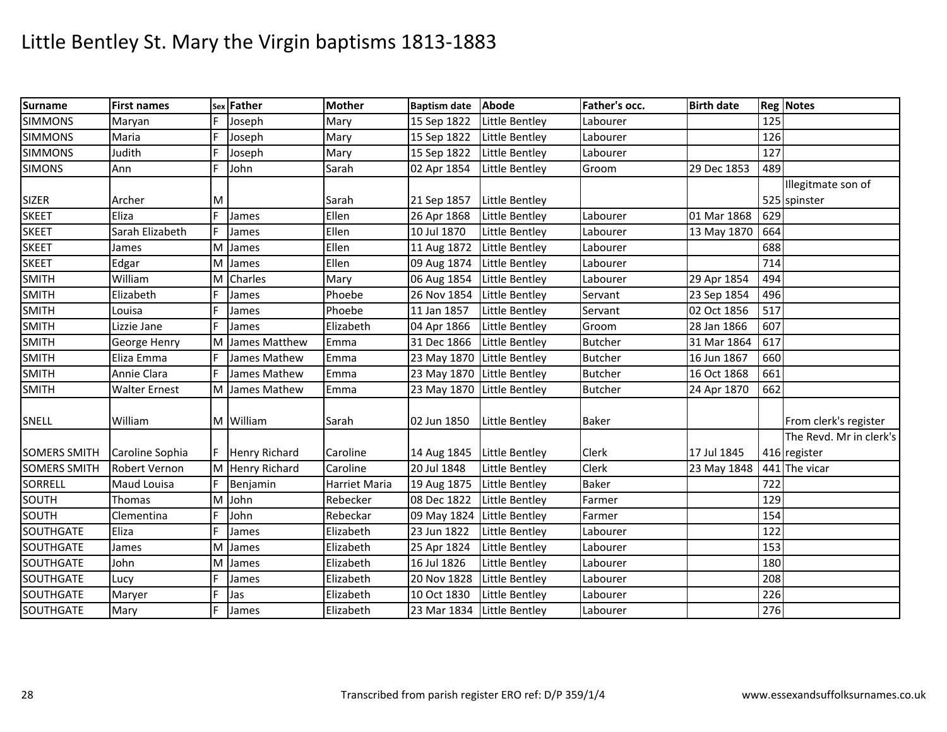| <b>Surname</b>      | <b>First names</b>   |     | sex Father           | <b>Mother</b> | Baptism date Abode         |                       | Father's occ.  | <b>Birth date</b> |     | <b>Reg Notes</b>        |
|---------------------|----------------------|-----|----------------------|---------------|----------------------------|-----------------------|----------------|-------------------|-----|-------------------------|
| <b>SIMMONS</b>      | Maryan               |     | Joseph               | Mary          | 15 Sep 1822                | Little Bentley        | Labourer       |                   | 125 |                         |
| <b>SIMMONS</b>      | Maria                | F   | Joseph               | Mary          | 15 Sep 1822                | Little Bentley        | Labourer       |                   | 126 |                         |
| <b>SIMMONS</b>      | Judith               |     | Joseph               | Mary          | 15 Sep 1822                | Little Bentley        | Labourer       |                   | 127 |                         |
| <b>SIMONS</b>       | Ann                  | E   | John                 | Sarah         | 02 Apr 1854                | Little Bentley        | Groom          | 29 Dec 1853       | 489 |                         |
|                     |                      |     |                      |               |                            |                       |                |                   |     | Illegitmate son of      |
| <b>SIZER</b>        | Archer               | M   |                      | Sarah         | 21 Sep 1857                | Little Bentley        |                |                   |     | 525 spinster            |
| <b>SKEET</b>        | Eliza                | E   | James                | Ellen         | 26 Apr 1868                | Little Bentley        | Labourer       | 01 Mar 1868       | 629 |                         |
| <b>SKEET</b>        | Sarah Elizabeth      |     | James                | Ellen         | 10 Jul 1870                | Little Bentley        | Labourer       | 13 May 1870       | 664 |                         |
| <b>SKEET</b>        | James                | M   | James                | Ellen         | 11 Aug 1872                | Little Bentley        | Labourer       |                   | 688 |                         |
| <b>SKEET</b>        | Edgar                |     | M James              | Ellen         | 09 Aug 1874                | Little Bentley        | Labourer       |                   | 714 |                         |
| <b>SMITH</b>        | William              | M   | Charles              | Mary          | 06 Aug 1854                | Little Bentley        | Labourer       | 29 Apr 1854       | 494 |                         |
| <b>SMITH</b>        | Elizabeth            |     | James                | Phoebe        | 26 Nov 1854                | Little Bentley        | Servant        | 23 Sep 1854       | 496 |                         |
| <b>SMITH</b>        | Louisa               |     | James                | Phoebe        | 11 Jan 1857                | Little Bentley        | Servant        | 02 Oct 1856       | 517 |                         |
| <b>SMITH</b>        | Lizzie Jane          | F   | James                | Elizabeth     | 04 Apr 1866                | Little Bentley        | Groom          | 28 Jan 1866       | 607 |                         |
| <b>SMITH</b>        | George Henry         | M   | James Matthew        | Emma          | 31 Dec 1866                | Little Bentley        | <b>Butcher</b> | 31 Mar 1864       | 617 |                         |
| <b>SMITH</b>        | Eliza Emma           | F   | James Mathew         | Emma          | 23 May 1870 Little Bentley |                       | <b>Butcher</b> | 16 Jun 1867       | 660 |                         |
| <b>SMITH</b>        | Annie Clara          | E   | James Mathew         | Emma          | 23 May 1870 Little Bentley |                       | <b>Butcher</b> | 16 Oct 1868       | 661 |                         |
| <b>SMITH</b>        | <b>Walter Ernest</b> |     | M James Mathew       | Emma          | 23 May 1870 Little Bentley |                       | <b>Butcher</b> | 24 Apr 1870       | 662 |                         |
| <b>SNELL</b>        | William              |     | M William            | Sarah         | 02 Jun 1850                | Little Bentley        | <b>Baker</b>   |                   |     | From clerk's register   |
|                     |                      |     |                      |               |                            |                       |                |                   |     | The Revd. Mr in clerk's |
| <b>SOMERS SMITH</b> | Caroline Sophia      | F   | <b>Henry Richard</b> | Caroline      | 14 Aug 1845 Little Bentley |                       | <b>Clerk</b>   | 17 Jul 1845       |     | 416 register            |
| <b>SOMERS SMITH</b> | <b>Robert Vernon</b> |     | M Henry Richard      | Caroline      | 20 Jul 1848                | Little Bentley        | Clerk          | 23 May 1848       |     | 441 The vicar           |
| <b>SORRELL</b>      | Maud Louisa          | F   | Benjamin             | Harriet Maria | 19 Aug 1875                | Little Bentley        | <b>Baker</b>   |                   | 722 |                         |
| SOUTH               | Thomas               |     | M John               | Rebecker      | 08 Dec 1822                | Little Bentley        | Farmer         |                   | 129 |                         |
| SOUTH               | Clementina           | F   | John                 | Rebeckar      | 09 May 1824                | Little Bentley        | Farmer         |                   | 154 |                         |
| <b>SOUTHGATE</b>    | Eliza                | l E | James                | Elizabeth     | 23 Jun 1822                | Little Bentley        | Labourer       |                   | 122 |                         |
| SOUTHGATE           | James                | M   | James                | Elizabeth     | 25 Apr 1824                | Little Bentley        | Labourer       |                   | 153 |                         |
| SOUTHGATE           | John                 | M   | James                | Elizabeth     | 16 Jul 1826                | <b>Little Bentley</b> | Labourer       |                   | 180 |                         |
| SOUTHGATE           | Lucy                 | F   | James                | Elizabeth     | 20 Nov 1828                | Little Bentley        | Labourer       |                   | 208 |                         |
| SOUTHGATE           | Maryer               | F   | Jas                  | Elizabeth     | 10 Oct 1830                | Little Bentley        | Labourer       |                   | 226 |                         |
| SOUTHGATE           | Mary                 | F   | James                | Elizabeth     | 23 Mar 1834                | Little Bentley        | Labourer       |                   | 276 |                         |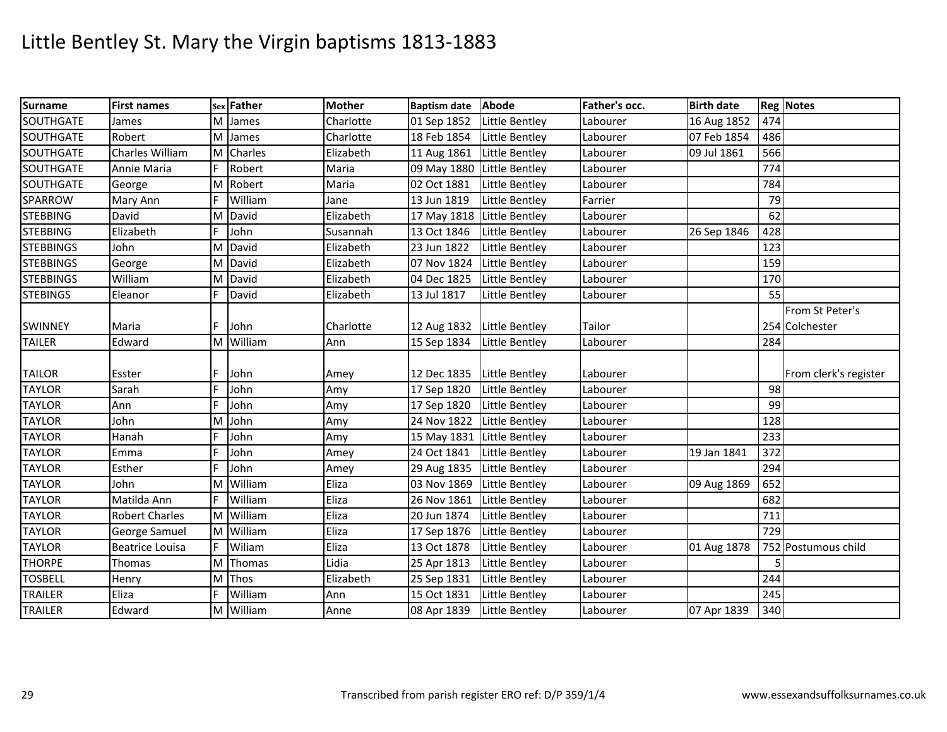| <b>Surname</b>   | <b>First names</b>     |   | sex Father | <b>Mother</b> | <b>Baptism date</b>        | <b>Abode</b>          | Father's occ. | <b>Birth date</b> |     | <b>Reg Notes</b>      |
|------------------|------------------------|---|------------|---------------|----------------------------|-----------------------|---------------|-------------------|-----|-----------------------|
| SOUTHGATE        | James                  | M | James      | Charlotte     | 01 Sep 1852                | Little Bentley        | Labourer      | 16 Aug 1852       | 474 |                       |
| SOUTHGATE        | Robert                 |   | M James    | Charlotte     | 18 Feb 1854                | Little Bentley        | Labourer      | 07 Feb 1854       | 486 |                       |
| <b>SOUTHGATE</b> | Charles William        |   | M Charles  | Elizabeth     | 11 Aug 1861                | Little Bentley        | Labourer      | 09 Jul 1861       | 566 |                       |
| SOUTHGATE        | Annie Maria            |   | Robert     | Maria         | 09 May 1880 Little Bentley |                       | Labourer      |                   | 774 |                       |
| <b>SOUTHGATE</b> | George                 |   | M Robert   | Maria         | 02 Oct 1881                | Little Bentley        | Labourer      |                   | 784 |                       |
| SPARROW          | Mary Ann               | F | William    | Jane          | 13 Jun 1819                | Little Bentley        | Farrier       |                   | 79  |                       |
| <b>STEBBING</b>  | David                  |   | M David    | Elizabeth     | 17 May 1818                | Little Bentley        | Labourer      |                   | 62  |                       |
| <b>STEBBING</b>  | Elizabeth              |   | John       | Susannah      | 13 Oct 1846                | Little Bentley        | Labourer      | 26 Sep 1846       | 428 |                       |
| <b>STEBBINGS</b> | John                   |   | M David    | Elizabeth     | 23 Jun 1822                | Little Bentley        | Labourer      |                   | 123 |                       |
| <b>STEBBINGS</b> | George                 |   | M David    | Elizabeth     | 07 Nov 1824                | Little Bentley        | Labourer      |                   | 159 |                       |
| <b>STEBBINGS</b> | William                |   | M David    | Elizabeth     | 04 Dec 1825                | Little Bentley        | Labourer      |                   | 170 |                       |
| <b>STEBINGS</b>  | Eleanor                | F | David      | Elizabeth     | 13 Jul 1817                | Little Bentley        | Labourer      |                   | 55  |                       |
|                  |                        |   |            |               |                            |                       |               |                   |     | From St Peter's       |
| <b>SWINNEY</b>   | Maria                  | F | John       | Charlotte     | 12 Aug 1832                | <b>Little Bentley</b> | Tailor        |                   |     | 254 Colchester        |
| <b>TAILER</b>    | Edward                 |   | M William  | Ann           | 15 Sep 1834                | Little Bentley        | Labourer      |                   | 284 |                       |
|                  |                        |   |            |               |                            |                       |               |                   |     |                       |
| <b>TAILOR</b>    | Esster                 |   | John       | Amey          | 12 Dec 1835                | Little Bentley        | Labourer      |                   |     | From clerk's register |
| <b>TAYLOR</b>    | Sarah                  |   | John       | Amy           | 17 Sep 1820                | Little Bentley        | Labourer      |                   | 98  |                       |
| <b>TAYLOR</b>    | Ann                    | F | John       | Amy           | 17 Sep 1820                | Little Bentley        | Labourer      |                   | 99  |                       |
| <b>TAYLOR</b>    | John                   | м | John       | Amy           | 24 Nov 1822                | Little Bentley        | Labourer      |                   | 128 |                       |
| <b>TAYLOR</b>    | Hanah                  |   | John       | Amy           | 15 May 1831                | Little Bentley        | Labourer      |                   | 233 |                       |
| <b>TAYLOR</b>    | Emma                   |   | John       | Amey          | 24 Oct 1841                | Little Bentley        | Labourer      | 19 Jan 1841       | 372 |                       |
| <b>TAYLOR</b>    | Esther                 | E | John       | Amey          | 29 Aug 1835                | Little Bentley        | Labourer      |                   | 294 |                       |
| <b>TAYLOR</b>    | John                   | м | William    | Eliza         | 03 Nov 1869                | Little Bentley        | Labourer      | 09 Aug 1869       | 652 |                       |
| <b>TAYLOR</b>    | Matilda Ann            |   | William    | Eliza         | 26 Nov 1861                | Little Bentley        | Labourer      |                   | 682 |                       |
| <b>TAYLOR</b>    | <b>Robert Charles</b>  | M | William    | Eliza         | 20 Jun 1874                | Little Bentley        | Labourer      |                   | 711 |                       |
| <b>TAYLOR</b>    | George Samuel          |   | M William  | Eliza         | 17 Sep 1876                | Little Bentley        | Labourer      |                   | 729 |                       |
| <b>TAYLOR</b>    | <b>Beatrice Louisa</b> | F | Wiliam     | Eliza         | 13 Oct 1878                | Little Bentley        | Labourer      | 01 Aug 1878       |     | 752 Postumous child   |
| <b>THORPE</b>    | <b>Thomas</b>          |   | M Thomas   | Lidia         | 25 Apr 1813                | Little Bentley        | Labourer      |                   | 5   |                       |
| <b>TOSBELL</b>   | Henry                  |   | M Thos     | Elizabeth     | 25 Sep 1831                | Little Bentley        | Labourer      |                   | 244 |                       |
| <b>TRAILER</b>   | Eliza                  | E | William    | Ann           | 15 Oct 1831                | Little Bentley        | Labourer      |                   | 245 |                       |
| <b>TRAILER</b>   | Edward                 |   | M William  | Anne          | 08 Apr 1839                | Little Bentley        | Labourer      | 07 Apr 1839       | 340 |                       |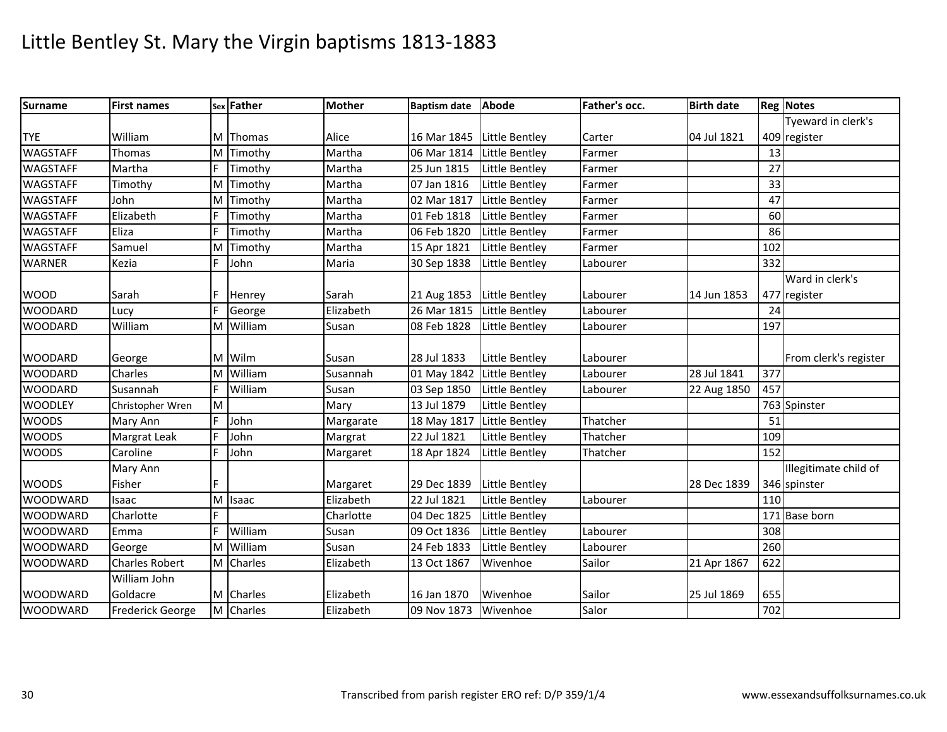| <b>Surname</b>  | <b>First names</b>      |    | sex Father | <b>Mother</b> | Baptism date Abode         |                | Father's occ. | <b>Birth date</b> |     | <b>Reg Notes</b>      |
|-----------------|-------------------------|----|------------|---------------|----------------------------|----------------|---------------|-------------------|-----|-----------------------|
|                 |                         |    |            |               |                            |                |               |                   |     | Tyeward in clerk's    |
| <b>TYE</b>      | William                 |    | M Thomas   | Alice         | 16 Mar 1845 Little Bentley |                | Carter        | 04 Jul 1821       |     | 409 register          |
| <b>WAGSTAFF</b> | Thomas                  |    | M Timothy  | Martha        | 06 Mar 1814                | Little Bentley | Farmer        |                   | 13  |                       |
| <b>WAGSTAFF</b> | Martha                  | F  | Timothy    | Martha        | 25 Jun 1815                | Little Bentley | Farmer        |                   | 27  |                       |
| <b>WAGSTAFF</b> | Timothy                 |    | M Timothy  | Martha        | 07 Jan 1816                | Little Bentley | Farmer        |                   | 33  |                       |
| <b>WAGSTAFF</b> | John                    |    | M Timothy  | Martha        | 02 Mar 1817                | Little Bentley | Farmer        |                   | 47  |                       |
| <b>WAGSTAFF</b> | Elizabeth               | F  | Timothy    | Martha        | 01 Feb 1818                | Little Bentley | Farmer        |                   | 60  |                       |
| <b>WAGSTAFF</b> | Eliza                   | E  | Timothy    | Martha        | 06 Feb 1820                | Little Bentley | Farmer        |                   | 86  |                       |
| <b>WAGSTAFF</b> | Samuel                  |    | M Timothy  | Martha        | 15 Apr 1821                | Little Bentley | Farmer        |                   | 102 |                       |
| <b>WARNER</b>   | Kezia                   | F  | John       | Maria         | 30 Sep 1838                | Little Bentley | Labourer      |                   | 332 |                       |
|                 |                         |    |            |               |                            |                |               |                   |     | Ward in clerk's       |
| <b>WOOD</b>     | Sarah                   |    | Henrey     | Sarah         | 21 Aug 1853                | Little Bentley | Labourer      | 14 Jun 1853       |     | 477 register          |
| <b>WOODARD</b>  | Lucy                    |    | George     | Elizabeth     | 26 Mar 1815                | Little Bentley | Labourer      |                   | 24  |                       |
| <b>WOODARD</b>  | William                 | M  | William    | Susan         | 08 Feb 1828                | Little Bentley | Labourer      |                   | 197 |                       |
|                 |                         |    |            |               |                            |                |               |                   |     |                       |
| <b>WOODARD</b>  | George                  |    | M Wilm     | Susan         | 28 Jul 1833                | Little Bentley | Labourer      |                   |     | From clerk's register |
| <b>WOODARD</b>  | Charles                 | M  | William    | Susannah      | 01 May 1842 Little Bentley |                | Labourer      | 28 Jul 1841       | 377 |                       |
| <b>WOODARD</b>  | Susannah                | F  | William    | Susan         | 03 Sep 1850                | Little Bentley | Labourer      | 22 Aug 1850       | 457 |                       |
| <b>WOODLEY</b>  | Christopher Wren        | M  |            | Mary          | 13 Jul 1879                | Little Bentley |               |                   |     | 763 Spinster          |
| <b>WOODS</b>    | Mary Ann                | F  | John       | Margarate     | 18 May 1817                | Little Bentley | Thatcher      |                   | 51  |                       |
| <b>WOODS</b>    | Margrat Leak            |    | John       | Margrat       | 22 Jul 1821                | Little Bentley | Thatcher      |                   | 109 |                       |
| <b>WOODS</b>    | Caroline                | E  | John       | Margaret      | 18 Apr 1824                | Little Bentley | Thatcher      |                   | 152 |                       |
|                 | Mary Ann                |    |            |               |                            |                |               |                   |     | Illegitimate child of |
| <b>WOODS</b>    | Fisher                  |    |            | Margaret      | 29 Dec 1839                | Little Bentley |               | 28 Dec 1839       |     | 346 spinster          |
| <b>WOODWARD</b> | Isaac                   |    | M Isaac    | Elizabeth     | 22 Jul 1821                | Little Bentley | Labourer      |                   | 110 |                       |
| <b>WOODWARD</b> | Charlotte               | F. |            | Charlotte     | 04 Dec 1825                | Little Bentley |               |                   |     | 171 Base born         |
| <b>WOODWARD</b> | Emma                    | F  | William    | Susan         | 09 Oct 1836                | Little Bentley | Labourer      |                   | 308 |                       |
| <b>WOODWARD</b> | George                  |    | M William  | Susan         | 24 Feb 1833                | Little Bentley | Labourer      |                   | 260 |                       |
| <b>WOODWARD</b> | <b>Charles Robert</b>   |    | M Charles  | Elizabeth     | 13 Oct 1867                | Wivenhoe       | Sailor        | 21 Apr 1867       | 622 |                       |
|                 | William John            |    |            |               |                            |                |               |                   |     |                       |
| <b>WOODWARD</b> | Goldacre                |    | M Charles  | Elizabeth     | 16 Jan 1870                | Wivenhoe       | Sailor        | 25 Jul 1869       | 655 |                       |
| <b>WOODWARD</b> | <b>Frederick George</b> |    | M Charles  | Elizabeth     | 09 Nov 1873                | Wivenhoe       | Salor         |                   | 702 |                       |